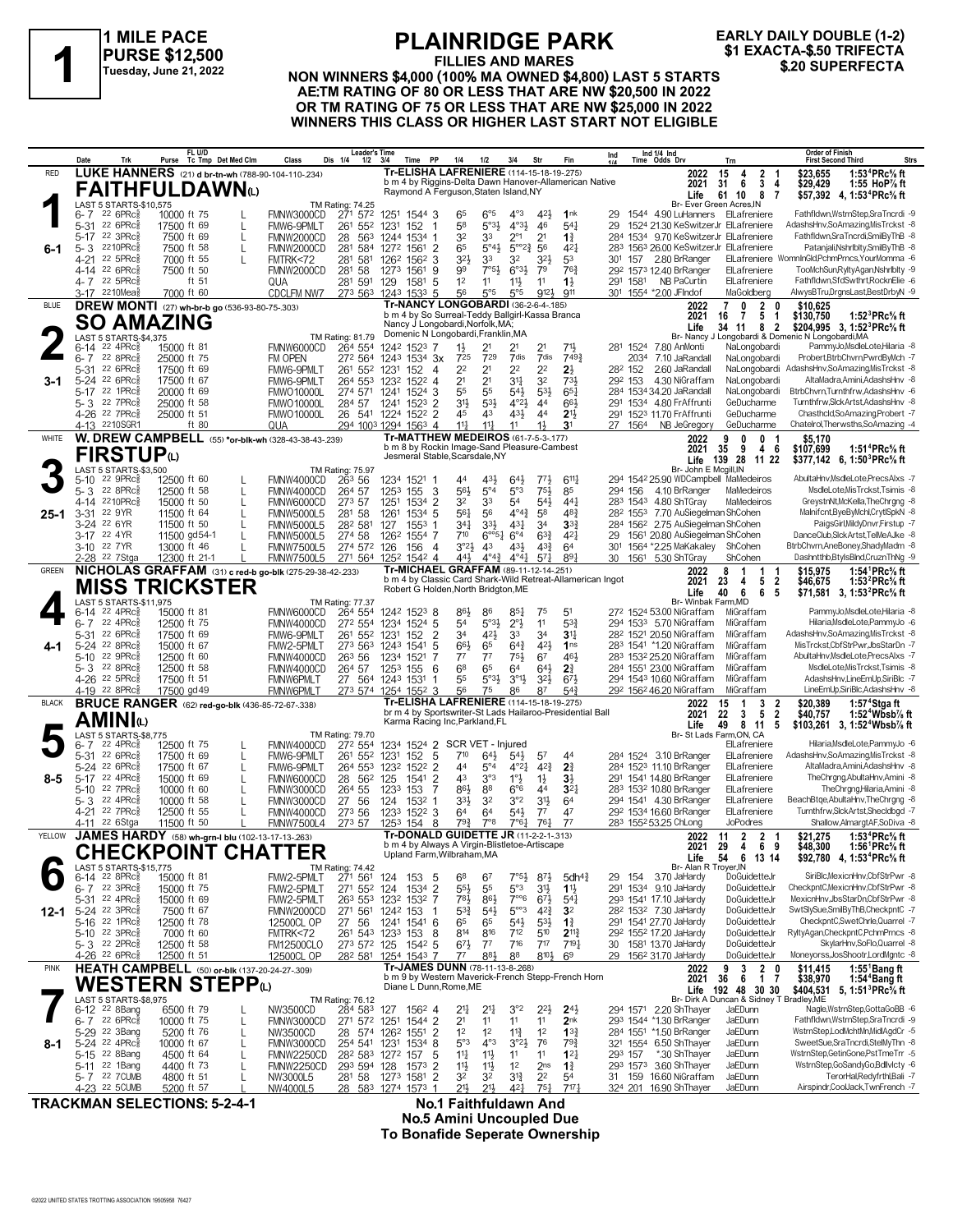

### **FILLIES AND MARES NON WINNERS \$4,000 (100% MA OWNED \$4,800) LAST 5 STARTS** \$1 EXACTA-\$.50 TRIFECTA<br>
Tuesday, June 21, 2022 NON WINNERS \$4,000 (100% MA OWNED \$4,800) LAST 5 STARTS<br>
A CHEAR BATING OF 80 OR LESS THAT ARE NIM \$20 500 IN 2022 **AE:TM RATING OF 80 OR LESS THAT ARE NW \$20,500 IN 2022 OR TM RATING OF 75 OR LESS THAT ARE NW \$25,000 IN 2022 WINNERS THIS CLASS OR HIGHER LAST START NOT ELIGIBLE EARLY DAILY DOUBLE (1-2)**

|              | Date                        | Trk                                                    | Purse                       | FL U/D<br>Tc Tmp Det Med Clm                  | Class                                                                       | Leader's Time<br>Dis 1/4<br>1/2                | - 3/4<br>Time                       | PP                              | 1/4                                                                                      | 1/2                              | 3/4                                         | Str                                  | Fin                                                        | Ind                   |                      | Ind 1/4 Ind<br>Time Odds Drv                                                      | Trn                                                                         | <b>Order of Finish</b><br><b>Strs</b><br><b>First Second Third</b>                                                                   |
|--------------|-----------------------------|--------------------------------------------------------|-----------------------------|-----------------------------------------------|-----------------------------------------------------------------------------|------------------------------------------------|-------------------------------------|---------------------------------|------------------------------------------------------------------------------------------|----------------------------------|---------------------------------------------|--------------------------------------|------------------------------------------------------------|-----------------------|----------------------|-----------------------------------------------------------------------------------|-----------------------------------------------------------------------------|--------------------------------------------------------------------------------------------------------------------------------------|
| <b>RED</b>   |                             |                                                        |                             |                                               | LUKE HANNERS (21) d br-tn-wh (788-90-104-110-.234)                          |                                                |                                     |                                 | Tr-ELISHA LAFRENIERE (114-15-18-19-275)                                                  |                                  |                                             |                                      | b m 4 by Riggins-Delta Dawn Hanover-Allamerican Native     |                       |                      | 2022<br>2021                                                                      | 15<br>-4<br>$\mathbf{2}$<br>6<br>3<br>31                                    | 1:53 <sup>4</sup> PRc% ft<br>\$23,655<br>\$29,429<br>4<br>1:55 $\text{HoP}\%$ ft                                                     |
|              |                             |                                                        |                             | FAITHFULDAWNω                                 |                                                                             |                                                |                                     |                                 | Raymond A Ferguson, Staten Island, NY                                                    |                                  |                                             |                                      |                                                            |                       |                      | Life                                                                              | - 8<br>61 10                                                                | \$57,392 4, 1:53 <sup>4</sup> PRc <sup>5</sup> / <sub>8</sub> ft<br>-7                                                               |
|              | 6- 7                        | LAST 5 STARTS-\$10,575<br>22 6PRc3                     | 10000 ft 75                 |                                               | FMNW3000CD                                                                  | TM Rating: 74.25<br>271 572                    | 1251 1544 3                         |                                 | 65                                                                                       | $6^{\circ 5}$                    | $4^{\circ}3$                                | 421                                  | 1 <sup>nk</sup>                                            | 29                    |                      | 1544 4.90 LuHanners ElLafreniere                                                  | Br- Ever Green Acres, IN                                                    | Fathfldwn,WstrnStep,SraTncrdi -9                                                                                                     |
|              |                             | 5-31 22 6PRc                                           | 17500 ft 69                 | L                                             | FMW6-9PMLT                                                                  | 552<br>261                                     | 1231                                | 152<br>-1                       | 58                                                                                       | $5°3\frac{1}{2}$                 | $4^{\circ}3\frac{1}{2}$                     | 46                                   | $54\frac{1}{4}$                                            | 29                    |                      | 1524 21.30 KeSwitzerJr ElLafreniere                                               |                                                                             | AdashsHnv,SoAmazing,MisTrckst -8                                                                                                     |
| 6-1          |                             | 5-17 22 3PRc<br>5-3 2210PRc                            | 7500 ft 69<br>7500 ft 58    | L<br>L                                        | FMNW2000CD<br>FMNW2000CD                                                    | 28 563<br>281 584 1272 1561 2                  | 1244 1534 1                         |                                 | 32<br>65                                                                                 | 33<br>$5^{\circ}4\frac{1}{2}$    | $2^{\circ_1}$<br>$5^{\circ}2^{\frac{3}{4}}$ | 2 <sup>1</sup><br>56                 | $1\frac{3}{4}$<br>$4^{2}$                                  |                       |                      | 284 1534 9.70 KeSwitzerJr ElLafreniere<br>283 1563 26.00 KeSwitzerJr ElLafreniere |                                                                             | Fathfldwn.SraTncrdi.SmilByThB -8<br>Patanjali, Nshrlblty, SmilBy ThB -8                                                              |
|              | 4-21                        | 22 5PRc3                                               | 7000 ft 55                  |                                               | FMTRK<72                                                                    | 281 581                                        | 126 <sup>2</sup> 156 <sup>2</sup> 3 |                                 | 32}                                                                                      | 33                               | 3 <sup>2</sup>                              | $3^{2}\frac{1}{2}$                   | 53                                                         | 301                   | 157                  | 2.80 BrRanger                                                                     |                                                                             | ElLafreniere WomnInGld,PchmPrncs,YourMomma -6                                                                                        |
|              |                             | 4-14 22 6PRc<br>4-7 22 5PRc                            | 7500 ft 50                  | ft 51                                         | FMNW2000CD<br>QUA                                                           | 281 58<br>281 591                              | 1273 1561<br>129                    | -9<br>1581<br>-5                | 99<br>1 <sup>2</sup>                                                                     | $7°5\frac{1}{2}$<br>11           | $6^{o_{31}}$<br>$11\frac{1}{2}$             | 79<br>11                             | $76\frac{3}{4}$<br>$1\frac{1}{2}$                          |                       | 291 1581             | 292 1573 12.40 BrRanger<br><b>NB PaCurtin</b>                                     | ElLafreniere<br>ElLafreniere                                                | TooMchSun,RyltyAgan,Nshrlblty -9<br>Fathfldwn,SfdSwthrt,RocknElie -6                                                                 |
|              |                             | 3-17 2210Mea                                           | 7000 ft 60                  |                                               | <b>CDCLFM NW7</b>                                                           | 273 563 1243 1533 5                            |                                     |                                 | 56                                                                                       | $5^{\circ}5$                     | $5^{\circ}5$                                | 912}                                 | 911                                                        |                       |                      | 301 1554 *2.00 JFIndof                                                            | MaGoldberg                                                                  | AlwysBTru,DrgnsLast,BestDrbyN -9                                                                                                     |
| <b>BLUE</b>  |                             |                                                        |                             | DREW MONTI (27) wh-br-b go (536-93-80-75-303) |                                                                             |                                                |                                     |                                 | Tr-NANCY LONGOBARDI (36-2-6-4-185)<br>b m 4 by So Surreal-Teddy Ballgirl-Kassa Branca    |                                  |                                             |                                      |                                                            |                       |                      | 2022<br>2021                                                                      | $\overline{\mathbf{2}}$<br>$\overline{7}$<br>0<br>5<br>$\overline{7}$<br>16 | \$10,625<br>0<br>\$130,750<br>1:52 ${}^{3}$ PRc ${}^{5}$ s ft<br>$\overline{1}$                                                      |
|              |                             | SO AMAZING                                             |                             |                                               |                                                                             |                                                |                                     |                                 | Nancy J Longobardi, Norfolk, MA;<br>Domenic N Longobardi, Franklin, MA                   |                                  |                                             |                                      |                                                            |                       |                      | Life                                                                              | 8 2<br>34 11                                                                | \$204,995 3, 1:52 <sup>3</sup> PRc <sup>5</sup> / <sub>8</sub> ft                                                                    |
|              | 6-14                        | LAST 5 STARTS-\$4,375<br>$22$ 4PR $c_8^5$              | 15000 ft 81                 |                                               | FMNW6000CD                                                                  | TM Rating: 81.79<br>264 554                    | 1242 1523 7                         |                                 | $1\frac{1}{2}$                                                                           | 21                               |                                             | 2 <sup>1</sup>                       | $71\frac{1}{2}$                                            |                       |                      | 281 1524 7.80 AnMonti                                                             | NaLongobardi                                                                | Br- Nancy J Longobardi & Domenic N Longobardi, MA<br>PammyJo,MsdleLote,Hilaria -8                                                    |
|              | 6-7                         | 22 8PRc                                                | 25000 ft 75                 |                                               | FM OPEN                                                                     | 27 <sup>2</sup> 564 1243 1534 3x               |                                     |                                 | 725                                                                                      | 729                              | 7dis                                        | 7dis                                 | 7493                                                       |                       | 2034                 | 7.10 JaRandall                                                                    | NaLongobardi                                                                | Probert, BtrbChvrn, PwrdByMch -7                                                                                                     |
| 3-1          |                             | 5-31 22 6PRc<br>5-24 22 6PRcs                          | 17500 ft 69<br>17500 ft 67  |                                               | FMW6-9PMLT<br>FMW6-9PMLT                                                    | 261 552 1231<br>264 553 1232                   |                                     | 152<br>-4<br>$152^2$ 4          | 22<br>2 <sup>1</sup>                                                                     | 2 <sup>1</sup><br>2 <sup>1</sup> | 22<br>31                                    | 2 <sup>2</sup><br>32                 | 2}<br>731,                                                 |                       | 282 152<br>292 153   | 2.60 JaRandall<br>4.30 NiGraffam                                                  | NaLongobardi<br>NaLongobardi                                                | AdashsHnv,SoAmazing,MisTrckst -8<br>AltaMadra,Amini,AdashsHnv -8                                                                     |
|              |                             | 5-17 22 1PRc                                           | 20000 ft 69                 |                                               | <b>FMWO10000L</b>                                                           | 274 571                                        | 1241                                | 1524 3                          | 55                                                                                       | 55                               | 54}                                         | 53}                                  | $65\frac{1}{4}$                                            |                       |                      | 284 1534 34.20 JaRandall                                                          | NaLongobardi                                                                | BtrbChvrn,Turnthfrw,AdashsHnv -6                                                                                                     |
|              |                             | 5-3 22 7PRc<br>4-26 <sup>22</sup> 7PRc                 | 25000 ft 58<br>25000 ft 51  |                                               | <b>FMWO10000L</b><br><b>FMWO10000L</b>                                      | 284 57<br>26 541 1224 1522 2                   | 1241 1523                           | $\overline{2}$                  | 3 <sup>1</sup><br>45                                                                     | $53\frac{1}{2}$<br>43            | $4^{\circ}2\frac{1}{2}$<br>$43\frac{1}{2}$  | 44<br>44                             | 661<br>2 <sup>11</sup>                                     |                       |                      | 291 1534 4.80 FrAffrunti<br>291 1523 11.70 FrAffrunti                             | GeDucharme<br>GeDucharme                                                    | Turnthfrw, Slck Artst, AdashsHnv -8<br>Chasthcld,SoAmazing,Probert -7                                                                |
|              |                             | 4-13 2210SGR1                                          |                             | ft $80$                                       | QUA                                                                         | 294 1003 1294 1563 4                           |                                     |                                 | $11\frac{1}{4}$                                                                          | $11\frac{1}{4}$                  | 11                                          | 1 <sup>1</sup>                       | 3 <sup>1</sup>                                             |                       | 27 1564              | NB JeGregory                                                                      | GeDucharme                                                                  | Chatelrol, Therwsths, SoAmazing -4                                                                                                   |
| WHITE        |                             |                                                        |                             |                                               | W. DREW CAMPBELL (55) *or-blk-wh (328-43-38-43-.239)                        |                                                |                                     |                                 | <b>Tr-MATTHEW MEDEIROS (61-7-5-3-177)</b><br>b m 8 by Rockin Image-Sand Pleasure-Cambest |                                  |                                             |                                      |                                                            |                       |                      | 2022<br>2021                                                                      | 9<br>0<br>0<br>9<br>35<br>4                                                 | \$5.170<br>1:51 <sup>4</sup> PRc <sup>5</sup> / <sub>8</sub> ft<br>- 6<br>\$107,699                                                  |
|              |                             | FIRSTUPധ                                               |                             |                                               |                                                                             |                                                |                                     |                                 | Jesmeral Stable, Scarsdale, NY                                                           |                                  |                                             |                                      |                                                            |                       |                      | Life                                                                              | 28<br>139<br>11 22                                                          | \$377,142 6, 1:50 PRc $\frac{5}{8}$ ft                                                                                               |
|              | 5-10                        | <b>LAST 5 STARTS-\$3,500</b><br>$22$ 9PR $c_{8}$       | 12500 ft 60                 |                                               | FMNW4000CD                                                                  | TM Rating: 75.97<br>26 <sup>3</sup> 56         | 1234 1521 1                         |                                 | 44                                                                                       | 43}                              | $64\frac{1}{2}$                             | $77\frac{1}{2}$                      | $6^{11}$                                                   |                       |                      | Br- John E Mcgill, IN<br>294 1542 25.90 WDCampbell MaMedeiros                     |                                                                             | AbultaHnv,MsdleLote,PrecsAlxs -7                                                                                                     |
|              |                             | 5-3 22 8PRc                                            | 12500 ft 58                 |                                               | FMNW4000CD                                                                  | 264 57                                         | 1253 155                            | -3                              | $56\frac{1}{2}$                                                                          | $5^{\circ}4$                     | 5°3                                         | $75\frac{1}{2}$                      | 85                                                         |                       | 294 156              | 4.10 BrRanger                                                                     | MaMedeiros                                                                  | MsdleLote, MisTrckst, Tsimis -8                                                                                                      |
| 25-1         | 4-14<br>$3 - 31$            | 2210PRc3<br>22 9YR                                     | 15000 ft 50<br>11500 ft 64  | L                                             | FMNW6000CD<br><b>FMNW5000L5</b>                                             | 273 57<br>281 58                               | 1251<br>1261                        | 1534 2<br>$1534$ 5              | 32<br>561                                                                                | 33<br>56                         | 54<br>$4^{\circ}4^{\frac{3}{4}}$            | $54\frac{1}{2}$<br>58                | $44\frac{1}{4}$<br>$48\frac{3}{4}$                         |                       | 28 <sup>2</sup> 1553 | 283 1543 4.80 ShTGray<br>7.70 AuSiegelman ShCohen                                 | MaMedeiros                                                                  | GreystnNt, McKella, The Chrgng -8<br>Malnifcnt,ByeByMchl,CrytlSpkN -8                                                                |
|              | 3-24 22 6YR                 |                                                        | 11500 ft 50                 | L                                             | <b>FMNW5000L5</b>                                                           | 282 581                                        | 127                                 | $1553$ 1                        | 341                                                                                      | 3 <sup>3</sup>                   | $43\frac{1}{4}$                             | 3 <sup>4</sup>                       | 3 <sup>3</sup>                                             |                       |                      | 284 1562 2.75 AuSiegelman ShCohen                                                 |                                                                             | PaigsGirl,MildyDnvr,Firstup -7                                                                                                       |
|              | 3-17 22 4YR<br>3-10 22 7 YR |                                                        | 11500 gd54-1<br>13000 ft 46 |                                               | <b>FMNW5000L5</b><br><b>FMNW7500L5</b>                                      | 274 58<br>274 572 126                          | 1262                                | 1554 7<br>156<br>$\overline{4}$ | 710<br>$3^{o_2}\frac{1}{2}$                                                              | $6^{\circ 51}$<br>4 <sup>3</sup> | $6^{\circ}4$<br>431                         | $63\frac{3}{4}$<br>$43\frac{3}{4}$   | $4^{2}$<br>64                                              | 29<br>30 <sup>1</sup> |                      | 1561 20.80 AuSiegelman ShCohen<br>1564 *2.25 MaKakaley                            | ShCohen                                                                     | DanceClub,SlckArtst,TelMeAJke -8<br>BtrbChvrn,AneBoney,ShadyMadm -8                                                                  |
|              |                             | 2-28 22 7Stga                                          | 12300 ft 21-1               |                                               | <b>FMNW7500L5</b>                                                           | 271 564 1252 1542 4                            |                                     |                                 | 441                                                                                      | $4^{\circ}4^{\circ}$             | $4^{\circ}4^{\circ}$                        | 57 <sub>1</sub>                      | 891                                                        |                       |                      | 30 1561 5.30 ShTGray                                                              | ShCohen                                                                     | Dashntthb,BtylsBlnd,CruznThNg -9                                                                                                     |
| GREEN        |                             |                                                        |                             |                                               | NICHOLAS GRAFFAM (31) c red-b go-blk (275-29-38-42-233)                     |                                                |                                     |                                 | Tr-MICHAEL GRAFFAM (89-11-12-14-251)                                                     |                                  |                                             |                                      | b m 4 by Classic Card Shark-Wild Retreat-Allamerican Ingot |                       |                      | 2022<br>2021                                                                      | 8<br>1<br>-1<br>23<br>5<br>4                                                | 1:54 <sup>1</sup> PRc <sup>5</sup> / <sub>8</sub> ft<br>\$15,975<br>$\overline{2}$<br>\$46,675<br>1:53 $^{2}$ PRc $\%$ ft            |
|              |                             | LAST 5 STARTS-\$11,975                                 |                             | <b>MISS TRICKSTER</b>                         |                                                                             | TM Rating: 77.37                               |                                     |                                 | Robert G Holden, North Bridgton, ME                                                      |                                  |                                             |                                      |                                                            |                       |                      | Life<br>Br- Winbak Farm, MD                                                       | 6<br>40<br>6                                                                | 5<br>\$71,581 3, 1:53 <sup>2</sup> PRc <sup>5</sup> / <sub>8</sub> ft                                                                |
|              | 6-14                        | 22 4PRc                                                | 15000 ft 81                 |                                               | FMNW6000CD                                                                  | 264 554                                        | 1242 1523 8                         |                                 | 86}                                                                                      | 86                               | $85\frac{1}{4}$                             | 75                                   | 5 <sup>1</sup>                                             |                       |                      | 272 1524 53.00 NiGraffam                                                          | MiGraffam                                                                   | PammyJo, MsdleLote, Hilaria -8                                                                                                       |
|              | $6 - 7$                     | 22 4PRc3<br>5-31 22 6PRc                               | 12500 ft 75<br>17500 ft 69  |                                               | FMNW4000CD<br>FMW6-9PMLT                                                    | 272 554 1234 1524<br>261 552                   | 1231                                | -5<br>$\overline{2}$<br>152     | 54<br>34                                                                                 | $5°3\frac{1}{2}$<br>421,         | $2^{\circ}$<br>33                           | 11<br>34                             | 53 <sup>3</sup><br>3 <sup>11</sup>                         |                       |                      | 294 1533 5.70 NiGraffam<br>28 <sup>2</sup> 1521 20.50 NiGraffam                   | MiGraffam<br>MiGraffam                                                      | Hilaria, MsdleLote, PammyJo -6<br>AdashsHnv,SoAmazing,MisTrckst -8                                                                   |
|              |                             | 5-24 <sup>22</sup> 8PRc                                | 15000 ft 67                 |                                               | FMW2-5PMLT                                                                  | 273 563 1243 1541                              |                                     | 5                               | $66\frac{1}{2}$                                                                          | 65                               | $6^{4}$                                     | 42}                                  | 1 <sub>ns</sub>                                            |                       |                      | 283 1541 *1.20 NiGraffam                                                          | MiGraffam                                                                   | MisTrckst,CbfStrPwr,JbsStarDn -7                                                                                                     |
|              |                             | 5-10 22 9PRc<br>5-3 22 8PRc                            | 12500 ft 60<br>12500 ft 58  |                                               | FMNW4000CD<br>FMNW4000CD                                                    | 263 56<br>264 57                               | 1234 1521<br>1253 155               | 7<br>6                          | $7^7$<br>6 <sup>8</sup>                                                                  | 77<br>65                         | 75}<br>6 <sup>4</sup>                       | 67<br>$64\frac{1}{2}$                | 461<br>21                                                  |                       |                      | 283 1532 25.20 NiGraffam<br>284 1551 23.00 NiGraffam                              | MiGraffam<br>MiGraffam                                                      | AbultaHnv,MsdleLote,PrecsAlxs -7<br>MsdleLote, MisTrckst, Tsimis -8                                                                  |
|              |                             | 4-26 22 5PRc                                           | 17500 ft 51                 |                                               | <b>FMNW6PMLT</b>                                                            | 27 564 1243 1531                               |                                     | -1                              | 55                                                                                       | 5°3 <sup>1</sup>                 | $3^{01}$                                    | $3^{2}\frac{1}{2}$                   | 673                                                        |                       |                      | 294 1543 10.60 NiGraffam                                                          | MiGraffam                                                                   | AdashsHnv,LineEmUp,SiriBlc -7                                                                                                        |
| <b>BLACK</b> |                             | 4-19 22 8PRc                                           | 17500 gd 49                 |                                               | <b>FMNW6PMLT</b><br><b>BRUCE RANGER</b> (62) red-go-blk (436-85-72-67-.338) | 273 574 1254 1552 3                            |                                     |                                 | 56<br>Tr-ELISHA LAFRENIERE (114-15-18-19-275)                                            | 75                               | 86                                          | 87                                   | $5^{4}$                                                    |                       |                      | 292 1562 46.20 NiGraffam<br>2022                                                  | MiGraffam<br>15<br>3<br>$\overline{1}$                                      | LineEmUp,SiriBlc,AdashsHnv -8<br>1:57 $4$ Stgaft<br>\$20,389<br>2                                                                    |
|              |                             | AMINIധ                                                 |                             |                                               |                                                                             |                                                |                                     |                                 | Karma Racing Inc, Parkland, FL                                                           |                                  |                                             |                                      | br m 4 by Sportswriter-St Lads Hailaroo-Presidential Ball  |                       |                      | 2021                                                                              | 5<br>22<br>3                                                                | $\overline{2}$<br>1:52 $4$ Wbsb $\%$ ft<br>\$40,757                                                                                  |
|              |                             | LAST 5 STARTS-\$8,775                                  |                             |                                               |                                                                             | <b>TM Rating: 79.70</b>                        |                                     |                                 |                                                                                          |                                  |                                             |                                      |                                                            |                       |                      | Life                                                                              | 49<br>8<br>11<br>Br- St Lads Farm, ON, CA                                   | 5<br>\$103,261 3, 1:52 <sup>4</sup> Wbsb <sup>7</sup> / <sub>8</sub> ft                                                              |
|              | $5 - 31$                    | 6-7 22 4PRc<br>$226$ PRc $\frac{5}{8}$                 | 12500 ft 75<br>17500 ft 69  | L                                             | FMNW4000CD<br>FMW6-9PMLT                                                    | 272 554<br>261 552                             | 1234 1524 2                         | -5<br>152                       | SCR VET - Injured<br>710                                                                 | $64\frac{1}{2}$                  | $54\frac{1}{2}$                             | 57                                   | 44                                                         |                       |                      | 284 1524 3.10 BrRanger                                                            | ElLafreniere<br>ElLafreniere                                                | Hilaria, MsdleLote, PammyJo -6<br>AdashsHnv,SoAmazing,MisTrckst -8                                                                   |
|              | $5 - 24$                    | $22.6$ PR $c$                                          | 17500 ft 67                 | L                                             | FMW6-9PMLT                                                                  | 264 553                                        | 1231<br>1232                        | 1522<br>$\overline{2}$          | 4 <sup>4</sup>                                                                           | $5^{\circ}4$                     | $4^{\circ}2^{\frac{1}{4}}$                  | $4^{2}\frac{3}{4}$                   | 21                                                         |                       |                      | 284 1523 11.10 BrRanger                                                           | ElLafreniere                                                                | AltaMadra,Amini,AdashsHnv -8                                                                                                         |
| 8-5          | $5-17$                      | 22 4PRc<br>5-10 22 7PRc                                | 15000 ft 69                 |                                               | FMNW6000CD                                                                  | 28 562                                         | 125                                 | $\overline{2}$<br>1541          | 43                                                                                       | 3°3                              | $1^{\circ}$<br>$6^{\circ}6$                 | $1\frac{1}{2}$<br>44                 | $3\frac{1}{2}$                                             |                       |                      | 291 1541 14.80 BrRanger<br>283 1532 10.80 BrRanger                                | ElLafreniere<br>ElLafreniere                                                | TheChrgng,AbultaHnv,Amini -8<br>TheChrgng,Hilaria,Amini -8                                                                           |
|              |                             | 5-3 22 4PRc                                            | 10000 ft 60<br>10000 ft 58  |                                               | FMNW3000CD<br>FMNW3000CD                                                    | 264 55<br>27<br>56                             | 1233<br>124                         | 153<br>-7<br>1532 1             | 86}<br>33}                                                                               | 88<br>3 <sup>2</sup>             | 3°2                                         | $3^{11}$                             | $3^{2}$<br>64                                              |                       |                      | 294 1541 4.30 BrRanger                                                            | ElLafreniere                                                                | BeachBtge, AbultaHnv, TheChrgng -8                                                                                                   |
|              |                             | 4-21 22 7PRc<br>4-11 <sup>22</sup> 6Stga               | 12500 ft 55<br>11500 ft 50  |                                               | FMNW4000CD                                                                  | 273 56<br>273 57                               | 1233 1522 3<br>1253 154             | 8                               | 64<br>$79\frac{3}{4}$                                                                    | 64<br>$7^{\circ}8$               | 54}<br>7°64                                 | $7^7$<br>$76\frac{1}{4}$             | 47<br>$7^7$                                                |                       |                      | 292 1534 16.60 BrRanger<br>283 1552 53.25 ChLong                                  | ElLafreniere<br><b>JoPodres</b>                                             | Turnthfrw,SlckArtst,Shecldbgd -7<br>Shallow, Almargt AF, SoDiva -8                                                                   |
| YELLOW       |                             |                                                        |                             |                                               | <b>FMNW7500L4</b><br>JAMES HARDY (58) wh-grn-I blu (102-13-17-13-263)       |                                                |                                     |                                 | <b>Tr-DONALD GUIDETTE JR (11-2-2-1-.313)</b>                                             |                                  |                                             |                                      |                                                            |                       |                      |                                                                                   | 2022 11 2<br>2 1                                                            | 1:53 <sup>4</sup> PRc <sup>5</sup> / <sub>8</sub> ft<br>\$21,275                                                                     |
|              |                             |                                                        |                             |                                               | <b>CHECKPOINT CHATTER</b>                                                   |                                                |                                     |                                 | b m 4 by Always A Virgin-Blistletoe-Artiscape<br>Upland Farm, Wilbraham, MA              |                                  |                                             |                                      |                                                            |                       |                      | 2021<br>Life                                                                      | 29<br>4<br>69<br>54 6 13 14                                                 | \$48,300<br>1:56 <sup>1</sup> PRc <sup>5</sup> / <sub>8</sub> ft<br>\$92,780 4, 1:53 <sup>4</sup> PRc <sup>5</sup> / <sub>8</sub> ft |
|              |                             | LAST 5 STARTS-\$15,775                                 |                             |                                               |                                                                             | TM Rating: 74.42                               |                                     |                                 |                                                                                          |                                  |                                             |                                      |                                                            |                       |                      | Br- Alan R Troyer, IN                                                             |                                                                             |                                                                                                                                      |
|              |                             | $6-14$ 22 8PRc $\frac{5}{8}$<br>6-7 22 3PRc            | 15000 ft 81<br>15000 ft 75  |                                               | FMW2-5PMLT<br>FMW2-5PMLT                                                    | 271 561<br>271 552 124                         | 124 153 5                           | 1534 2                          | 68<br>$5^{5}\frac{1}{2}$                                                                 | 67<br>55                         | $7°5\frac{1}{2}$<br>5°3                     | $8^{7}\frac{1}{2}$<br>3 <sup>1</sup> | 5dh <sup>4</sup><br>$1\frac{11}{2}$                        | 29                    | - 154                | 3.70 JaHardy<br>291 1534 9.10 JaHardy                                             | DoGuidetteJr<br>DoGuidetteJr                                                | SiriBlc, MexicnHnv, CbfStrPwr -8<br>CheckpntC, MexicnHnv, CbfStrPwr -8                                                               |
|              |                             | 5-31 22 4PRc                                           | 15000 ft 69                 |                                               | FMW2-5PMLT                                                                  | 263 553 1232 1532 7                            |                                     |                                 | $78\frac{1}{2}$                                                                          | $86\frac{1}{2}$                  | $7^{\circ\circ}6$                           | $6^{7}\frac{1}{2}$                   | $54\frac{1}{4}$                                            |                       |                      | 293 1541 17.10 JaHardy                                                            | DoGuidetteJr                                                                | MexicnHnv,JbsStarDn,CbfStrPwr -8                                                                                                     |
|              |                             | 12-1 5-24 22 3PRcs<br>5-16 22 1PRcs                    | 7500 ft 67<br>12500 ft 78   |                                               | FMNW2000CD<br>12500CL OP                                                    | 271 561 1242 153<br>27 56                      | 1241 1541 6                         | -1                              | $5^{3}\frac{3}{4}$<br>65                                                                 | $5^{4}$<br>65                    | $5^{\circ\circ}3$<br>$54\frac{1}{2}$        | $4^{2}\frac{3}{4}$<br>$5^{31}$       | 3 <sup>2</sup><br>$1\frac{3}{4}$                           |                       |                      | 28 <sup>2</sup> 153 <sup>2</sup> 7.30 JaHardy<br>291 1541 27.70 JaHardy           | DoGuidetteJr<br>DoGuidetteJr                                                | SwtSlySue,SmilByThB,CheckpntC -7<br>CheckpntC,SwetChrle,Quarrel -7                                                                   |
|              |                             | 5-10 22 3PRc                                           | 7000 ft 60                  |                                               | FMTRK<72                                                                    | 261 543 1233 153                               |                                     | -8                              | 814                                                                                      | 816                              | 7 <sup>12</sup>                             | 510                                  | $2^{11}$                                                   |                       |                      | 292 1552 17.20 JaHardy                                                            | DoGuidetteJr                                                                | RyltyAgan,CheckpntC,PchmPrncs -8                                                                                                     |
|              |                             | 5-3 $22$ 2PRc $\frac{5}{8}$<br>4-26 <sup>22</sup> 6PRc | 12500 ft 58<br>12500 ft 51  |                                               | <b>FM12500CLO</b><br>12500CL OP                                             | 273 572 125<br>28 <sup>2</sup> 581 1254 1543 7 |                                     | 1542 5                          | $6^{71}$<br>77                                                                           | $7^7$<br>$8^{8}$                 | 716<br>88                                   | 717<br>$8^{10}$                      | $7^{19}$ <sup>1</sup><br>6 <sup>9</sup>                    |                       |                      | 30 1581 13.70 JaHardy<br>29 156 <sup>2</sup> 31.70 JaHardy                        | DoGuidetteJr<br>DoGuidetteJr                                                | SkylarHnv,SoFlo,Quarrel -8<br>Moneyorss, JosShootr, LordMgntc -8                                                                     |
| <b>PINK</b>  |                             |                                                        |                             |                                               | <b>HEATH CAMPBELL</b> (50) or-blk (137-20-24-27-.309)                       |                                                |                                     |                                 | Tr-JAMES DUNN (78-11-13-8-268)                                                           |                                  |                                             |                                      |                                                            |                       |                      | 2022                                                                              | $\begin{array}{ccccc}\n3 & 2 & 0 \\ 6 & 1 & 7\n\end{array}$<br>9            | 1:55 ${}^1$ Bang ft<br>\$11,415                                                                                                      |
|              |                             |                                                        |                             | <b>WESTERN STEPP</b> W                        |                                                                             |                                                |                                     |                                 | Diane L Dunn, Rome, ME                                                                   |                                  |                                             |                                      | b m 9 by Western Maverick-French Stepp-French Horn         |                       |                      | 2021<br>Life                                                                      | 36<br>192 48 30 30                                                          | \$38,970<br>1:54 <sup>4</sup> Bang ft<br>\$404,531 5, 1:51 <sup>3</sup> PRc <sup>5</sup> / <sub>8</sub> ft                           |
|              |                             | LAST 5 STARTS-\$8,975<br>6-12 <sup>22</sup> 8Bang      | 6500 ft 79                  |                                               | NW3500CD                                                                    | TM Rating: 76.12<br>284 583                    | 127 156 <sup>2</sup> 4              |                                 | 21                                                                                       | $2^{11}$                         | 3°2                                         | $2^{2}$                              | $24\frac{1}{2}$                                            |                       |                      | 294 1571 2.20 ShThayer                                                            | Br- Dirk A Duncan & Sidney T Bradley, ME<br>JaEDunn                         | Nagle, WstrnStep, GottaGoBB -6                                                                                                       |
|              |                             | $6 - 7$ 22 6PRc <sup>5</sup>                           | 10000 ft 75                 | L                                             | FMNW3000CD                                                                  | 271 572 1251 1544 2                            |                                     |                                 | 2 <sup>1</sup>                                                                           | 11                               | 11                                          | 11                                   | 2 <sub>nk</sub>                                            |                       |                      | 293 1544 *1.30 BrRanger                                                           | JaEDunn                                                                     | Fathfldwn.WstrnStep.SraTncrdi -9                                                                                                     |
|              |                             | 5-29 22 3Bang<br>5-24 22 4PRc <sup>5</sup>             | 5200 ft 76<br>10000 ft 67   | L                                             | NW3500CD                                                                    | 28 574 1262 1551 2                             |                                     |                                 | 1 <sup>2</sup><br>5°3                                                                    | 1 <sup>2</sup><br>$4^{\circ}3$   | $11\frac{3}{4}$<br>$3^{o_2}\frac{1}{2}$     | 1 <sup>2</sup><br>76                 | $13\frac{3}{4}$<br>$79\frac{3}{4}$                         |                       |                      | 284 1551 *1.50 BrRanger<br>321 1554 6.50 ShThayer                                 | JaEDunn<br>JaEDunn                                                          | WstrnStep,LodMchtMn,MidlAgdCr -5<br>SweetSue,SraTncrdi,StelMyThn -8                                                                  |
| 8-1          |                             | 5-15 22 8Bang                                          | 4500 ft 64                  | L<br>$\mathbf{L}$                             | FMNW3000CD<br>FMNW2250CD                                                    | 254 541 1231<br>282 583 1272 157               |                                     | 15348<br>5                      | $11\frac{1}{4}$                                                                          | $11\frac{1}{2}$                  | 11                                          | 11                                   | $12\frac{1}{4}$                                            |                       | 293 157              | *.30 ShThayer                                                                     | JaEDunn                                                                     | WstrnStep,GetinGone,PstTmeTrr -5                                                                                                     |
|              |                             | 5-11 <sup>22</sup> 1Bang<br>5-7 22 7 CUMB              | 4400 ft 73                  | L                                             | FMNW2250CD                                                                  | 293 594 128                                    |                                     | $\overline{2}$<br>1573          | 11}<br>32                                                                                | $11\frac{1}{2}$<br>32            | 1 <sup>2</sup>                              | 2 <sub>ns</sub><br>2 <sup>2</sup>    | $1\frac{3}{4}$                                             |                       |                      | 293 1573 3.60 ShThayer<br>31 159 16.60 NiGraffam                                  | JaEDunn<br>JaEDunn                                                          | WstrnStep,GoSandyGo,Bdllvlcty -6<br>TerorHal,Redyfrthl,Bali -7                                                                       |
|              |                             | 4-23 22 5CUMB                                          | 4800 ft 51<br>5200 ft 57    |                                               | NW3000L5<br>NW4000L5                                                        | 281 58<br>28 583 1274 1573 1                   | 1273 1581 2                         |                                 | 211                                                                                      | $21\frac{1}{2}$                  | $3^{12}$<br>421                             | $75\frac{1}{4}$                      | 54<br>717.1                                                |                       |                      | 324 201 16.90 ShThayer                                                            | JaEDunn                                                                     | Airspindr,CoolJack,TwnFrench -7                                                                                                      |

**TRACKMAN SELECTIONS: 5-2-4-1** 

**No.5 Amini Uncoupled Due To Bonafide Seperate Ownership**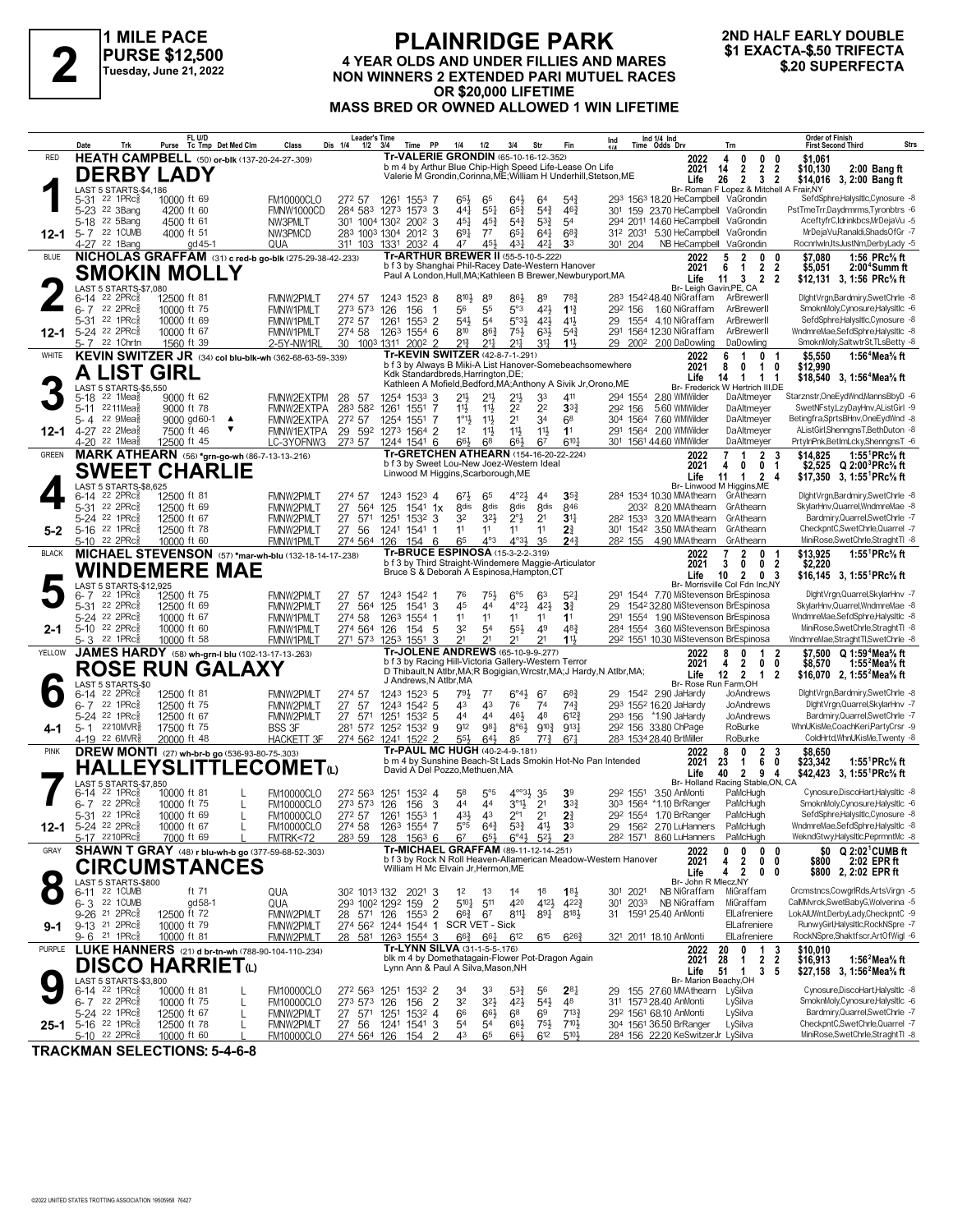

### **PURSE \$12,500 Tuesday, June 21, 2022**

### **PLAINRIDGE PARK 4 YEAR OLDS AND UNDER FILLIES AND MARES NON WINNERS 2 EXACTA-\$.50 TRIFECTA**<br>
Tuesday, June 21, 2022<br>
Tuesday, June 21, 2022<br> **AON WINNERS 2 EXTENDED PARI MUTUEL RACES**<br> **AOR \$20 800 LIFETIME OR \$20,000 LIFETIME MASS BRED OR OWNED ALLOWED 1 WIN LIFETIME**

# **2ND HALF EARLY DOUBLE**

|              | Date                                                        | Trk                                              | Purse                      | FL U/D      | Tc Tmp Det Med Clm                                    | Class                                                     | <b>Leader's Time</b><br>Dis 1/4<br>$1/2$ $3/4$          |                                | Time               | PP                     | 1/4                                       | 1/2                                | 3/4                                                       | Str                                         | Fin                                                                                                              | Ind                                                                    | Ind 1/4 Ind<br>Time Odds Drv                                                                   | Trn                                                                             | <b>Order of Finish</b><br>Strs<br><b>First Second Third</b>                                 |
|--------------|-------------------------------------------------------------|--------------------------------------------------|----------------------------|-------------|-------------------------------------------------------|-----------------------------------------------------------|---------------------------------------------------------|--------------------------------|--------------------|------------------------|-------------------------------------------|------------------------------------|-----------------------------------------------------------|---------------------------------------------|------------------------------------------------------------------------------------------------------------------|------------------------------------------------------------------------|------------------------------------------------------------------------------------------------|---------------------------------------------------------------------------------|---------------------------------------------------------------------------------------------|
| RED          |                                                             |                                                  |                            |             |                                                       | <b>HEATH CAMPBELL</b> (50) or-blk (137-20-24-27-.309)     |                                                         |                                |                    |                        |                                           |                                    |                                                           | <b>Tr-VALERIE GRONDIN (65-10-16-12-352)</b> |                                                                                                                  |                                                                        | 2022                                                                                           | $0\quad 0$<br>4<br>0                                                            | \$1,061                                                                                     |
|              |                                                             | <b>DERBY LADY</b>                                |                            |             |                                                       |                                                           |                                                         |                                |                    |                        |                                           |                                    |                                                           |                                             | b m 4 by Arthur Blue Chip-High Speed Life-Lease On Life                                                          | Valerie M Grondin, Corinna, ME; William H Underhill, Stetson, ME       | 2021<br>Life                                                                                   | $\overline{2}$<br>14<br>$\overline{2}$<br>26<br>2 3 2                           | $\overline{\mathbf{2}}$<br>\$10,130<br>2:00 Bang ft<br>\$14,016 3, 2:00 Bang ft             |
|              |                                                             | LAST 5 STARTS-\$4,186                            |                            |             |                                                       |                                                           |                                                         |                                |                    |                        |                                           |                                    |                                                           |                                             |                                                                                                                  |                                                                        |                                                                                                | Br- Roman F Lopez & Mitchell A Frair, NY                                        | SefdSphre,HalysItIc,Cynosure -8                                                             |
|              | 5-31 22 1PRc <sub>8</sub><br>5-23 <sup>22</sup> 3Bang       |                                                  | 10000 ft 69<br>4200 ft 60  |             |                                                       | <b>FM10000CLO</b><br>FMNW1000CD                           | 272 57<br>284 583 1273 1573 3                           | 1261 1553 7                    |                    |                        | $65\frac{1}{2}$<br>441                    | 65<br>$55\frac{1}{4}$              | $64\frac{1}{2}$<br>$65\frac{3}{4}$                        | 64<br>$5^{4}$                               | $5^{4}$<br>$46\frac{3}{4}$                                                                                       |                                                                        | 293 1563 18.20 HeCampbell VaGrondin<br>301 159 23.70 HeCampbell VaGrondin                      |                                                                                 | PstTmeTrr,Daydrmrms,Tyronbtrs -6                                                            |
|              | 5-18 <sup>22</sup> 5Bang                                    |                                                  | 4500 ft 61                 |             |                                                       | NW3PMLT                                                   | 301 1004 1302 2002 3                                    |                                |                    |                        | 451                                       | $45\frac{3}{4}$                    | $5^{4}3$                                                  | $5^{3}\frac{3}{4}$                          | 54                                                                                                               |                                                                        | 294 2011 14.60 HeCampbell VaGrondin                                                            |                                                                                 | AceftyfrC,Idrinkbcs,MrDejaVu -5<br>MrDejaVuRanaldi,ShadsOfGr -7                             |
| 12-1         | 5-7 22 1 CUMB<br>4-27 22 1Bang                              |                                                  | 4000 ft 51                 | gd 45-1     |                                                       | NW3PMCD<br>QUA                                            | 283 1003 1304 2012 3<br>311 103 1331 2032 4             |                                |                    |                        | $69\frac{1}{4}$<br>47                     | $7^7$<br>45}                       | $65\frac{1}{4}$<br>431                                    | $64\frac{1}{4}$<br>421                      | $68\frac{3}{4}$<br>3 <sup>3</sup>                                                                                | 301 204                                                                | 312 2031 5.30 HeCampbell VaGrondin<br>NB HeCampbell VaGrondin                                  |                                                                                 | Rocnrlwin, ItsJustNm, DerbyLady -5                                                          |
| <b>BLUE</b>  |                                                             |                                                  |                            |             |                                                       | NICHOLAS GRAFFAM (31) c red-b go-blk (275-29-38-42-233)   |                                                         |                                |                    |                        |                                           |                                    |                                                           | Tr-ARTHUR BREWER II (55-5-10-5-222)         |                                                                                                                  |                                                                        | 2022                                                                                           | 5<br>$\overline{2}$<br>0                                                        | 1:56 PRc% ft<br>0<br>\$7.080                                                                |
|              |                                                             | SMOKIN MOLLY                                     |                            |             |                                                       |                                                           |                                                         |                                |                    |                        |                                           |                                    |                                                           |                                             | b f 3 by Shanghai Phil-Racey Date-Western Hanover<br>Paul A London, Hull, MA; Kathleen B Brewer, Newburyport, MA |                                                                        | 2021<br>Life                                                                                   | 6<br>$\overline{2}$<br>$\overline{1}$<br>11<br>3 2 2                            | $\overline{\mathbf{2}}$<br>\$5,051<br>2:00 <sup>4</sup> Summ ft<br>\$12,131 3, 1:56 PRc% ft |
|              | $6-14$ 22 2PRc $\frac{5}{8}$                                | LAST 5 STARTS-\$7,080                            |                            |             |                                                       |                                                           |                                                         |                                |                    |                        |                                           |                                    |                                                           |                                             |                                                                                                                  |                                                                        | 283 154248.40 NiGraffam                                                                        | Br- Leigh Gavin, PE, CA<br>ArBrewerll                                           | DightVrgn,Bardmiry,SwetChrle -8                                                             |
|              | $6 - 7$ 22 2PRcs                                            |                                                  | 12500 ft 81<br>10000 ft 75 |             |                                                       | FMNW2PMLT<br>FMNW1PMLT                                    | 274 57<br>273 573                                       | 126                            | 1243 1523 8<br>156 | -1                     | 810}<br>56                                | 89<br>55                           | 86}<br>5°3                                                | 89<br>42}                                   | 783<br>$1\frac{13}{4}$                                                                                           |                                                                        | 29 <sup>2</sup> 156 1.60 NiGraffam                                                             | ArBrewerll                                                                      | SmoknMoly,Cynosure,HalysItlc -6                                                             |
|              | 5-31                                                        | 22 1 $PRc_{8}^{5}$                               | 10000 ft 69                |             |                                                       | FMNW1PMLT                                                 | 272 57                                                  | 1261                           | $155^3$ 2          |                        | 543                                       | 5 <sup>4</sup>                     | 5°3 <sup>1</sup>                                          | 421                                         | 41}                                                                                                              | 29                                                                     | 1554 4.10 NiGraffam                                                                            | ArBrewerll<br>ArBrewerll                                                        | SefdSphre,HalysItIc,Cynosure -8<br>WndmreMae,SefdSphre.Halysltlc -8                         |
| 12-1         | 5-24 <sup>22</sup> 2PRc $\frac{5}{8}$<br>5-7 22 1 Chrtn     |                                                  | 10000 ft 67<br>1560 ft 39  |             |                                                       | <b>FMNW1PMLT</b><br>2-5Y-NW1RL                            | 274 58 1263 1554 6<br>30 1003 1311 2002 2               |                                |                    |                        | 810<br>21}                                | $86\frac{3}{4}$<br>2 <sup>11</sup> | 75}<br>$2^{11}$                                           | $63\frac{1}{2}$<br>$3^{11}$                 | $5^{4}$<br>$11\frac{1}{2}$                                                                                       | 29                                                                     | 291 1564 12.30 NiGraffam<br>200 <sup>2</sup> 2.00 DaDowling                                    | DaDowling                                                                       | SmoknMoly,SaltwtrSt,TLsBetty -8                                                             |
| WHITE        |                                                             |                                                  |                            |             |                                                       | KEVIN SWITZER JR (34) col blu-blk-wh (362-68-63-59-.339)  |                                                         |                                |                    |                        |                                           |                                    | <b>Tr-KEVIN SWITZER (42-8-7-1-291)</b>                    |                                             |                                                                                                                  | b f 3 by Always B Miki-A List Hanover-Somebeachsomewhere               | 2022                                                                                           | $\mathbf{0}$<br>6<br>1                                                          | \$5,550<br>1:56 <sup>4</sup> Mea <sup>5</sup> / <sub>8</sub> ft<br>- 1                      |
|              | A                                                           | <b>LIST GIRL</b>                                 |                            |             |                                                       |                                                           |                                                         |                                |                    |                        | Kdk Standardbreds, Harrington, DE;        |                                    |                                                           |                                             |                                                                                                                  |                                                                        | 2021<br>Life                                                                                   | 8<br>0<br>$\mathbf{1}$<br>$\overline{1}$<br>14<br>$\overline{1}$                | \$12,990<br>0<br>\$18,540 3, 1:56 <sup>4</sup> Mea <sup>5</sup> / <sub>8</sub> ft<br>-1     |
|              | 5-18                                                        | LAST 5 STARTS-\$5,550<br>$22$ 1Mea $\frac{3}{8}$ | 9000 ft 62                 |             |                                                       | FMNW2EXTPM                                                | 28<br>-57                                               |                                | 1254 1533 3        |                        | 21}                                       | $21\frac{1}{2}$                    | 213                                                       | 33                                          | 411                                                                                                              | Kathleen A Mofield, Bedford, MA; Anthony A Sivik Jr, Orono, ME         | 294 1554 2.80 WMWilder                                                                         | Br- Frederick W Hertrich III,DE<br>DaAltmeyer                                   | Starznstr, OneEydWnd, MannsBbyD -6                                                          |
|              | $5 - 11$                                                    | 2211Mea                                          | 9000 ft 78                 |             |                                                       | FMNW2EXTPA                                                | 283 582                                                 | 1261 1551 7                    |                    |                        | $11\frac{1}{2}$                           | $11\frac{1}{2}$                    | 22                                                        | 2 <sup>2</sup>                              | 3 <sup>3</sup>                                                                                                   | 292 156                                                                | 5.60 WMWilder                                                                                  | DaAltmeyer                                                                      | SwetNFsty,LzyDayHnv,AListGirl -9                                                            |
|              | 5-4 22 9Mea <sup>5</sup><br>12-1 4-27 22 2Mea $\frac{5}{8}$ |                                                  | 7500 ft 46                 | 9000 gd60-1 | $\blacktriangle$                                      | FMNW2EXTPA<br>FMNW1EXTPA                                  | 272 57                                                  | 1254 1551 7                    |                    |                        | $1^{\circ}1\frac{1}{2}$<br>1 <sup>2</sup> | $11\frac{1}{2}$<br>$11\frac{1}{2}$ | 2 <sup>1</sup><br>$11\frac{1}{2}$                         | 34<br>11支                                   | 68<br>1 <sup>1</sup>                                                                                             |                                                                        | 304 1564 7.60 WMWilder<br>291 1564 2.00 WMWilder                                               | DaAltmeyer<br>DaAltmeyer                                                        | Betingfra,SprtsBHnv,OneEydWnd -8<br>AListGirl,ShenngnsT,BethDuton -8                        |
|              | 4-20 <sup>22</sup> 1Mea                                     |                                                  | 12500 ft 45                |             |                                                       | LC-3YOFNW3                                                | 29<br>273 57                                            | 592 1273 1564 2<br>1244 1541 6 |                    |                        | 66}                                       | 68                                 | 66}                                                       | 67                                          | 610 <sub>7</sub>                                                                                                 |                                                                        | 301 1561 44.60 WMWilder                                                                        | DaAltmeyer                                                                      | PrtyInPnk,BetImLcky,ShenngnsT -6                                                            |
| <b>GREEN</b> |                                                             |                                                  |                            |             |                                                       | MARK ATHEARN (56) *grn-go-wh (86-7-13-13-216)             |                                                         |                                |                    |                        |                                           |                                    |                                                           | b f 3 by Sweet Lou-New Joez-Western Ideal   | Tr-GRETCHEN ATHEARN (154-16-20-22-224)                                                                           |                                                                        | 2022                                                                                           | $\mathbf{2}$<br>7<br>$\mathbf{1}$                                               | 1:55 <sup>1</sup> PRc <sup>5</sup> / <sub>8</sub> ft<br>\$14.825<br>3                       |
|              |                                                             | <b>SWEET CHARLIE</b>                             |                            |             |                                                       |                                                           |                                                         |                                |                    |                        |                                           |                                    | Linwood M Higgins, Scarborough, ME                        |                                             |                                                                                                                  |                                                                        | 2021<br>Life                                                                                   | 0 <sub>1</sub><br>4<br>0<br>11<br>1 2 4                                         | \$2,525 Q 2:00 <sup>3</sup> PRc% ft<br>\$17,350 3, 1:55 PRc% ft                             |
|              | $6 - 14$                                                    | LAST 5 STARTS-\$8,625<br>22 2PRc                 | 12500 ft 81                |             |                                                       | FMNW2PMLT                                                 | 274 57                                                  |                                | 1243 1523 4        |                        | $67\frac{1}{2}$                           | 65                                 | $4^{\circ}2\frac{1}{2}$                                   | 44                                          | $35\frac{3}{4}$                                                                                                  |                                                                        | 284 1534 10.30 MMAthearn GrAthearn                                                             | Br- Linwood M Higgins, ME                                                       | DightVrgn,Bardmiry,SwetChrle -8                                                             |
|              | 5-31                                                        | 22 2PRc                                          | 12500 ft 69                |             |                                                       | FMNW2PMLT                                                 | 27<br>564                                               | 125                            | $154^1$ 1x         |                        | 8 <sub>dis</sub>                          | <b><i><u>Rdis</u></i></b>          | <b>8dis</b>                                               | <b>8dis</b>                                 | 846                                                                                                              |                                                                        | 203 <sup>2</sup> 8.20 MMAthearn GrAthearn                                                      |                                                                                 | SkylarHnv, Quarrel, WndmreMae -8                                                            |
| $5 - 2$      | 5-24 22 1PRc<br>5-16 22 1PRc                                |                                                  | 12500 ft 67<br>12500 ft 78 |             |                                                       | FMNW2PMLT<br>FMNW2PMLT                                    | 27 571 1251 1532 3<br>27 56                             | 1241 1541 1                    |                    |                        | 32<br>11                                  | 3 <sup>2</sup><br>11               | $2^{\circ}$<br>11                                         | 2 <sup>1</sup><br>11                        | 3 <sup>11</sup><br>21                                                                                            |                                                                        | 28 <sup>2</sup> 153 <sup>3</sup> 3.20 MMAthearn GrAthearn<br>301 1542 3.50 MMAthearn GrAthearn |                                                                                 | Bardmiry, Quarrel, SwetChrle -7<br>CheckpntC,SwetChrle,Quarrel -7                           |
|              | 5-10 22 2PRc\$                                              |                                                  | 10000 ft 60                |             |                                                       | FMNW1PMLT                                                 | 274 564 126                                             |                                | 154 6              |                        | 65                                        | $4^{\circ}3$                       | $4^{o_{3}}$                                               | 35                                          | 24 <sup>3</sup>                                                                                                  | 282 155                                                                | 4.90 MMAthearn                                                                                 | GrAthearn                                                                       | MiniRose,SwetChrle,StraghtTl -8                                                             |
| <b>BLACK</b> |                                                             |                                                  |                            |             |                                                       | MICHAEL STEVENSON (57) *mar-wh-blu (132-18-14-17-238)     |                                                         |                                |                    |                        |                                           |                                    | Tr-BRUCE ESPINOSA (15-3-2-2-.319)                         |                                             | b f 3 by Third Straight-Windemere Maggie-Articulator                                                             |                                                                        | 2022                                                                                           | $\overline{2}$<br>$\overline{7}$<br>0<br>3<br>0                                 | \$13,925<br>1:55 <sup>1</sup> PRc <sup>5</sup> / <sub>8</sub> ft                            |
|              |                                                             |                                                  |                            |             | WINDEMERE MAE                                         |                                                           |                                                         |                                |                    |                        |                                           |                                    |                                                           | Bruce S & Deborah A Espinosa, Hampton, CT   |                                                                                                                  |                                                                        | 2021<br>Life                                                                                   | 0 <sub>2</sub><br>10<br>$\overline{2}$<br>03                                    | \$2,220<br>\$16,145 3, 1:55 <sup>1</sup> PRc <sup>5</sup> / <sub>8</sub> ft                 |
|              | 6- 7                                                        | LAST 5 STARTS-\$12,925<br>22 1PRc                | 12500 ft 75                |             |                                                       | FMNW2PMLT                                                 | 27 57                                                   |                                | 1243 1542 1        |                        | 76                                        | 75}                                | $6^{\circ 5}$                                             | 63                                          | $5^{2}$                                                                                                          |                                                                        | 291 1544 7.70 MiStevenson BrEspinosa                                                           | Br- Morrisville Col Fdn Inc,NY                                                  | DightVrgn,Quarrel,SkylarHnv -7                                                              |
|              | 5-31 22 2PRcs                                               |                                                  | 12500 ft 69                |             |                                                       | FMNW2PMLT                                                 | 27 564                                                  | 125                            | 1541 3             |                        | 45                                        | 44                                 | $4^{\circ}2\frac{1}{2}$                                   | 421                                         | 3 <sup>3</sup>                                                                                                   |                                                                        | 29 1542 32.80 MiStevenson BrEspinosa                                                           |                                                                                 | SkylarHnv, Quarrel, WndmreMae -8                                                            |
| 2-1          | 5-24 22 2PRc\$<br>5-10 $22$ 2PRc $\frac{5}{8}$              |                                                  | 10000 ft 67<br>10000 ft 60 |             |                                                       | FMNW1PMLT<br>FMNW1PMLT                                    | 274 58<br>274 564 126                                   | 1263 1554 1                    | 154 5              |                        | 11<br>32                                  | 11<br>54                           | 11<br>55}                                                 | 11<br>49                                    | 11<br>483                                                                                                        |                                                                        | 291 1554 1.90 MiStevenson BrEspinosa<br>284 1554 3.60 MiStevenson BrEspinosa                   |                                                                                 | WndmreMae,SefdSphre.Halysltlc -8<br>MiniRose,SwetChrle,StraghtTl -8                         |
|              | 5-3 <sup>22</sup> 1PRc <sup>3</sup>                         |                                                  | 10000 ft 58                |             |                                                       | FMNW1PMLT                                                 | 271 573 1253 1551                                       |                                |                    | -3                     | 21                                        | 21                                 | 21                                                        | 21                                          | 11}                                                                                                              |                                                                        | 292 1551 10.30 MiStevenson BrEspinosa                                                          |                                                                                 | WndmreMae,StraghtTl,SwetChrle -8                                                            |
| YELLOW       |                                                             |                                                  |                            |             |                                                       | JAMES HARDY (58) wh-grn-I blu (102-13-17-13-263)          |                                                         |                                |                    |                        |                                           |                                    |                                                           | Tr-JOLENE ANDREWS (65-10-9-9-277)           | b f 3 by Racing Hill-Victoria Gallery-Western Terror                                                             |                                                                        | 2022<br>2021                                                                                   | 1<br>8<br>n<br>$0\quad 0$<br>$\overline{2}$<br>4                                | \$7.500 Q 1:59 <sup>4</sup> Mea% ft<br>-2<br>\$8.570<br>1:55 <sup>2</sup> Mea% ft           |
|              |                                                             |                                                  |                            |             | <b>ROSE RUN GALAXY</b>                                |                                                           |                                                         |                                |                    |                        |                                           |                                    |                                                           |                                             |                                                                                                                  | D Thibault, N Atlbr, MA; R Bogigian, Wrcstr, MA; J Hardy, N Atlbr, MA; | Life                                                                                           | 12<br>$2 \quad 1$                                                               | \$16,070 2, 1:55 <sup>2</sup> Mea <sup>5</sup> / <sub>8</sub> ft<br>-2                      |
|              | 6-14 22 2PRc <sub>8</sub>                                   | LAST 5 STARTS-\$0                                | 12500 ft 81                |             |                                                       | FMNW2PMLT                                                 | 274 57                                                  |                                | 1243 1523 5        | J Andrews, N Atlbr, MA | 791                                       | $7^7$                              | $6^{\circ}4\frac{1}{2}$                                   | 67                                          | $6^{8}$                                                                                                          |                                                                        | 29 1542 2.90 JaHardy                                                                           | Br- Rose Run Farm, OH<br>JoAndrews                                              | DightVrgn,Bardmiry,SwetChrle -8                                                             |
|              | 6-7 22 1PRc                                                 |                                                  | 12500 ft 75                |             |                                                       | FMNW2PMLT                                                 | 27 57                                                   |                                | 1243 1542 5        |                        | 43                                        | 43                                 | 76                                                        | 74                                          | $74\frac{3}{4}$                                                                                                  |                                                                        | 293 1552 16.20 JaHardy                                                                         | JoAndrews                                                                       | DightVrgn,Quarrel,SkylarHnv -7                                                              |
| 4-1          | 5-24 <sup>22</sup> 1PRc<br>5-1 2210MVR <sup>5</sup>         |                                                  | 12500 ft 67<br>17500 ft 75 |             |                                                       | FMNW2PMLT<br><b>BSS 3F</b>                                | 27 571<br>281 572 1252 1532 9                           | 1251 1532 5                    |                    |                        | 44<br>912                                 | 4 <sup>4</sup><br>981              | 461<br>$8^{\circ}6\frac{1}{2}$                            | 48<br>$9^{10\frac{3}{4}}$                   | $6^{12}$<br>9131                                                                                                 |                                                                        | 293 156 *1.90 JaHardy<br>292 156 33.80 ChPage                                                  | JoAndrews<br>RoBurke                                                            | Bardmiry, Quarrel, SwetChrle -7<br>WhnUKisMe,CoachKeri,PartyCrsr -9                         |
|              | 4-19 22 6MVR <sup>3</sup>                                   |                                                  | 20000 ft 48                |             |                                                       | HACKETT 3F                                                | 274 562 1241 1522 2                                     |                                |                    |                        | $55\frac{1}{2}$                           | $6^{4}\frac{1}{2}$                 | 85                                                        | $7^{7\frac{3}{4}}$                          | $67\frac{1}{4}$                                                                                                  |                                                                        | 283 1534 28.40 BrtMiller                                                                       | RoBurke                                                                         | ColdHrtd,WhnUKisMe,Twenty -8                                                                |
| <b>PINK</b>  |                                                             |                                                  |                            |             | <b>DREW MONTI</b> (27) wh-br-b go (536-93-80-75-.303) |                                                           |                                                         |                                |                    |                        |                                           |                                    | Tr-PAUL MC HUGH (40-2-4-9-.181)                           |                                             |                                                                                                                  | b m 4 by Sunshine Beach-St Lads Smokin Hot-No Pan Intended             | 2022<br>2021                                                                                   | $\mathbf 0$<br>$\overline{2}$<br>8<br>23<br>$\overline{1}$<br>6                 | 3<br>\$8.650<br>1:55 ${}^1$ PRc ${}^5\!$ ft<br>0<br>\$23,342                                |
|              |                                                             |                                                  |                            |             |                                                       | <b>HALLEYSLITTLECOMET(L)</b>                              |                                                         |                                |                    |                        | David A Del Pozzo, Methuen, MA            |                                    |                                                           |                                             |                                                                                                                  |                                                                        | Life                                                                                           | 40<br>2 9 4                                                                     | \$42,423 3, 1:55 PRc% ft                                                                    |
|              | 6-14                                                        | LAST 5 STARTS-\$7,850<br>22 1PRc <sup>3</sup>    | 10000 ft 81                |             |                                                       | <b>FM10000CLO</b>                                         | 272 563                                                 | 1251 1532 4                    |                    |                        | 58                                        | $5^{\circ}5$                       | $4^{\circ\circ}3\frac{1}{2}$ 35                           |                                             | 3 <sup>9</sup>                                                                                                   |                                                                        | 29 <sup>2</sup> 1551 3.50 AnMonti                                                              | Br- Holland Racing Stable, ON, CA<br>PaMcHugh                                   | Cynosure, DiscoHart, HalysItlc -8                                                           |
|              | $6 - 7$                                                     | 22 2PRc3                                         | 10000 ft 75                |             | L                                                     | <b>FM10000CLO</b>                                         | 273 573 126                                             |                                | 156                | -3                     | 44                                        | 44                                 | $3^{\circ}1\frac{1}{2}$                                   | 2 <sup>1</sup>                              | 3 <sup>3</sup>                                                                                                   |                                                                        | 303 1564 *1.10 BrRanger                                                                        | PaMcHugh                                                                        | SmoknMolv.Cynosure.Halvsltlc -6<br>SefdSphre,HalysItIc,Cynosure -8                          |
| 12-1         | 5-31 22 1PRc<br>5-24 22 2PRc <sup>5</sup>                   |                                                  | 10000 ft 69<br>10000 ft 67 |             | L                                                     | <b>FM10000CLO</b><br><b>EM10000CLO</b>                    | 272 57 1261 1553 1<br>274 58 1263 1554 7                |                                |                    |                        | 431<br>$5^{\circ}5$                       | 43<br>$64\frac{3}{4}$              | $2^{\circ}1$<br>$53\frac{3}{7}$                           | 2 <sup>1</sup><br>41                        | $2\frac{3}{4}$<br>3 <sup>3</sup>                                                                                 |                                                                        | 292 1554 1.70 BrRanger<br>29 1562 2.70 LuHanners                                               | PaMcHugh<br>PaMcHugh                                                            | WndmreMae.SefdSphre.Halvsltlc -8                                                            |
|              | 5-17 2210PRc <sup>5</sup>                                   |                                                  | 7000 ft 69                 |             |                                                       | FMTRK<72                                                  | 283 59                                                  | 128 1563 6 67                  |                    |                        |                                           |                                    | $6^{5\frac{1}{2}}$ $6^{04\frac{1}{2}}$ $5^{2\frac{1}{2}}$ |                                             | $2^3$                                                                                                            |                                                                        | 28 <sup>2</sup> 1571 8.60 LuHanners                                                            | PaMcHugh                                                                        | WekndGtwy,HalysItIc,PeprmntMc -8                                                            |
| GRAY         |                                                             |                                                  |                            |             |                                                       | <b>SHAWN T GRAY</b> (48) r blu-wh-b go (377-59-68-52-303) |                                                         |                                |                    |                        |                                           |                                    |                                                           | Tr-MICHAEL GRAFFAM (89-11-12-14-251)        |                                                                                                                  | b f 3 by Rock N Roll Heaven-Allamerican Meadow-Western Hanover         | 2022<br>2021                                                                                   | 0<br>0<br>0<br>2<br>0<br>4                                                      | \$0 $Q$ 2:02 <sup>1</sup> CUMB ft<br>0<br>2:02 EPR ft<br>\$800<br>0                         |
|              |                                                             |                                                  |                            |             | <b>CIRCUMSTANCES</b>                                  |                                                           |                                                         |                                |                    |                        | William H Mc Elvain Jr, Hermon, ME        |                                    |                                                           |                                             |                                                                                                                  |                                                                        | Life                                                                                           | $\overline{2}$<br>0 <sub>0</sub><br>4                                           | \$800 2, 2:02 EPR ft                                                                        |
|              | 6-11 22 1 CUMB                                              | LAST 5 STARTS-\$800                              |                            | ft 71       |                                                       | QUA                                                       | 30 <sup>2</sup> 101 <sup>3</sup> 132 202 <sup>1</sup> 3 |                                |                    |                        | $1^2$                                     | $1^3$                              | 1 <sup>4</sup>                                            | 18                                          | 183                                                                                                              | 301 2021                                                               | Br- John R Mlecz, NY<br>NB NiGraffam                                                           | MiGraffam                                                                       | Crcmstncs,CowgrlRds,ArtsVirgn -5                                                            |
|              | 6-3 22 1CUMB                                                |                                                  |                            | gd 58-1     |                                                       | QUA                                                       | 293 1002 1292 159                                       |                                |                    | $\overline{2}$         | 510 } 511                                 |                                    | 420                                                       | 4121                                        | 4223                                                                                                             | 301 2033                                                               | NB NiGraffam                                                                                   | MiGraffam                                                                       | CalMMvrck,SwetBabyG,Wolverina -5<br>LokAlUWnt,DerbyLady,CheckpntC -9                        |
| 9-1          | 9-26 21 2PRc <sup>5</sup><br>$9-13$ 21 2PRc $\frac{5}{8}$   |                                                  | 12500 ft 72<br>10000 ft 79 |             |                                                       | FMNW2PMLT<br>FMNW2PMLT                                    | 28 571 126<br>274 562 1244 1544 1 SCR VET - Sick        |                                | 1553 2             |                        | $66\frac{3}{4}$                           | 67                                 | $8^{11}\frac{1}{4}$                                       | $89\frac{1}{4}$                             | $8^{18}\frac{1}{2}$                                                                                              |                                                                        | 31 1591 25.40 AnMonti                                                                          | ElLafreniere<br>ElLafreniere                                                    | RunwyGirl,HalysItlc,RockNSpre -7                                                            |
|              | 9-6 <sup>21</sup> 1PRc <sup>3</sup>                         |                                                  | 10000 ft 81                |             |                                                       | FMNW2PMLT                                                 | 28 581 1263 1554 3                                      |                                |                    |                        | $66\frac{3}{4}$ $66\frac{1}{4}$           |                                    | $6^{12}$                                                  | $6^{15}$                                    | $6^{26}\frac{3}{4}$                                                                                              |                                                                        | 321 2011 18.10 AnMonti                                                                         | ElLafreniere                                                                    | RockNSpre,Shaktfscr,ArtOfWigl -6                                                            |
| PURPLE       |                                                             |                                                  |                            |             |                                                       | LUKE HANNERS (21) d br-tn-wh (788-90-104-110-.234)        |                                                         |                                |                    |                        | Tr-LYNN SILVA (31-1-5-5-.176)             |                                    |                                                           |                                             | blk m 4 by Domethatagain-Flower Pot-Dragon Again                                                                 |                                                                        | 2022<br>2021                                                                                   | 20<br>$\begin{array}{cc} 1 & 3 \\ 2 & 2 \end{array}$<br>0<br>28<br>$\mathbf{1}$ | \$10,010<br>\$16,913<br>1:56 $4$ Mea $\%$ ft                                                |
|              |                                                             | <b>DISCO HARRIET</b> <sup>0</sup>                |                            |             |                                                       |                                                           |                                                         |                                |                    |                        | Lynn Ann & Paul A Silva, Mason, NH        |                                    |                                                           |                                             |                                                                                                                  |                                                                        | Life                                                                                           | 51<br>3<br>$\overline{1}$                                                       | - 5<br>\$27,158 3, 1:56 <sup>2</sup> Mea <sup>5</sup> / <sub>8</sub> ft                     |
|              | $6 - 14$ 22 1PRc $\frac{5}{8}$                              | LAST 5 STARTS-\$3,800                            | 10000 ft 81                |             |                                                       | <b>FM10000CLO</b>                                         | 272 563 1251 1532 2                                     |                                |                    |                        | 34                                        | 33                                 | $5^{34}$                                                  | 56                                          | $2^{8}$                                                                                                          |                                                                        | Br- Marion Beachy, OH<br>29 155 27.60 MMAthearn                                                | LySilva                                                                         | Cynosure, DiscoHart, HalysItIc -8                                                           |
|              | $6 - 7$ 22 2PRcs<br>5-24 <sup>22</sup> 1PRc <sup>5</sup>    |                                                  | 10000 ft 75<br>12500 ft 67 |             | L                                                     | <b>FM10000CLO</b>                                         | 273 573 126                                             |                                | 156                | $\overline{2}$         | 32<br>66                                  | $3^{21}$<br>$66\frac{1}{2}$        | 42}<br>6 <sup>8</sup>                                     | $54\frac{1}{2}$<br>69                       | 48<br>$7^{13}\frac{3}{4}$                                                                                        |                                                                        | 311 1573 28.40 AnMonti<br>292 1561 68.10 AnMonti                                               | LySilva<br>LySilva                                                              | SmoknMoly,Cynosure,HalysItIc -6<br>Bardmiry,Quarrel,SwetChrle -7                            |
|              | 25-1 5-16 22 1PRcs                                          |                                                  | 12500 ft 78                |             | L<br>L                                                | FMNW2PMLT<br>FMNW2PMLT                                    | 27 571 1251 1532 4<br>27 56 1241 1541 3                 |                                |                    |                        | 54                                        | 5 <sup>4</sup>                     | $66\frac{1}{2}$                                           | $75\frac{1}{2}$                             | 7103                                                                                                             |                                                                        | 304 1561 36.50 BrRanger                                                                        | LySilva                                                                         | CheckpntC,SwetChrle,Quarrel -7                                                              |
|              | 5-10 22 2PRc $\frac{5}{8}$                                  |                                                  | 10000 ft 60                |             |                                                       | <b>FM10000CLO</b>                                         | 274 564 126                                             |                                | 154                | $\mathcal{P}$          | 43                                        | 65                                 | 66}                                                       | 612                                         | 510}                                                                                                             |                                                                        | 284 156 22.20 KeSwitzerJr LySilva                                                              |                                                                                 | MiniRose,SwetChrle,StraghtTl -8                                                             |

**TRACKMAN SELECTIONS: 5-4-6-8**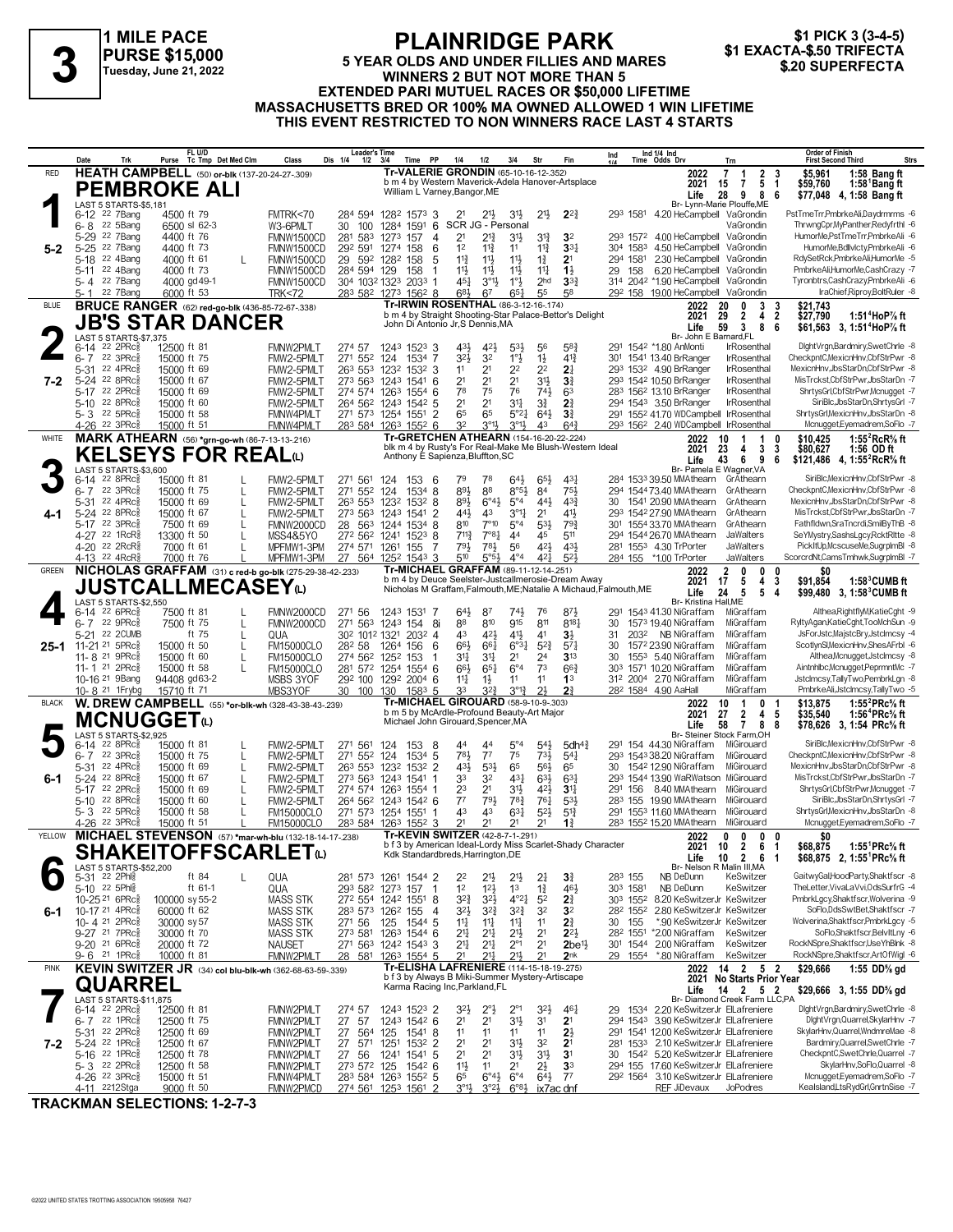# \$1 PICK 3 (3-4-5)<br>\$1 EXACTA-\$.50 TRIFECTA

**1 MILE PACE PURSE \$15,000 Tuesday, June 21, 2022**

#### **5 YEAR OLDS AND UNDER FILLIES AND MARES WINNERS 2 BUT NOT MORE THAN 5 EXTENDED PARI MUTUEL RACES OR \$50,000 LIFETIME MASSACHUSETTS BRED OR 100% MA OWNED ALLOWED 1 WIN LIFETIME THIS EVENT RESTRICTED TO NON WINNERS RACE LAST 4 STARTS 1 A FLAINNIDUL FAIN**<br>
FLAINNIDUL FAIN<br>
Tuesday, June 21, 2022<br>
Tuesday, June 21, 2022<br> **3 EXTENDED BABLINUTIEL BACES OF \$50,000 LIFETIME**<br>
EXTENDED BABLINUTIEL BACES OF \$50,000 LIFETIME

|              | Trk<br>Date                                                       | FL U/D<br>Tc Tmp Det Med Clm<br>Purse                                  | Dis 1/4<br>Class                       | Leader's Time<br>$1/2$ $3/4$<br>Time PP                                               | 1/4<br>1/2<br>3/4<br>Str                                                                                                                            | Fin                                         | Ind 1/4 Ind<br>Time Odds Drv<br>Ind<br>Trn                                                | <b>Order of Finish</b><br>Strs<br><b>First Second Third</b>                                                                                |
|--------------|-------------------------------------------------------------------|------------------------------------------------------------------------|----------------------------------------|---------------------------------------------------------------------------------------|-----------------------------------------------------------------------------------------------------------------------------------------------------|---------------------------------------------|-------------------------------------------------------------------------------------------|--------------------------------------------------------------------------------------------------------------------------------------------|
| RED          |                                                                   | <b>HEATH CAMPBELL</b> (50) or-blk (137-20-24-27-.309)                  |                                        |                                                                                       | Tr-VALERIE GRONDIN (65-10-16-12-.352)<br>b m 4 by Western Maverick-Adela Hanover-Artsplace                                                          |                                             | 2022<br>$\overline{7}$                                                                    | $\overline{2}$<br>\$5,961<br>1:58 Bang ft<br>$\mathbf{1}$<br>3                                                                             |
|              |                                                                   | <b>PEMBROKE ALI</b>                                                    |                                        |                                                                                       | William L Varney, Bangor, ME                                                                                                                        |                                             | 2021<br>15<br>28<br>Life                                                                  | 5<br>7<br>1:58 Bang ft<br>-1<br>\$59,760<br>9<br>8<br>6<br>\$77,048 4, 1:58 Bang ft                                                        |
|              | <b>LAST 5 STARTS-\$5.181</b>                                      |                                                                        |                                        |                                                                                       |                                                                                                                                                     |                                             | Br- Lynn-Marie Plouffe,ME                                                                 |                                                                                                                                            |
|              | 6-12 <sup>22</sup> 7Bang<br>6-8 <sup>22</sup> 5Bang               | 4500 ft 79<br>6500 sl 62-3                                             | FMTRK<70<br>W3-6PMLT<br>30             | 284 594 1282 1573 3<br>100<br>1284<br>$1591$ 6                                        | 3 <sup>1</sup><br>2 <sup>1</sup><br>$21\frac{1}{2}$<br>2 <sup>1</sup><br>SCR JG - Personal                                                          | $2^{2}$                                     | 293 1581<br>4.20 HeCampbell VaGrondin                                                     | PstTmeTrr,PmbrkeAli,Daydrmrms -6<br>ThrwngCpr,MyPanther,Redyfrthl -6<br>VaGrondin                                                          |
|              | 22 7Bang<br>$5 - 29$                                              | 4400 ft 76                                                             | <b>FMNW1500CD</b>                      | 281 583<br>157<br>1273<br>4                                                           | 2 <sup>1</sup><br>$2^{13}$<br>31}<br>$3^{13}$                                                                                                       | 3 <sup>2</sup>                              | 293 1572 4.00 HeCampbell                                                                  | HumorMe,PstTmeTrr,PmbrkeAli -6<br>VaGrondin                                                                                                |
| $5 - 2$      | 22 7Bang<br>$5 - 25$                                              | 4400 ft 73                                                             | FMNW1500CD                             | 292 591<br>1274 158<br>6                                                              | 1 <sup>2</sup><br>$11\frac{3}{4}$<br>$11\frac{3}{4}$<br>11                                                                                          | 33 <sub>1</sub>                             | 304 1583<br>4.50 HeCampbell                                                               | HumorMe, Bdllvlcty, PmbrkeAli -6<br>VaGrondin                                                                                              |
|              | 22 4Bang<br>5-18<br>22 4Bang<br>$5 - 11$                          | 4000 ft 61<br>4000 ft 73                                               | <b>FMNW1500CD</b>                      | 29 592 1282<br>158<br>5<br>284 594 129<br>158<br>-1                                   | $11\frac{3}{4}$<br>$11\frac{1}{2}$<br>$11\frac{1}{2}$<br>$1\frac{3}{4}$<br>$11\frac{1}{2}$<br>$11\frac{1}{2}$<br>$11\frac{1}{4}$<br>$11\frac{1}{2}$ | 2 <sup>1</sup><br>$1\frac{1}{2}$            | 2.30 HeCampbell VaGrondin<br>294 1581<br>6.20 HeCampbell VaGrondin<br>29 158              | RdySetRck,PmbrkeAli,HumorMe -5<br>PmbrkeAli,HumorMe,CashCrazy -7                                                                           |
|              | 5-4 22 7Bang                                                      | 4000 gd 49-1                                                           | FMNW1500CD<br>FMNW1500CD               | 304 1032 1323 2033 1                                                                  | $1^{\circ}$<br>2 <sub>hd</sub><br>45}<br>$3^{01}\frac{1}{2}$                                                                                        | $3^{3}_{4}$                                 | 314 2042 *1.90 HeCampbell VaGrondin                                                       | Tyronbtrs,CashCrazy,PmbrkeAli -6                                                                                                           |
|              | 22 7Bang<br>5-1                                                   | 6000 ft 53                                                             | <b>TRK&lt;72</b>                       | 283 582 1273 1562 8                                                                   | 683<br>67<br>$65\frac{1}{4}$<br>55                                                                                                                  | 58                                          | 29 <sup>2</sup> 158 19.00 HeCampbell VaGrondin                                            | IraChief, Riproy, BoltRuler -8                                                                                                             |
| <b>BLUE</b>  |                                                                   | <b>BRUCE RANGER</b> (62) red-go-blk (436-85-72-67-338)                 |                                        |                                                                                       | Tr-IRWIN ROSENTHAL (86-3-12-16-.174)<br>b m 4 by Straight Shooting-Star Palace-Bettor's Delight                                                     |                                             | 2022<br>20<br>2021<br>29                                                                  | 3<br>\$21,743<br>0<br>3<br>$\overline{\mathbf{c}}$<br>$\overline{2}$<br>\$27.790<br>4<br>1:51 <sup>4</sup> HoP% ft                         |
|              |                                                                   | <b>JB'S STAR DANCER</b>                                                |                                        |                                                                                       | John Di Antonio Jr, S Dennis, MA                                                                                                                    |                                             | 59<br>Life                                                                                | 3<br>8<br>\$61,563 3, 1:51 <sup>4</sup> HoP% ft<br>6                                                                                       |
|              | <b>LAST 5 STARTS-\$7.375</b><br>22 2PRc3<br>6-14                  | 12500 ft 81                                                            | FMNW2PMLT<br>274 57                    | 1243 1523 3                                                                           | 431<br>423<br>5 <sup>3</sup><br>56                                                                                                                  | $5^{8}$                                     | Br- John E Barnard, FL<br>291 1542 *1.80 AnMonti                                          | DightVrgn,Bardmiry,SwetChrle -8<br>IrRosenthal                                                                                             |
|              | $6 - 7$<br>22 $3PRc85$                                            | 15000 ft 75                                                            | FMW2-5PMLT                             | 271 552 124<br>1534 7                                                                 | 32}<br>32<br>$1^{\circ}$<br>$1\frac{1}{2}$                                                                                                          | $4^{13}$                                    | 301 1541 13.40 BrRanger                                                                   | CheckpntC.MexicnHnv.CbfStrPwr -8<br><b>IrRosenthal</b>                                                                                     |
|              | 5-31 22 4PRc                                                      | 15000 ft 69                                                            | FMW2-5PMLT                             | 263 553<br>1232 1532 3                                                                | 2 <sup>2</sup><br>2 <sup>2</sup><br>11<br>2 <sup>1</sup>                                                                                            | 2 <sup>1</sup>                              | 293 1532 4.90 BrRanger                                                                    | MexicnHnv,JbsStarDn,CbfStrPwr -8<br><b>IrRosenthal</b>                                                                                     |
| 7-2          | 5-24 22 8PRcs<br>22 2PRc3                                         | 15000 ft 67<br>15000 ft 69                                             | FMW2-5PMLT<br>FMW2-5PMLT               | 273 563 1243 1541 6<br>274 574 1263 1554 6                                            | 2 <sup>1</sup><br>2 <sup>1</sup><br>2 <sup>1</sup><br>$3^{11}$<br>78<br>75<br>76<br>$74\frac{1}{2}$                                                 | $3\frac{3}{4}$<br>6 <sup>3</sup>            | 293 1542 10.50 BrRanger<br>283 1562 13.10 BrRanger                                        | MisTrckst,CbfStrPwr,JbsStarDn -7<br><b>IrRosenthal</b><br>ShrtysGrl,CbfStrPwr,Mcnugget -7<br><b>IrRosenthal</b>                            |
|              | 5-17<br>22 8PRc<br>$5 - 10$                                       | 15000 ft 60                                                            | FMW2-5PMLT                             | 264 562 1243 1542 5                                                                   | 2 <sup>1</sup><br>31<br>$3\frac{3}{4}$<br>2 <sup>1</sup>                                                                                            | 2 <sup>3</sup>                              | 294 1543 3.50 BrRanger                                                                    | SiriBlc, JbsStarDn, ShrtysGrl -7<br><b>IrRosenthal</b>                                                                                     |
|              | 5-3 22 5PRc                                                       | 15000 ft 58                                                            | FMNW4PMLT                              | 271 573 1254 1551 2                                                                   | 65<br>65<br>64}<br>$5^{\circ}2\frac{1}{4}$                                                                                                          | 3 <sup>3</sup>                              | 291 1552 41.70 WDCampbell IrRosenthal                                                     | ShrtysGrl, MexicnHnv, JbsStarDn -8                                                                                                         |
|              | 4-26 22 3PRc <sup>5</sup>                                         | 15000 ft 51                                                            | FMNW4PMLT                              | 283 584 1263 1552 6                                                                   | 32<br>$3^{\circ}1\frac{1}{2}$<br>$3^{01}$<br>43                                                                                                     | $64\frac{3}{4}$                             | 293 1562 2.40 WDCampbell IrRosenthal                                                      | Mcnugget, Eyemadrem, SoFlo -7                                                                                                              |
| WHITE        |                                                                   | MARK ATHEARN (56) *grn-go-wh (86-7-13-13-216)                          |                                        |                                                                                       | <b>Tr-GRETCHEN ATHEARN (154-16-20-22-.224)</b><br>blk m 4 by Rusty's For Real-Make Me Blush-Western Ideal                                           |                                             | 2022<br>10<br>-1<br>2021<br>23                                                            | 1:55 ${}^{2}$ RcR ${}^{5}_{8}$ ft<br>$\overline{1}$<br>0<br>\$10,425<br>3<br>3<br>\$80,627<br>4<br>1:56 OD ft                              |
|              |                                                                   | <b>KELSEYS FOR REALO</b>                                               |                                        |                                                                                       | Anthony E Sapienza, Bluffton, SC                                                                                                                    |                                             | Life<br>43                                                                                | 6<br>9<br>6<br>\$121,486 4, 1:55 <sup>2</sup> RcR <sup>5</sup> / <sub>8</sub> ft                                                           |
|              | LAST 5 STARTS-\$3,600<br>6-14 22 8PRc <sup>5</sup>                | 15000 ft 81                                                            | FMW2-5PMLT                             | 271 561<br>124<br>1536                                                                | 79<br>78<br>643<br>$65\frac{1}{2}$                                                                                                                  | $43\frac{1}{4}$                             | Br- Pamela E Wagner, VA<br>284 1533 39.50 MMAthearn                                       | SiriBlc.MexicnHnv.CbfStrPwr -8<br>GrAthearn                                                                                                |
|              | 22 3PRc3<br>6-7                                                   | 15000 ft 75<br>L                                                       | FMW2-5PMIT                             | 271 552 124<br>$1534$ 8                                                               | 893<br>88<br>$8°5\frac{1}{2}$<br>84                                                                                                                 | $75\frac{1}{2}$                             | 294 1544 73.40 MMAthearn                                                                  | CheckpntC, MexicnHnv, CbfStrPwr -8<br>GrAthearn                                                                                            |
|              | 5-31 22 4PRcs                                                     | 15000 ft 69<br>L                                                       | FMW2-5PMLT                             | 263 553 1232<br>1532 8                                                                | 893<br>$6^{\circ}4\frac{1}{2}$<br>$5^{\circ}4$<br>443                                                                                               | $4^{3}\frac{3}{4}$                          | 1541 20.90 MMAthearn<br>30                                                                | MexicnHnv.JbsStarDn.CbfStrPwr -8<br>GrAthearn                                                                                              |
|              | 5-24 22 8PRc<br>5-17 22 3PRc                                      | 15000 ft 67<br>L<br>7500 ft 69<br>L                                    | FMW2-5PMLT<br>FMNW2000CD               | 273 563 1243 1541 2<br>28 563 1244 1534 8                                             | $3^{\circ}1\frac{1}{4}$<br>2 <sup>1</sup><br>441<br>43<br>$7^{\circ}10$<br>$5^{\circ}4$<br>53}<br>810                                               | 41}<br>793                                  | 293 1542 27.90 MMAthearn<br>301 1554 33.70 MMAthearn                                      | MisTrckst.CbfStrPwr.JbsStarDn -7<br>GrAthearn<br>Fathfldwn,SraTncrdi,SmilByThB -8<br>GrAthearn                                             |
|              | 4-27 <sup>22</sup> 1RcR <sup>3</sup>                              | 13300 ft 50<br>L                                                       | MSS4&5YO                               | 272 562 1241<br>$152^3$ 8                                                             | $7^{11}$<br>7°8 <sup>1</sup><br>44<br>45                                                                                                            | 511                                         | 294 1544 26.70 MMAthearn                                                                  | SeYMystry,SashsLgcy,RcktRltte -8<br><b>JaWalters</b>                                                                                       |
|              | 4-20 22 2RcR <sup>5</sup>                                         | 7000 ft 61                                                             | MPFMW1-3PM                             | 274 571 1261 155<br>-7                                                                | 791<br>781<br>56<br>42}                                                                                                                             | 431                                         | 281 1553 4.30 TrPorter                                                                    | <b>JaWalters</b><br>PickItUp,McscuseMe,SugrpImBI -8                                                                                        |
| GREEN        | 4-13 22 4RcR <sup>3</sup>                                         | 7000 ft 76<br>NICHOLAS GRAFFAM (31) c red-b go-blk (275-29-38-42-.233) | MPFMW1-3PM                             | 27 564<br>1252 1543 3                                                                 | $4^{\circ}4$<br>510<br>5°5 <sup>3</sup><br>$4^{2}$<br>Tr-MICHAEL GRAFFAM (89-11-12-14-251)                                                          | $5^{2}$                                     | 284 155 *1.00 TrPorter<br>$\mathbf{2}$                                                    | ScorcrdNt,CamsTmhwk,SugrplmBl -7<br>JaWalters<br>0                                                                                         |
|              |                                                                   |                                                                        |                                        |                                                                                       | b m 4 by Deuce Seelster-Justcallmerosie-Dream Away                                                                                                  |                                             | 2022<br>2021<br>17                                                                        | 0<br>0<br>SO.<br>5<br>4<br>\$91,854<br>$1:583$ CUMB ft<br>3                                                                                |
|              |                                                                   | <b>JUSTCALLMECASEY</b> W                                               |                                        |                                                                                       | Nicholas M Graffam, Falmouth, ME; Natalie A Michaud, Falmouth, ME                                                                                   |                                             | Life<br>24                                                                                | 5<br>5<br>4<br>\$99,480 3, 1:58 °CUMB ft                                                                                                   |
|              | LAST 5 STARTS-\$2,550<br>22 6PRc3<br>6-14                         | 7500 ft 81                                                             | 271 56<br>FMNW2000CD                   | 1243 1531 7                                                                           | 74}<br>643<br>87<br>76                                                                                                                              | 873                                         | Br- Kristina Hall, ME<br>291 1543 41.30 NiGraffam                                         | Althea, RightflyM, KatieCght -9<br>MiGraffam                                                                                               |
|              | $22 \text{ } 9$ PR $c_{8}^{5}$<br>6-7                             | 7500 ft 75<br>L                                                        | <b>FMNW2000CD</b>                      | 271 563<br>1243 154<br>-8i                                                            | 915<br>811<br>88<br>810                                                                                                                             | $8^{18}$                                    | 1573 19.40 NiGraffam<br>30                                                                | RyltyAgan,KatieCght,TooMchSun -9<br>MiGraffam                                                                                              |
|              | 5-21 22 2CUMB<br>11-21 <sup>21</sup> 5PRc                         | ft 75<br>L<br>15000 ft 50                                              | QUA<br>28 <sup>2</sup> 58              | 30 <sup>2</sup> 101 <sup>2</sup> 132 <sup>1</sup> 203 <sup>2</sup> 4<br>1264 156<br>6 | $41\frac{1}{2}$<br>43<br>423<br>41<br>66}<br>661<br>$6^{o_{31}}$<br>$5^{2}$                                                                         | $3\frac{1}{2}$<br>$5^{71}$                  | NB NiGraffam<br>31<br>2032<br>30<br>1572 23.90 NiGraffam                                  | JsForJstc,MajstcBry,JstcImcsy -4<br>MiGraffam<br>ScotlynSl,MexicnHnv,ShesAFrbl -6<br>MiGraffam                                             |
| $25 - 1$     | 11-8 <sup>21</sup> 9PRc                                           | L<br>15000 ft 60<br>L                                                  | FM15000CLO<br><b>FM15000CLO</b>        | 274 562 1252 153<br>1                                                                 | 2 <sup>1</sup><br>$3^{11}$<br>31<br>2 <sup>4</sup>                                                                                                  | $3^{13}$                                    | 1553 5.40 NiGraffam<br>30                                                                 | MiGraffam<br>Althea, Mcnugget, Jstclmcsy -8                                                                                                |
|              | 11-1 21 2PRcs                                                     | 15000 ft 58                                                            | <b>FM15000CLO</b>                      | 281 572 1254 1554 6                                                                   | $6^{\circ}4$<br>73<br>$65\frac{1}{4}$<br>661                                                                                                        | $66\frac{3}{4}$                             | 303 1571 10.20 NiGraffam                                                                  | MiGraffam<br>Aintnhlbc,Mcnugget,PeprmntMc -7                                                                                               |
|              | 10-16 <sup>21</sup> 9 Bang<br>10-8 <sup>21</sup> 1 Frybg          | 94408 gd63-2<br>15710 ft 71                                            | MSBS 3YOF<br>MBS3YOF                   | 292 100<br>1292 2004 6<br>30 100 130 1583 5                                           | 11<br>$11\frac{1}{4}$<br>$1\frac{1}{2}$<br>11<br>$3^{2}\frac{3}{4}$<br>$3^{012}$<br>2 <sup>1</sup><br>33                                            | 1 <sup>3</sup><br>21                        | 312 2004 2.70 NiGraffam<br>28 <sup>2</sup> 1584 4.90 AaHall                               | Jstclmcsy,TallyTwo,PembrkLgn -8<br>MiGraffam<br>PmbrkeAli,Jstclmcsy,TallyTwo -5<br>MiGraffam                                               |
| <b>BLACK</b> |                                                                   | W. DREW CAMPBELL (55) *or-blk-wh (328-43-38-43-239)                    |                                        |                                                                                       | Tr-MICHAEL GIROUARD (58-9-10-9-.303)                                                                                                                |                                             | $\mathbf{1}$<br>2022<br>10                                                                | 0<br>\$13,875<br>1:55 $^{2}$ PRc $\%$ ft                                                                                                   |
|              | <b>MCNUGGET@</b>                                                  |                                                                        |                                        |                                                                                       | b m 5 by McArdle-Profound Beauty-Art Major<br>Michael John Girouard, Spencer, MA                                                                    |                                             | 27<br>2021                                                                                | $\overline{2}$<br>4<br>5<br>\$35,540<br>1:56 <sup>4</sup> PRc% ft                                                                          |
|              | LAST 5 STARTS-\$2,925                                             |                                                                        |                                        |                                                                                       |                                                                                                                                                     |                                             | Life<br>58<br>Br- Steiner Stock Farm, OH                                                  | -8<br>$\overline{7}$<br>-8<br>\$78,626 3, 1:54 PRc% ft                                                                                     |
|              | 22 8PRc3<br>6-14                                                  | 15000 ft 81<br>L                                                       | FMW2-5PMLT                             | 271 561<br>124<br>153<br>-8                                                           | $5^{\circ}4$<br>$5^{41}$<br>44<br>44                                                                                                                | 5dh <sup>4</sup>                            | 291 154 44.30 NiGraffam                                                                   | SiriBlc.MexicnHnv.CbfStrPwr -8<br>MiGirouard                                                                                               |
|              | 22 3PRc3<br>6-7<br>5-31 22 4PRc                                   | 15000 ft 75<br>L<br>15000 ft 69<br>L                                   | FMW2-5PMLT<br>FMW2-5PMLT               | 271 552 124<br>1534 5<br>263 553 1232 1532 2                                          | 75<br>783<br>$7^7$<br>$73\frac{1}{2}$<br>65<br>431<br>$53\frac{1}{2}$<br>56}                                                                        | $5^{41}$<br>65                              | 293 1543 38.20 NiGraffam<br>1542 12.90 NiGraffam                                          | CheckpntC, MexicnHnv, CbfStrPwr -8<br>MiGirouard<br>MiGirouard<br>MexicnHnv,JbsStarDn,CbfStrPwr -8                                         |
| $6-1$        | 5-24 22 8PRc                                                      | 15000 ft 67<br>L                                                       | FMW2-5PMLT                             | 273 563 1243 1541                                                                     | 33<br>633<br>32<br>$4^{3}\frac{1}{4}$                                                                                                               | $63\frac{1}{4}$                             | 293 1544 13.90 WaRWatson MiGirouard                                                       | MisTrckst,CbfStrPwr,JbsStarDn -7                                                                                                           |
|              | 5-17 22 2PRc                                                      | 15000 ft 69<br>L                                                       | FMW2-5PMLT                             | 274 574 1263 1554 1                                                                   | 2 <sup>1</sup><br>23<br>34<br>421                                                                                                                   | 3 <sup>11</sup>                             | 291 156 8.40 MMAthearn                                                                    | MiGirouard<br>ShrtysGrl,CbfStrPwr,Mcnugget -7                                                                                              |
|              | 22 8PRc3<br>$5 - 10$<br>5-3 22 5PRc                               | 15000 ft 60<br>15000 ft 58                                             | FMW2-5PMLT                             | 264 562 1243 1542 6                                                                   | $7^7$<br>791<br>$78\frac{3}{4}$<br>$76\frac{1}{4}$<br>$5^{21}$<br>43<br>43                                                                          | $5^{3}\frac{1}{2}$                          | 283 155 19.90 MMAthearn<br>291 1553 11.60 MMAthearn                                       | SiriBlc.JbsStarDn.ShrtysGrl -7<br>MiGirouard<br>ShrtysGrl, MexicnHnv, JbsStarDn -8<br>MiGirouard                                           |
|              | 4-26 <sup>22</sup> 3PRc                                           | 15000 ft 51                                                            | <b>FM15000CLO</b><br><b>FM15000CLO</b> | 271 573 1254 1551 1<br>283 584 1263 1552 3                                            | $63\frac{1}{4}$<br>2 <sup>1</sup><br>2 <sup>1</sup><br>2 <sup>1</sup><br>2 <sup>1</sup>                                                             | $5^{13}$<br>$1\frac{3}{2}$                  | 283 1552 15.20 MMAthearn MiGirouard                                                       | Mcnugget, Eyemadrem, SoFlo -7                                                                                                              |
| YELLOW       |                                                                   | MICHAEL STEVENSON (57) *mar-wh-blu (132-18-14-17-238)                  |                                        |                                                                                       | Tr-KEVIN SWITZER (42-8-7-1-291)                                                                                                                     |                                             | 2022<br>0                                                                                 | 0<br>0<br>0<br>\$O                                                                                                                         |
|              |                                                                   | <b>SHAKEIIOFFSCARLEI©</b>                                              |                                        |                                                                                       | b f 3 by American Ideal-Lordy Miss Scarlet-Shady Character<br>Kdk Standardbreds, Harrington, DE                                                     |                                             | 2021 10 2<br>$10 \quad 2 \quad 6$<br>Life                                                 | 1:55 <sup>1</sup> PRc <sup>5</sup> / <sub>s</sub> ft<br>\$68,875<br>- 6<br>-1<br>\$68,875 2, 1:55 PRc <sup>5</sup> / <sub>8</sub> ft<br>-1 |
|              | LAST 5 STARTS-\$52,200                                            |                                                                        |                                        |                                                                                       |                                                                                                                                                     |                                             | Br- Nelson R Malin III, MA                                                                |                                                                                                                                            |
|              | 5-31 22 2Phls<br>5-10 22 5Phlg                                    | ft 84<br>L<br>ft 61-1                                                  | QUA<br>QUA                             | 281 573 1261 1544 2<br>293 582 1273 157<br>$\overline{1}$                             | 22<br>$21\frac{1}{2}$<br>2 <sup>11</sup><br>$2\frac{1}{4}$<br>$1\frac{3}{4}$<br>1 <sup>2</sup><br>$12\frac{1}{2}$<br>1 <sup>3</sup>                 | $3\frac{3}{4}$<br>461                       | 283 155<br>NB DeDunn<br>303 1581<br>NB DeDunn                                             | GaitwyGal,HoodParty,Shaktfscr -8<br>KeSwitzer<br>TheLetter, VivaLa Vvi, OdsSurfrG -4<br>KeSwitzer                                          |
|              | 10-25 21 6PRc <sup>5</sup>                                        | 100000 sy 55-2                                                         | <b>MASS STK</b>                        | 272 554 1242 1551 8                                                                   | $3^{21}$<br>$4^{\circ}2^{\frac{1}{4}}$<br>5 <sup>2</sup><br>$3^{2}\frac{3}{4}$                                                                      | 2 <sup>3</sup>                              | 8.20 KeSwitzerJr KeSwitzer<br>303 1552                                                    | PmbrkLgcy,Shaktfscr,Wolverina -9                                                                                                           |
| 6-1          | 10-17 21 4PRc <sup>5</sup>                                        | 60000 ft 62                                                            | MASS STK                               | 283 573 1262 155<br>-4                                                                | $3^{2}$<br>32<br>$3^{2}\frac{3}{4}$<br>$3^{2}\frac{3}{4}$                                                                                           | 3 <sup>2</sup>                              | 2.80 KeSwitzerJr KeSwitzer<br>282 1552                                                    | SoFlo,DdsSwtBet,Shaktfscr -7                                                                                                               |
|              | 10-4 21 2PRc <sup>3</sup><br>9-27 <sup>21</sup> 7PRc <sup>5</sup> | 30000 sy 57                                                            | <b>MASS STK</b><br>271 56              | 1544 5<br>125<br>273 581 1263 1544 6                                                  | 14<br>$11\frac{1}{4}$<br>11<br>11<br>2 <sup>11</sup><br>$21\frac{1}{4}$<br>2 <sup>1</sup><br>2 <sup>1</sup>                                         | 2 <sup>3</sup><br>$2^{21}$                  | *.90 KeSwitzerJr KeSwitzer<br>30 155<br>28 <sup>2</sup> 155 <sup>1</sup> * 2.00 NiGraffam | Wolverina,Shaktfscr,PmbrkLgcy -5<br>SoFlo,Shaktfscr,BelvItLny -6<br>KeSwitzer                                                              |
|              | 9-20 <sup>21</sup> 6PRc <sup>3</sup>                              | 30000 ft 70<br>20000 ft 72                                             | MASS STK<br><b>NAUSET</b>              | 271 563 1242 1543 3                                                                   | 2 <sup>1</sup><br>2 <sup>11</sup><br>$2^{\circ}1$<br>21,                                                                                            | $2$ be <sup><math>1\frac{1}{2}</math></sup> | 2.00 NiGraffam<br>301 1544                                                                | KeSwitzer<br>RockNSpre.Shaktfscr.UseYhBlnk -8                                                                                              |
|              | 9-6 21 1PRc <sup>5</sup>                                          | 10000 ft 81                                                            | FMNW2PMLT                              | 28 581 1263 1554 5                                                                    | 21<br>21<br>211<br>211,                                                                                                                             | 2 <sub>nk</sub>                             | 29 1554<br>*.80 NiGraffam                                                                 | KeSwitzer<br>RockNSpre,Shaktfscr,ArtOfWigl -6                                                                                              |
| <b>PINK</b>  |                                                                   | KEVIN SWITZER JR (34) col blu-blk-wh (362-68-63-59-.339)               |                                        |                                                                                       | Tr-ELISHA LAFRENIERE (114-15-18-19-275)<br>b f 3 by Always B Miki-Summer Mystery-Artiscape                                                          |                                             | 2022 14 2                                                                                 | 52<br>\$29,666<br>1:55 DD% gd<br>2021 No Starts Prior Year                                                                                 |
|              | <b>QUARREL</b>                                                    |                                                                        |                                        |                                                                                       | Karma Racing Inc, Parkland, FL                                                                                                                      |                                             | Life                                                                                      | $14 \quad 2 \quad 5 \quad 2$<br>\$29,666 3, 1:55 DD% gd                                                                                    |
|              | LAST 5 STARTS-\$11,875<br>$6-14$ 22 2PRc <sup>5</sup>             | 12500 ft 81                                                            | FMNW2PMLT<br>274 57                    | 1243 1523 2                                                                           | 3 <sup>2</sup><br>$2^{\circ}$ }<br>$2^{\circ}1$<br>3 <sup>2</sup>                                                                                   | 46}                                         | Br- Diamond Creek Farm LLC,PA<br>2.20 KeSwitzerJr ElLafreniere<br>29<br>1534              | DightVrgn,Bardmiry,SwetChrle -8                                                                                                            |
|              | $22$ 1PRc $\frac{5}{8}$<br>$6 - 7$                                | 12500 ft 75                                                            | FMNW2PMLT<br>27                        | 1243 1542 6<br>57                                                                     | 2 <sup>1</sup><br>2 <sup>1</sup><br>3 <sup>1</sup><br>3 <sup>1</sup>                                                                                | 2 <sup>1</sup>                              | 294 1543 3.90 KeSwitzerJr ElLafreniere                                                    | DightVrgn,Quarrel,SkylarHnv -7                                                                                                             |
|              | 5-31 22 2PRc <sup>5</sup>                                         | 12500 ft 69                                                            | FMNW2PMLT                              | 27 564<br>125 1541 8                                                                  | 11<br>11<br>11<br>11                                                                                                                                | $2\frac{1}{2}$                              | 291 1541 12.00 KeSwitzerJr ElLafreniere                                                   | SkylarHnv, Quarrel, WndmreMae -8                                                                                                           |
| 7-2          | 5-24 22 1PRc <sup>5</sup><br>5-16 22 1PRc <sup>5</sup>            | 12500 ft 67<br>12500 ft 78                                             | FMNW2PMLT<br>FMNW2PMLT<br>27 56        | 1532 2<br>27 571<br>1251<br>1541 5<br>1241                                            | 2 <sup>1</sup><br>2 <sup>1</sup><br>3 <sup>1</sup><br>32<br>2 <sup>1</sup><br>$3^{11}$<br>2 <sup>1</sup><br>31}                                     | 2 <sup>1</sup><br>3 <sup>1</sup>            | 2.10 KeSwitzerJr ElLafreniere<br>281 1533<br>30 1542 5.20 KeSwitzerJr ElLafreniere        | Bardmiry, Quarrel, SwetChrle -7<br>CheckpntC,SwetChrle,Quarrel -7                                                                          |
|              | 5-3 <sup>22</sup> 2PRc <sup>3</sup>                               | 12500 ft 58                                                            | FMNW2PMLT                              | 273 572 125<br>1542 6                                                                 | $11\frac{1}{2}$<br>2 <sup>1</sup><br>$2\frac{1}{2}$<br>11                                                                                           | 33                                          | 294 155 17.60 KeSwitzerJr ElLafreniere                                                    | SkylarHnv,SoFlo,Quarrel -8                                                                                                                 |
|              | 4-26 <sup>22</sup> 3PRc <sup>3</sup>                              | 15000 ft 51                                                            | FMNW4PMLT                              | 283 584 1263 1552 5                                                                   | 65<br>$6^{\circ}4\frac{1}{2}$<br>$6^{\circ}4$<br>$64\frac{1}{2}$                                                                                    | $7^7$                                       | 292 1564 3.10 KeSwitzerJr ElLafreniere                                                    | Mcnugget, Eyemadrem, SoFlo -7                                                                                                              |
|              | 2212Stga<br>4-11                                                  | 9000 ft 50                                                             | FMNW2PMCD                              | 274 561 1253 1561 2                                                                   | $3^{01}$<br>$3^{°2}\frac{1}{2}$<br>$6^{83}$                                                                                                         | ix7ac dnf                                   | <b>REF JiDevaux</b>                                                                       | Kealsland,LtsRydGrl,GnrtnSise -7<br>JoPodres                                                                                               |

**TRACKMAN SELECTIONS: 1-2-7-3**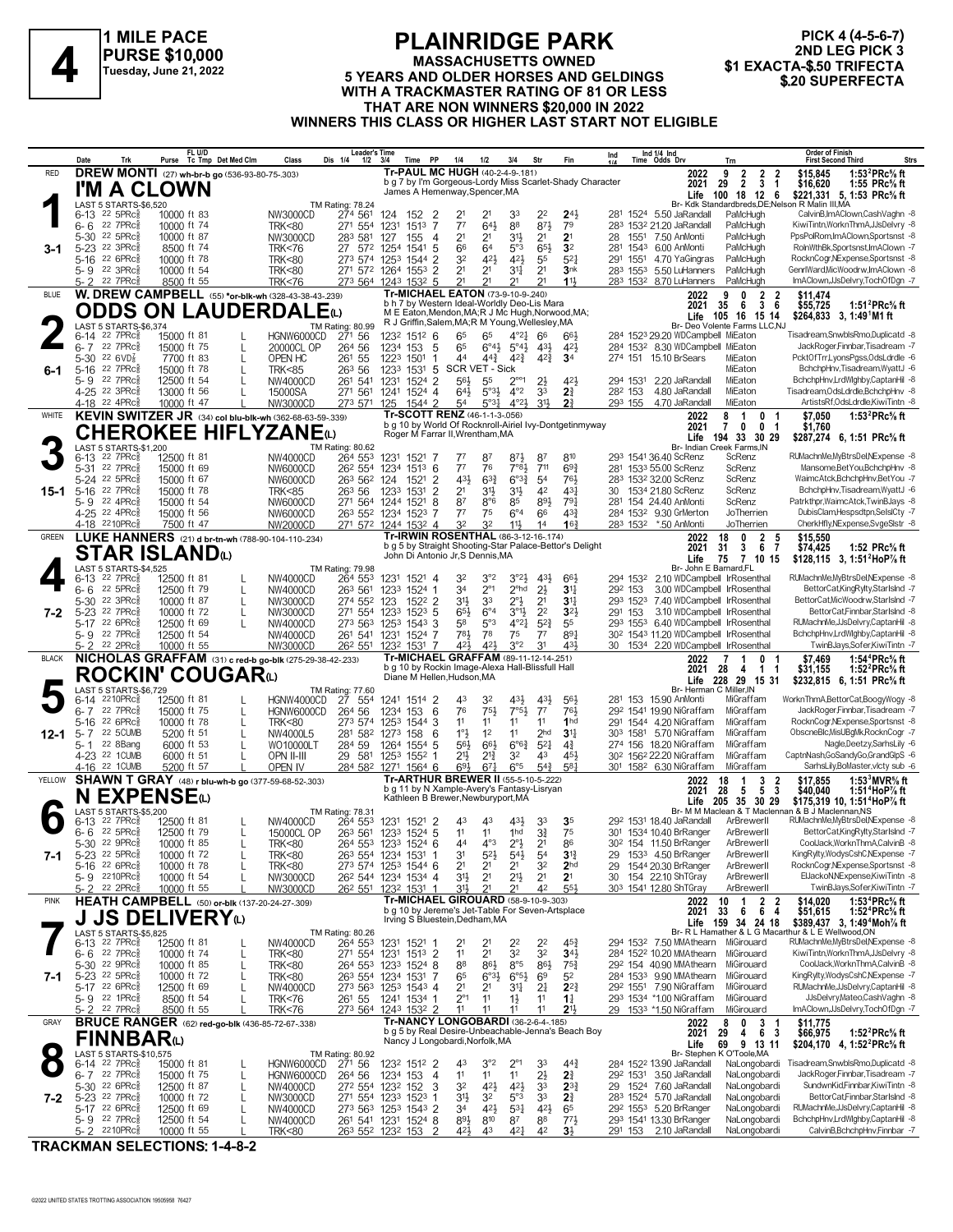

#### **PLAINRIDGE PARK MASSACHUSETTS OWNED FLAINNIDUL FARK**<br>
FLAINNIDUL FARK<br>
Tuesday, June 21, 2022 5 YEARS AND OLDER HORSES AND GELDINGS \$1 EXACTA-\$.50 TRIFECTA<br>
The stage of the stage of the stage of the stage stage in the stage of the stage of the stage of the **WITH A TRACKMASTER RATING OF 81 OR LESS THAT ARE NON WINNERS \$20,000 IN 2022 WINNERS THIS CLASS OR HIGHER LAST START NOT ELIGIBLE**

**PICK 4 (4-5-6-7)** 2ND LEG PICK 3<br>\$1 EXACTA-\$.50 TRIFECTA

**Date Trk Purse FL U/D Tc Tmp Det Med Clm Class Dis 1/4 1/2 3/4 Time PP 1/4 1/2 3/4 Str Fin Ind Leader's Time Ind 1/4 Ind 1/4 Time Odds Drv Order of Finish Trn First Second Third Strs** James A Hemenway,Spencer,MA (1999) Life 100 18 12 6 \$221,331 5, 1:53 PRc% ft (1999) James A Hemenway,Spencer,MA<br>LAST 5 STARTS (1999) TM Rating: 78.24 (1999) TM Rating: 78.24 21 21 33 22 24 24 281 1524 5.50 JaRandarbreds,D 1972 6-13 22 5PRc intervent 10000 ft 83 MW3000CD 274 561 124 152 2 21 21 33 22 24 281 1524 5.50 JaRandall PaMcHugh CalvinB,lmAClown,CashVaghn -8 283 283 283 1532 11524 5.50 JaRandall PaMcHugh CalvinB,lmAClown,CashVaghn -8 5-30 <sup>22</sup> 5PRc<sub>8</sub> 10000 ft 87 NW3000CD 283 581 127 155 4 21 21 21 **2**1 28 1551 7.50 AnMonti PaMcHugh PpsPoIRom,ImAClown,Sportsnst 8<br>5-23 22 3PRc<sub>8</sub> 8500 ft 74 TRK<76 27 572 1254 1541 5 66 32 32 6 1.0000 ft 78 1.0000 ft 178 1.25 1.31 1.25 1.34 2 32 42 42 55 52 201 1551 4.70 YaGingras PaMcHugh RocknCogr,NExpense,Sportsnst -8<br>1999 - SPRCÅ 10000 ft 54 1.26 1.271 572 1264 1553 2 21 21 314 21 314 21 3153 5.50 LuH 22 3PRc 3 10000 ft 54 TRK<80 271 572 1264 1553 2 21 21 31 21 3nk 283 1553 550 LuHanners PaMcHugh GenrlWard,MicWoodrw,ImAClown 8<br>22 7PRc 3 8500 ft 55 TRK<76 273 564 1243 1532 5 21 21 21 11 283 1532 8.70 LuHanners PaMcHugh I 21 21 21 283 5- 2 8.70 LuHanners PaMcHugh ImAClown,JJsDelvry,TochOfDgn -7 22 7PRcÁ 8500 ft 55 TRK<76 273 564 1243 1532 5 21 **1**1½ 1532 **DREW MONTI** (27) **wh-br-b go** (536-93-80-75-.303) RED **2022 3-1** b g 7 by I'm Gorgeous-Lordy Miss Scarlet-Shady Character James A Hemenway,Spencer,MA  **29 2 3 1 \$16,620 1:55 PRc⅝ ft 9 2 2 2 \$15,845 1:53<sup>2</sup>PRc⅝ ft 2021 Tr-PAUL MC HUGH** (40-2-4-9-.181) **I'M A CLOWN**<br> **1 148T 5 STARTS-\$6,520**<br> **16-6 22 7PRG\$**<br> **10000 ft 74**<br> **10000 ft 74**<br> **10000 ft 74** LAST 5 STARTS-\$6,520 TM Rating: 78.24 651 22 7PRc (15000 ft 81 L HGNW6000CD 271 56 1232 1512 6 65 65 4°24 66 664 284 1523 29.20 WDCampbell MiEaton Tisadream,SnwblsRmo,Duplicatd -8<br>6-7 22 7PRc 15000 ft 75 L 20000CL OP 264 56 1234 153 5 65 6°44 5°44 434 424 284 6-7 <sup>22</sup> 7PRc៖ 15000 ft 75 L 20000CL OP 264 56 1234 153 5 6<sup>5</sup> 6°4½ 5°4½ 42½ 284 153<sup>2</sup> 8.30 WDCampbell MiEaton JackRoger.Finnbar,Tisadream -7<br>5-30 <sup>22</sup> 6VD፤ 7700 ft 83 L OPEN HC 261 55 1223 1501 1 44 5-16 SCR VET - SIC - SICK MIEATON BCHChpHnv,Tisadream, WyattJ -6 5-16 22 7PRcÁ 15000 ft 78 L TRK<85 263 56 1233 1531 5 SCR VET - Sick 1531 294 1531 220 JaRandall MiEaton BchchpHnv,Tisadream, WyattJ -6 263 56 1233 1531 5 26 5-9 <sup>22</sup> 7PRc≹ 12500 ft 54 L NW4000CD 261 541 1231 1524 2 56½ 55 2°°1 2½ 42½ 294 1531 220 JaRandall MiEaton BchchpHnv,LrdWlghby,CaptanHil 8 4-25 <sup>22</sup> 3PRc총 13000 ft 56 L 15000SA 271 561 1241 1524 4 64½ 5°3½ 4°<sup>2</sup> 33 **2**¾ 28<sup>2</sup> 153 4.80 JaRandall MiEaton Tisadream,OdsLdrdle,BchchpHnv -8 4-18 <sup>22</sup> 4PRc‱ 10000 ft 47 L NW3000CD 273 571 125 1544 2 5<sup>4</sup> 5°34 4°2<u>4 314 22 23 155 4.70</u> JaRandall MiEaton ArtistsRf,OdsLdrdle,KiwiTintn -8 **W. DREW CAMPBELL** (55) **\*or-blk-wh** (328-43-38-43-.239) BLUE **2022 6-1** Br- Deo Volente Farms LLC,NJ b h 7 by Western Ideal-Worldly Deo-Lis Mara<br>M E Eaton,Mendon,MA;R J Mc Hugh,Norwood,MA;<br>R J Griffin,Salem,MA;R M Young,Wellesley,MA  **35 6 3 6 \$55,725 1:51<sup>2</sup>PRc⅝ ft 9 0 2 2 \$11,474 105 16 15 14 \$264,833 1:49<sup>1</sup>M1 ft 2021** Life **105** 16 15 14 **Tr-MICHAEL EATON** (73-9-10-9-.240) **ODDS ON LAUDERDALE**(L)<br> **2 CAUSE STARTS-S6.374**<br>
6-14 22 **7PRGs** 15000 ft 81<br>
6-7 22 **7PRGs** 15000 ft 75<br>
5-30 22 6VD<sub>8</sub> 15000 ft 83<br>
7700 ft 83<br>
L OPEN HC 261 55 LAST 5 STARTS-\$6,374<br>6-14 <sup>22</sup> 7PRc<sub>8</sub> 15 77 87 87½ 293 6-13 36.40 ScRenz ScRenz RUMachnMe,MyBtrsDel,NExpense -8 22 7PRcÁ 12500 ft 81 NW4000CD 264 553 1231 1521 7 87 810 1541 Br- Indian Creek Farms,IN 122 7PRc‱ 12500 ft 81 MW4000CD 264 553 1231 1521 7 77 87 871 87 810 293 1541 36.40 ScRenz ScRenz RUMachnMe,MyBtrsDelNExpense -8 263 1231 1521 7 76 87 812 11 69 283 1543 66 281 1533 55.00 ScRenz RUMachnMe,MyBtrsDelNExpense 1524 22 5PRc≸ 15000 ft 67 MW6000CD 263 562 124 1521 2 431 633 633 54 763 283 1532 3200 ScRenz ScRenz WaimcAtck,BchchpHnv,BetYou -7 1634 563 154 763 562 124 1521 2 434 633 54 763 1532 3200 ScRenz ScRenz WaimcAtck,BchchpHnv 21 31½ 31½ 30 5-16 21.80 ScRenz ScRenz BchchpHnv,Tisadream,WyattJ -6 22 7PRcÁ 15000 ft 78 TRK<85 263 56 1233 1531 2 42 43¼ 1534 5-9 <sup>22</sup> 4PRc≩ 15000 ft 54 NW6000CD 271 564 1244 1521 8 87 8°6 88 89½ 79½ 281 154 24.40 AnMonti ScRenz Patrkthpr,WaimcAtck,TwinBJays 8 1.5 22 4PRc 1.000 n 37 cm = 1.000000 1.000 1.000 0.000 0.000 0.000 0.000 0.000 0.00000 1.000000 0.000000 1.000<br>1.418 2210PRc∯ 7500 ft 47 NW2000CD 271 572 1244 1532 4 32 32 11<sup>1</sup> 14 16≹ 283 1532 150 AnMonti JoTherrien Cher 32 32 32 11 30 32 11 Monti JoTherrien CherkHfly,NExpense,SvgeSlstr -8<br>1922 18 0 2 5 \$15,550<br>2021 31 3 6 7 \$74.425 1:52 PRc<sup>5</sup>/<sub>6</sub> **KEVIN SWITZER JR** (34) **col blu-blk-wh** (362-68-63-59-.339) WHITE **2022 15-1** b g 10 by World Of Rocknroll-Airiel Ivy-Dontgetinmyway Roger M Farrar II,Wrentham,MA  **7 0 0 1 \$1,760 8 1 0 1 \$7,050 1:53<sup>2</sup>PRc⅝ ft 194 33 30 29 \$287,274 1:51 PRc⅝ ft 2021** 194 33 30 29 **Tr-SCOTT RENZ** (46-1-1-3-.056) **CHEROKEE HIFLYZANE**(L)<br> **3** 6-13 22 7PRGs 12500 ft 81 NW4000CD 264 553<br> **3** 6-13 22 7PRGs 12500 ft 81 NW4000CD 264 553 LAST 5 STARTS-\$1,200<br>6-13 <sup>22</sup> 7PRc<sup>5</sup> 12500 ft 81 **3 I AN ISLAND(L)**<br>294 Br- John Et Michaig: 79.98 TM Rating: 79.98 Facebook of Brand,FLG 2014 537 Facebook of Barnard,FLG 81 L NW4000CD 264 55<sup>3</sup> 1231 1521 4 3<sup>2</sup> 3<sup>°2</sup> 3<sup>°2</sup> 4<sup>31</sup> 6<sup>61</sup> 294 153<sup>2</sup> 2.10 WDCampbell lifRose 34 2°1 2°hd 292 6- 6 3.00 WDCampbell IrRosenthal BettorCat,KingRylty,StarIslnd -7 22 5PRcÁ 12500 ft 79 L NW4000CD 263 561 1233 1524 1 2½ **3**1¼ 153 31½ 33 2°½ 293 5-30 7.40 WDCampbell IrRosenthal BettorCat,MicWoodrw,StarIslnd -7 22 3PRcÁ 10000 ft 87 L NW3000CD 274 552 123 1522 2 21 **3**1¼ 1523 5-23 22 7PRcई 10000 ft 72 L NW3000CD 271 554 1233 1523 5 654 6°4 3°<sup>1</sup> 22 3°24 291 153 3.10 WDCampbell IrRosenthal BettorCat,Finnbar,StarIslnd -8<br>5-17 22 6PRcई 12500 ft 69 L NW4000CD 273 563 1253 1543 3 5<sup>8</sup> 5°3 4°24 52≵ 5-17 22 6PRc៖ 12500 ft 69 L NW4000CD 273 563 1253 1543 3 58 5°3 4°21 523 55 293 1553 6.40 WDCampbell IrRosenthal RUMachnMe,JJsDelvry,CaptanHil 8<br>5-9 22 7PRc៖ 12500 ft 54 NW4000CD 261 541 1231 1524 7 78½ 78 75 77 891 302 1  $\frac{22}{27}$  78  $\frac{2500}{2500}$  ft 54 11.20 10.000  $\frac{261}{261}$  524  $\frac{78}{1231}$  1524  $\frac{7}{1231}$  75  $\frac{78}{78}$  75  $\frac{77}{7}$  78  $\frac{1}{302}$  78 1543 11.20 WDCampbell IrRosenthal BchchpHnv,LrdWlghby,CaptanHil 8<br> $\frac{1}{22$ 5- 2 <sup>22</sup> 2PRc<sub>8</sub> 10000 ft 55 NW3000CD 262 551 1232 1531 7 42½ 13<sup>2</sup> 31 43½ 1534 2.20 WDCampbell lrRosenthal TwinBJays,Sofer,KiwiTintn -7 **LUKE HANNERS** (21) **d br-tn-wh** (788-90-104-110-.234) GREEN **2022 7-2** b g 5 by Straight Shooting-Star Palace-Bettor's Delight John Di Antonio Jr,S Dennis,MA  **31 3 6 7 \$74,425 1:52 PRc⅝ ft 18 0 2 5 \$15,550 75 7 10 15 \$128,115 1:51<sup>2</sup>HoP⅞ ft 2021 Tr-IRWIN ROSENTHAL** (86-3-12-16-.174) **STAR ISLAND**(L)<br> **4**  $_{6-13}^{LAST ART5-$4,525}$ <br>  $_{6-6}^{6-13}$   $_{22}^{22}$   $_{7PRG8}^{37PRG8}$ <br>  $_{72500}^{4500}$   $_{72500}^{4500}$   $_{72500}^{4500}$ LAST 5 STARTS-\$4,525 TM Rating: 79.98 **NOUNIM UUUANU**<br>LAST 53TARTS&5,729 AB TM Rating: 77.60 DR HERMA,HUSSON,MA BRC≸ BRC≸ BF-Herman CMiller,IN<br>G-14 <sup>22</sup>10PRc∯ 12500 ft 81 L HGNW4000CD 27 554 1241 1514 2 43 3<sup>2</sup> 43½ 56½ 28<sup>1</sup> 153 15.90 AnMonti MiGraffam Work 263 1 1976 12210 PRG 1230 10 11 1240 100 11 1240 1241 1514 2 143 142 143 156 142 155 165 10 10 10 10 10 10 10 1<br>16 14 2210 PRGÁ 15000 ft 75 L HGNW6000CD 264 56 1234 153 6 76 75 7<sup>61</sup> 7<sup>61</sup> 76 292 1541 19.90 NiGraffam MiGr 11 11 11 291 5-16 4.20 NiGraffam MiGraffam RocknCogr,NExpense,Sportsnst -8 22 6PRcÁ 10000 ft 78 L TRK<80 273 574 1253 1544 3 11 **1**hd 1544 1) 5-7 22 5CUMB 5200 ft 51 L NW4000L5 281 582 1273 158 6 1°1 12 11 2hd 311 303 1581 5.70 NiGraffam MiGraffam ObscneBlc,MisUBgMk,RocknCogr -7<br>5-1 22 8Bang 6000 ft 53 L WO10000LT 284 59 1264 1554 5 561 6°61 6°63 521 414 274 5-1 <sup>22</sup> 8Bang 6000 ft 53 L WO10000LT 284 59 1264 1554 5 5<sup>61</sup>ż 6<sup>663</sup> 6<sup>c63</sup> 5<sup>2</sup>4 4¾ 274 156 18.20 NiGraffam MiGraffam Nagle,Deetzy,SarhsLily 6  $\frac{2}{3}$  22 1 2008  $\frac{2}{3}$  6000 ft 51 L OPN II-III 29 581 1253 1552 1 21 $\frac{1}{2}$  21 $\frac{1}{2}$  21 $\frac{1}{2}$  21 $\frac{1}{3}$   $\frac{1}{4}$   $\frac{1}{3}$   $\frac{1}{4}$   $\frac{1}{3}$   $\frac{1}{3}$   $\frac{1}{3}$  1562 22.20 NiGraffam MiGraffam CaptnNash <u>301 1582 6.30 NiGraffam MiGraffam SarhsLily</u><br>2022 18 1 3 2 \$17,855 **NICHOLAS GRAFFAM** (31) **c red-b go-blk** (275-29-38-42-.233) BLACK **2022 12-1** b g 10 by Rockin Image-Alexa Hall-Blissfull Hall Diane M Hellen,Hudson,MA  **28 4 1 1 \$31,155 1:52<sup>2</sup>PRc⅝ ft 7 1 0 1 \$7,469 1:54<sup>4</sup>PRc⅝ ft 228 29 15 31 \$232,815 1:51 PRc⅝ ft 2021 Tr-MICHAEL GRAFFAM** (89-11-12-14-.251) **ROCKIN' COUGAR(L)**<br>LAST 5 STARTS-\$6,729<br>6-14 2210PR-8 12500 ft 81 LAST 5 STARTS-\$6,729 TM Rating: 77.60<br>6-14 2210PRc 12500 ft 81 HGNW4000CD 27 554 6-13 <sup>22</sup> 7PRc총 12500 ft 81 L NW4000CD 264 553 1231 1521 2 43 43 43½ 33 **3**5 292 1531 18.40 JaRandall ArBrewerII RUMachnMe,MyBtrsDel,NExpense 8 11 16 11 16000 ft 32500 ft 79 L 11 16000CL OP 263 561 1233 1524 5 11 11 1hd 31 75 301 1534 10.40 BrRanger ArBrewerII BettorCat,KingRylty,StarIslnd -7 301 1234 124 12500 ft 79 L 15000CL OP 263 561 1233 1524 5 11 11 1nd 31 7 5-30 <sup>22</sup> 9PRc<sub>§</sub> 10000 ft 85 L TRK<80 264 553 1233 1524 6 44 4°3 2°½ 21 86 302 154 11.50 BrRanger ArBrewerII CoolJack,WorknThmA,CalvinB 8 31 32 5PRc‱ 10000 ft 72 L TRK<80 263 554 1234 1531 1 31 523 543 54% 29 1533 4.50 BrRanger ArBrewerII KingRylty,WodysCshC,NExpense -7<br>5-23 22 5PRc‱ 10000 ft 78 L TRK<80 273 574 1253 1544 6 21 21 21 32 2hd 29 1544 20.30 BrR 21 22 6PRc\$ 10000 ft 78 L TRK<80 273 574 1253 1544 6 21 21 21 23 2nd 29 1544 20.30 BrRanger ArBrewerII RocknCogr,NExpense,Sportsnst -8<br>5-9 2210PRc\$ 10000 ft 54 L NW3000CD 26<sup>2</sup> 544 1234 1534 4 313 21 21 21 21 30 154 22.10 5-9 <sup>22</sup>10PRc<sub>∛</sub> 10000 ft 54 L NW3000CD 26<sup>2</sup> 544 1234 1534 4 31½ 2<sup>1</sup> 2<sup>1</sup> 2<sup>1</sup> 30 154 22.10 ShTGray ArBrewerII ElJackoN,NExpense,KiwiTintn -8 5-2 <sup>22</sup> 2PRc<sub>8</sub> 10000 ft 55 L NW3000CD 26<sup>2</sup> 55<sup>1</sup> 123<sup>2</sup> 153<sup>1</sup> 1 3<sup>11</sup> 2<sup>1</sup> 2<sup>1</sup> 4<sup>2</sup> 55½ 303 1541 1280 ShTGray ArBrewerII TwinBJays,Sofer,KiwiTintn -7 **SHAWN T GRAY** (48) **r blu-wh-b go** (377-59-68-52-.303) YELLOW **2022 7-1** Br- M M Maclean & T Maclennan & B J Maclennan,NS **Life 10,** b g 11 by N Xample-Avery's Fantasy-Lisryan Kathleen B Brewer,Newburyport,MA  **28 5 5 3 \$40,040 1:51<sup>4</sup>HoP⅞ ft 18 1 3 2 \$17,855 1:53<sup>3</sup>MVR⅝ ft 205 35 30 29 \$175,319 1:51<sup>4</sup>HoP⅞ ft 2021 Tr-ARTHUR BREWER II** (55-5-10-5-.222) **N EXPENSE**(L)<br>
6-13 <sup>22</sup> 7PRc\$ 12500 ft 81<br>
6-6 <sup>22</sup> 5PRc\$ 12500 ft 79<br>
6-6 <sup>22</sup> 5PRc\$ 12500 ft 79 LAST 5 STARTS-\$5,200 TM Rating: 78.31 21 22 24 24 24 24 18 32 34 24 16 32 11:49<sup>4</sup>Moh" ft<br>21 22 22 45∓ 371ARTS \$1,2500 ft 81 L NW4000CD 26<sup>4</sup> 55<sup>3</sup> 123<sup>1</sup> 1 21 2<sup>1</sup> 2<sup>2</sup> 2<sup>2</sup> 2<sup>2</sup> 45<sup>3</sup> 29<sup>4</sup> 153<sup>2</sup> 7.50 MMAthearn MiGirouard RUMachnMeMyStrsDelNExpense -8 254 11 21 32 284 6- 6 10.20 MMAthearn MiGirouard KiwiTintn,WorknThmA,JJsDelvry -8 22 7PRcÁ 10000 ft 74 L TRK<80 271 554 1231 1513 2 32 **3**4½ 1522 88 86½ 8°5 292 5-30 40.90 MMAthearn MiGirouard CoolJack,WorknThmA,CalvinB -8 22 9PRcÁ 10000 ft 85 L TRK<80 264 553 1233 1524 8 86½ 75¾ 154 5-23 <sup>22</sup> 5PRc§ 10000 ft 72 L TRK<80 263 554 1234 1531 7 6<sup>5</sup> 6°<sup>3</sup> $\frac{1}{2}$  6°5 $\frac{1}{2}$  6<sup>9</sup> 5<sup>2</sup> 284 1533 9.90 MMAthearn MiGirouard 6-23 8990 ft 69 L NW4000CD 273 563 1253 1543 4 21 21 31 $\frac{1}{4}$  21 22 $\frac{3}{4}$  29<sup>2</sup> 1 21 22 BPRc≸ 12500 ft 69 L NW4000CD 273 563 1253 1543 4 21 21 21 21 223 292 1551 7.90 NiGraffam MiGirouard RUMachnMe,JJsDelvry,CaptanHil +8 21 21 21 21 21 22 1551 7.90 NiGraffam MiGirouard RUMachnMe,JJsDelvry,CaptanHil +8 <sup>22</sup> 1PRc§ 28500 ft 54 L TRK<76 261 55 1241 1534 1 2<sup>91</sup> 11 1<sup>1</sup> 1<sup>1</sup> 1<sup>4</sup> 293 1534 100 NiGraffam MiGirouard JJsDelvry,Mateo,CashVaghn -8 22 1PRc§ 8500 ft 55 L TRK<76 273 564 1243 1532 2 11 11 11 21½ 29 1533 \*1.50 NiGraff 11 11 11 29 5- 2 \*1.50 NiGraffam MiGirouard ImAClown,JJsDelvry,TochOfDgn -7 22 7PRcÁ 8500 ft 55 L TRK<76 273 564 1243 1532 2 11 **2**1½ 1533 **HEATH CAMPBELL** (50) **or-blk** (137-20-24-27-.309) PINK **2022 7-1** b g 10 by Jereme's Jet-Table For Seven-Artsplace Irving S Bluestein,Dedham,MA  **33 6 6 4 \$51,615 1:52<sup>4</sup>PRc⅝ ft 10 1 2 2 \$14,020 1:53<sup>4</sup>PRc⅝ ft \$389,437 3, 1:49<sup>4</sup>Moh% ft**<br>
thur & L E Wellwood, ON<br>
RUMachnMe, MyBtrsDel, NExpense -8 **2021 Tr-MICHAEL GIROUARD** (58-9-10-9-.303) **J JS DELIVERY**(L)<br> *G-13* 22 7PRG\$ 12500 ft 81<br> *G-6* 22 7PRG\$ 10000 ft 74<br> *G-6* 22 7PRG\$ 10000 ft 74 LAST 5 STARTS-\$5,825 TM Rating: 80.26 43 3°2 2°1 284 6-14 13.90 JaRandall NaLongobardi Tisadream,SnwblsRmo,Duplicatd -8 22 7PRcÁ 15000 ft 81 L HGNW6000CD 271 56 1232 1512 2 33 44¾ 1522 Br- Stephen K O'Toole,MA 11 11 11 292 6- 7 3.50 JaRandall NaLongobardi JackRoger,Finnbar,Tisadream -7 22 7PRcÁ 15000 ft 75 L HGNW6000CD 264 56 1234 153 4 2½ **2**¾ 1531 5-30 <sup>22</sup> 6PRc총 12500 ft 87 L NW4000CD 27<sup>2</sup> 554 123<sup>2</sup> 152 3 3<sup>2</sup> 42½ 42½ 33 **2**3¾ 29 1524 7.60 JaRandall NaLongobardi SundwnKid,Finnbar,KiwiTintn -8 5-23 <sup>22</sup> 7PRc총 10000 ft 72 L NW3000CD 271 554 1233 1523 1 31½ 32 5°3 33 **2**¾ 283 1524 5.70 JaRandall NaLongobardi BettorCat,Finnbar,StarIslnd 8  $\frac{3}{22}$  5-23 22 7PRc§ 10000 ft 72 L NW3000CD 271 554 1233 1523 1 31 $\frac{1}{2}$  3<sup>2</sup> 5° 33 2 $\frac{3}{4}$  283 1524 5.70 JaRandall NaLongobardi BettorCat,Fimbar,StarlsInd 8<br>5-17 22 6PRc§ 12500 ft 69 L NW4000CD 261 543 1524 8 89% 810 84 L NW4000CD 261 541 1231 1524 8 891 810 87 88 771 293 1541 13.30 BrRanger NaLongobardi BchchpHnv,LrdWlghby,CaptanHil -8 23 892 88 773 231 1531 201 1530 878 88 78 78 7920 1531 1520 88 89 89 89 89 89 89 89 89 89 89 5- 2 <sup>22</sup>10PRc<sub>3</sub> 10000 ft 55 L TRK<80 263 552 1232 153 2 42 $\frac{1}{2}$  43 42 $\frac{1}{4}$  42  $3\frac{1}{2}$  291 153 2.10 JaRandall NaLongobardi CalvinB,BchchpHnv,Finnbar 7 **BRUCE RANGER** (62) **red-go-blk** (436-85-72-67-.338) **7-2** GRAY **BRUCE RANGER** (62) red-go-blk (436-85-72-67-.338) **17-NANCY LONGOBARDI** (36-2-6-4-.185)<br>b g 5 by Real Desire-Unbeachable-Jenna's Beach Boy Nancy J Longobardi,Norfolk,MA  **29 4 6 3 \$66,975 1:52<sup>2</sup>PRc⅝ ft 8 0 3 1 \$11,775 69 9 13 11 \$204,170 1:52<sup>2</sup>PRc⅝ ft Life 4, 2021 FINNBAR(L)**<br> **8** LAST 5 STARTS-\$10,575<br>
8-14 22 7PRC\$ 15000<br>
8-7 22 7PRC\$ 15000 LAST 5 STARTS-\$10,575 TM Rating: 80.92

**TRACKMAN SELECTIONS: 1-4-8-2**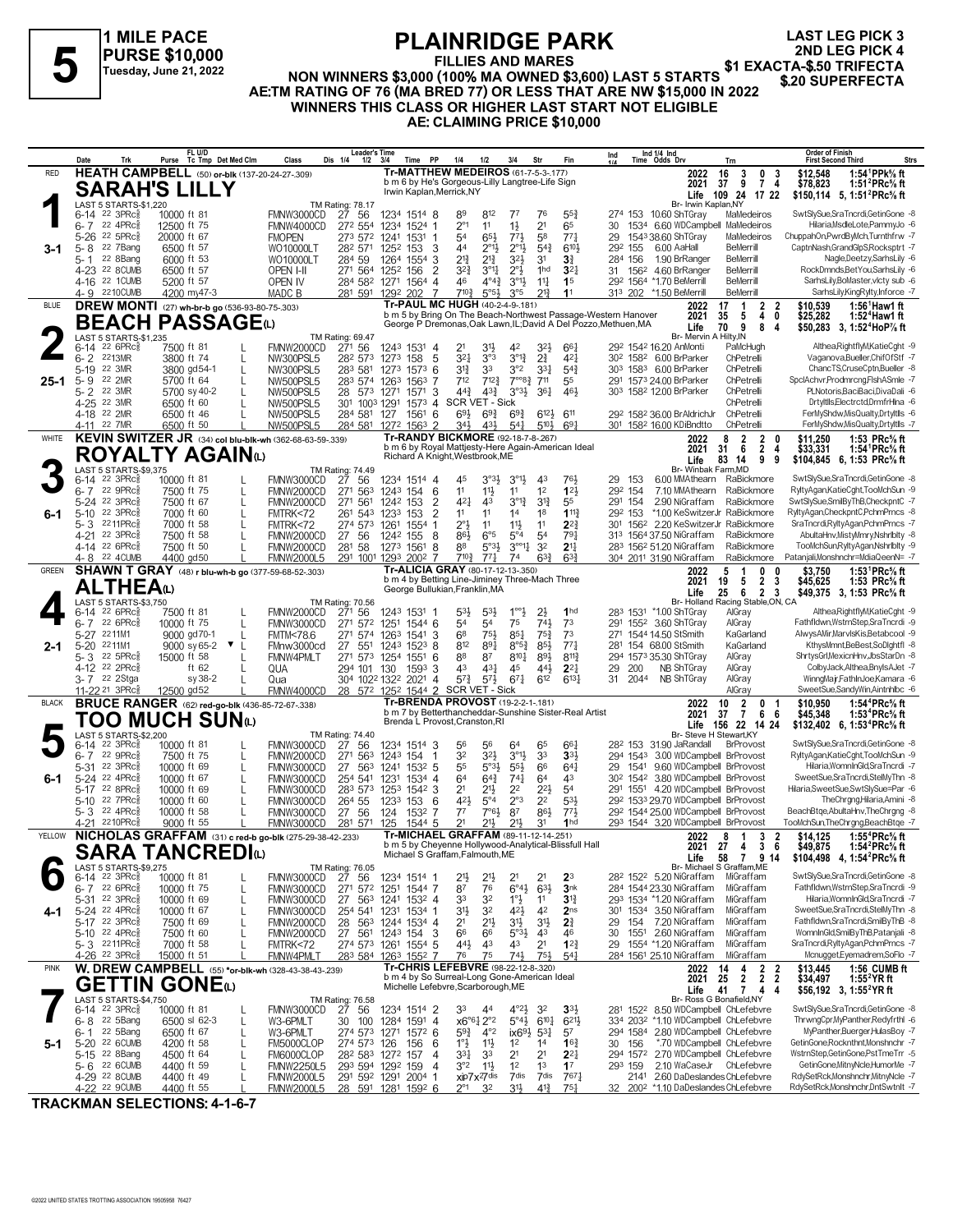

**LAST LEG PICK 3 2ND LEG PICK 4**

**FILLIES AND MARES** FLAINNIDUL FARM<br>FILLIES AND MARES \$1 EXACTA-\$.50 TRIFECTA<br>NON WINNERS \$3,000 (100% MA OWNED \$3,600) LAST 5 STARTS \$20 SUPERFECTA **AE:TM RATING OF 76 (MA BRED 77) OR LESS THAT ARE NW \$15,000 IN 2022 WINNERS THIS CLASS OR HIGHER LAST START NOT ELIGIBLE AE: CLAIMING PRICE \$10,000**

|              | Date                                                  | Trk                                            | Purse                       | FL U/D<br>Tc Tmp Det Med Clm                            | Class                                                      | <b>Leader's Time</b><br>Dis 1/4<br>$1/2$ $3/4$ | Time                       | PP                          | 1/4                                                                                           | 1/2                                        | 3/4                                            | Str                                | Fin                                                                                                                              | Ind      |                    | Ind 1/4 Ind<br>Time Odds Drv                                                                     | Trn                                                                                      | <b>Order of Finish</b><br>Strs<br><b>First Second Third</b>                      |
|--------------|-------------------------------------------------------|------------------------------------------------|-----------------------------|---------------------------------------------------------|------------------------------------------------------------|------------------------------------------------|----------------------------|-----------------------------|-----------------------------------------------------------------------------------------------|--------------------------------------------|------------------------------------------------|------------------------------------|----------------------------------------------------------------------------------------------------------------------------------|----------|--------------------|--------------------------------------------------------------------------------------------------|------------------------------------------------------------------------------------------|----------------------------------------------------------------------------------|
| RED          |                                                       |                                                |                             | <b>HEATH CAMPBELL</b> (50) or-blk (137-20-24-27-.309)   |                                                            |                                                |                            |                             | <b>Tr-MATTHEW MEDEIROS (61-7-5-3-.177)</b><br>b m 6 by He's Gorgeous-Lilly Langtree-Life Sign |                                            |                                                |                                    |                                                                                                                                  |          |                    | 2022<br>2021                                                                                     | 16<br>3<br>0<br>3<br>9<br>$\overline{7}$<br>37<br>4                                      | 1:54 ${}^1$ PPk ${}^5\! s$ ft<br>\$12,548<br>\$78,823<br>1:51 $^{2}$ PRc $\%$ ft |
|              | <b>SARAH'S LILLY</b>                                  |                                                |                             |                                                         |                                                            |                                                |                            |                             | Irwin Kaplan, Merrick, NY                                                                     |                                            |                                                |                                    |                                                                                                                                  |          |                    |                                                                                                  | Life 109 24 17 22                                                                        | \$150,114 5, 1:51 <sup>2</sup> PRc <sup>5</sup> / <sub>8</sub> ft                |
|              | LAST 5 STARTS-\$1,220<br>$6-14$ 22 3PRc $\frac{5}{8}$ |                                                | 10000 ft 81                 |                                                         | FMNW3000CD                                                 | <b>TM Rating: 78.17</b><br>27 56               | 1234 1514 8                |                             | 89                                                                                            | 812                                        | $7^7$                                          | 76                                 | $55\frac{3}{4}$                                                                                                                  |          |                    | Br- Irwin Kaplan, NY<br>274 153 10.60 ShTGray                                                    | MaMedeiros                                                                               | SwtSlySue,SraTncrdi,GetinGone -8                                                 |
|              | 6-7 22 4PRc<br>5-26 22 5PRc                           |                                                | 12500 ft 75<br>20000 ft 67  |                                                         | <b>FMNW4000CD</b><br><b>FMOPEN</b>                         | 272 554<br>273 572                             | 1234 1524 1<br>1241        | 1531 1                      | $2^{\circ}1$<br>54                                                                            | 11<br>$65\frac{1}{2}$                      | $1\frac{1}{2}$<br>$77\frac{1}{2}$              | 2 <sup>1</sup><br>58               | 65<br>$77\frac{1}{4}$                                                                                                            | 30<br>29 |                    | 1543 38.60 ShTGray                                                                               | 1534 6.60 WDCampbell MaMedeiros<br>MaMedeiros                                            | Hilaria, MsdleLote, PammyJo -6<br>ChuppahOn,PwrdByMch,Turnthfrw -7               |
| 3-1          | $5 - 8$                                               | 22 7Bang                                       | 6500 ft 57                  |                                                         | WO10000LT                                                  | 28 <sup>2</sup> 571 125 <sup>2</sup> 153       |                            | 3                           | 44                                                                                            | $2^{\circ}1\frac{1}{2}$                    | $2^{\circ}1\frac{1}{2}$                        | $5^{4}$                            | 6103                                                                                                                             |          | 292 155            | 6.00 AaHall                                                                                      | <b>BeMerrill</b>                                                                         | CaptnNash,GrandGlpS,Rocksptrt -7                                                 |
|              | $5 - 1$<br>4-23 22 8CUMB                              | 22 8Bang                                       | 6000 ft 53<br>6500 ft 57    |                                                         | WO10000LT<br>OPEN I-II                                     | 284 59<br>271 564                              | 1264<br>1252 156           | 1554<br>3<br>$\overline{2}$ | $2^{13}$<br>$3^{2}$                                                                           | $2^{13}$<br>$3^{\circ}1$                   | 32}<br>$2^{\circ}$ <sup>1</sup> / <sub>2</sub> | 31<br>1hd                          | 31<br>3 <sup>2</sup>                                                                                                             | 31       | 284 156<br>1562    | 1.90 BrRanger<br>4.60 BrRanger                                                                   | <b>BeMerrill</b><br><b>BeMerrill</b>                                                     | Nagle,Deetzy,SarhsLily -6<br>RockDmnds,BetYou,SarhsLily -6                       |
|              | 4-16 22 1 CUMB                                        |                                                | 5200 ft 57                  |                                                         | OPEN IV                                                    | 284 582                                        | 1271 1564 4                |                             | 46                                                                                            | $4^{\circ}4^{\frac{3}{4}}$                 | $3^{011}$                                      | 11                                 | 1 <sup>5</sup>                                                                                                                   |          |                    | 292 1564 *1.70 BeMerrill                                                                         | <b>BeMerrill</b>                                                                         | SarhsLily,BoMaster, vlcty sub -6                                                 |
| <b>BLUE</b>  | 4-9 2210 CUMB                                         |                                                | 4200 my47-3                 | DREW MONTI (27) wh-br-b go (536-93-80-75-.303)          | MADC B                                                     | 281 591                                        | 1292                       | 202<br>7                    | $7^{10\frac{3}{4}}$<br>Tr-PAUL MC HUGH (40-2-4-9-.181)                                        | 5°5 <sup>3</sup>                           | 3°5                                            | $2^{13}$                           | 11                                                                                                                               |          | 313 202            | *1.50 BeMerrill<br>2022                                                                          | <b>BeMerrill</b><br>$\mathbf{1}$<br>$\overline{2}$<br>17<br>2                            | SarhsLily,KingRylty,Inforce -7<br>\$10.539<br>1:56 <sup>1</sup> Haw 1 ft         |
|              |                                                       |                                                |                             | <b>BEACH PASSAGE</b> @                                  |                                                            |                                                |                            |                             |                                                                                               |                                            |                                                |                                    | b m 5 by Bring On The Beach-Northwest Passage-Western Hanover<br>George P Dremonas, Oak Lawn, IL; David A Del Pozzo, Methuen, MA |          |                    | 2021                                                                                             | 4<br>35<br>5<br>0<br>9<br>8                                                              | \$25,282<br>1:52 <sup>4</sup> Haw 1 ft                                           |
|              | LAST 5 STARTS-\$1,235                                 |                                                |                             |                                                         |                                                            | TM Rating: 69.47                               |                            |                             |                                                                                               |                                            |                                                |                                    |                                                                                                                                  |          |                    | Life<br>Br- Mervin A Hilty, IN                                                                   | 70<br>-4                                                                                 | \$50,283  3, 1:52*HoP½ ft                                                        |
|              | 6-14<br>$6 - 2$<br>2213MR                             | $226$ PRc $\frac{5}{8}$                        | 7500 ft 81<br>3800 ft 74    | L                                                       | FMNW2000CD<br>NW300PSL5                                    | 271 56<br>282 573                              | 1243 1531 4<br>1273 158    | 5                           | $3^{21}$                                                                                      | 3½<br>3°3                                  | 42<br>$3^{012}$                                | 3 <sup>2</sup><br>$2\frac{3}{4}$   | 663<br>421                                                                                                                       |          |                    | 292 1542 16.20 AnMonti<br>30 <sup>2</sup> 158 <sup>2</sup> 6.00 BrParker                         | PaMcHugh<br>ChPetrelli                                                                   | Althea, RightflyM, KatieCght -9<br>Vaganova.Bueller.ChifOfStf -7                 |
|              | 22 3MR<br>$5-19$                                      |                                                | 3800 gd54-1                 | L                                                       | NW300PSL5                                                  | 283 581                                        | 1273 1573 6                |                             | $3^{12}$                                                                                      | 33                                         | 3°2<br>$7^{\circ\circ}8\frac{3}{4}$            | $3^{3}$<br>711                     | $5^{4}$                                                                                                                          |          |                    | 30 <sup>3</sup> 158 <sup>3</sup> 6.00 BrParker                                                   | ChPetrelli<br>ChPetrelli                                                                 | ChancTS,CruseCptn,Bueller -8<br>SpcIAchvr, Prodmrcng, FIshASmle -7               |
| 25-1         | $5 - 9$<br>22 2MR<br>$5 - 2$<br>22 3MR                |                                                | 5700 ft 64<br>5700 sy 40-2  | L<br>L                                                  | <b>NW500PSL5</b><br><b>NW500PSL5</b>                       | 283 574 1263<br>28 573 1271 1571 3             |                            | $1563$ 7                    | 712<br>$44\frac{3}{4}$                                                                        | $7^{12}$<br>433                            | $3^{03}\frac{1}{2}$                            | 361                                | 55<br>46}                                                                                                                        |          |                    | 291 1573 24.00 BrParker<br>303 1582 12.00 BrParker                                               | ChPetrelli                                                                               | PLNotoris, BaciBaci, DivaDali -6                                                 |
|              | 4-25 22 3MR<br>4-18 22 2MR                            |                                                | 6500 ft 60<br>6500 ft 46    |                                                         | NW500PSL5<br><b>NW500PSL5</b>                              | 301 1003 1291<br>284 581 127                   |                            | 1573 4<br>1561 6            | SCR VET - Sick<br>$69\frac{1}{2}$                                                             | $69\frac{3}{4}$                            | $69\frac{3}{4}$                                | $6^{12}$                           | 611                                                                                                                              |          |                    | 292 1582 36.00 Br Aldrich Jr                                                                     | ChPetrelli<br>ChPetrelli                                                                 | Drtyltlls, Electrctd, DrmfrHlna -6<br>FerMyShdw, MisQualty, Drtyltlls -6         |
|              | 4-11 22 7MR                                           |                                                | 6500 ft 50                  |                                                         | <b>NW500PSL5</b>                                           | 284 581 1272 1563 2                            |                            |                             | 34}                                                                                           | 431                                        | $5^{4}$                                        | 5103                               | 691                                                                                                                              |          |                    | 301 1582 16.00 KDiBndtto                                                                         | ChPetrelli                                                                               | FerMyShdw, MisQualty, Drtyltlls -7                                               |
| WHITE        |                                                       |                                                |                             |                                                         | KEVIN SWITZER JR (34) col blu-blk-wh (362-68-63-59-.339)   |                                                |                            |                             | Tr-RANDY BICKMORE (92-18-7-8-267)                                                             |                                            |                                                |                                    | b m 6 by Royal Mattjesty-Here Again-American Ideal                                                                               |          |                    | 2022<br>2021                                                                                     | $\overline{2}$<br>$\overline{2}$<br>8<br>$\mathbf{0}$<br>$\overline{2}$<br>6<br>31<br>-4 | \$11,250<br>1:53 PRc% ft<br>\$33,331<br>1:54 $\mathrm{PRc\%}$ ft                 |
|              | LAST 5 STARTS-\$9,375                                 |                                                |                             | <b>ROYALTY AGAIN</b> to                                 |                                                            | <b>TM Rating: 74.49</b>                        |                            |                             | Richard A Knight, Westbrook, ME                                                               |                                            |                                                |                                    |                                                                                                                                  |          |                    | Life<br>Br- Winbak Farm, MD                                                                      | 83<br>14<br>9<br>9                                                                       | \$104,845 6, 1:53 PRc <sup>5</sup> / <sub>8</sub> ft                             |
|              | 6-14 22 3PRc <sup>5</sup>                             |                                                | 10000 ft 81                 |                                                         | FMNW3000CD                                                 | 27 56                                          | 1234 1514 4                |                             | 45                                                                                            | $3^{03}\frac{1}{2}$                        | $3^{01}$                                       | 43                                 | 761,                                                                                                                             | 29       | -153               | 6.00 MMAthearn                                                                                   | RaBickmore                                                                               | SwtSlySue,SraTncrdi,GetinGone -8                                                 |
|              | $6 - 7$ 22 9PRcs<br>5-24 22 3PRcs                     |                                                | 7500 ft 75<br>7500 ft 67    | L<br>L                                                  | <b>FMNW2000CD</b><br>FMNW2000CD                            | 271 563<br>27 <sup>1</sup><br>561              | 1243 154<br>1242           | 6<br>153<br>$\overline{2}$  | 11<br>$4^{2}$                                                                                 | $11\frac{1}{2}$<br>43                      | 11<br>$3^{012}$                                | 1 <sup>2</sup><br>$3^{12}$         | 12 <sub>3</sub><br>55                                                                                                            |          | 292 154<br>291 154 | 7.10 MMAthearn<br>2.90 NiGraffam                                                                 | RaBickmore<br>RaBickmore                                                                 | RyltyAgan,KatieCght,TooMchSun -9<br>SwtSlySue,SmilByThB,CheckpntC -7             |
| $6-1$        | 22 3PRc3<br>$5 - 10$                                  |                                                | 7000 ft 60                  | L                                                       | FMTRK<72                                                   | 261 543                                        | 1233                       | 2<br>153                    | 11                                                                                            | 11                                         | 14                                             | 1 <sup>8</sup>                     | $1^{11}$                                                                                                                         |          | 292 153            |                                                                                                  | *1.00 KeSwitzerJr RaBickmore<br>301 1562 2.20 KeSwitzerJr RaBickmore                     | RyltyAgan,CheckpntC,PchmPrncs -8                                                 |
|              | 5-3<br>4-21 22 3PRc                                   | 2211PRc                                        | 7000 ft 58<br>7500 ft 58    | L<br>L                                                  | FMTRK<72<br><b>FMNW2000CD</b>                              | 274 573 1261<br>27 56                          | 1242 155                   | 1554 1<br>8                 | $2^{\circ}$<br>861                                                                            | 11<br>$6^{\circ}5$                         | $11\frac{1}{2}$<br>$5^{\circ}4$                | 11<br>54                           | $2^{2}$<br>$79\frac{1}{4}$                                                                                                       |          |                    | 313 1564 37.50 NiGraffam                                                                         | RaBickmore                                                                               | SraTncrdi,RyltyAgan,PchmPrncs -7<br>AbultaHnv, MistyMmry, NshrIblty -8           |
|              | 4-14 22 6PRc<br>4-8 22 4 CUMB                         |                                                | 7500 ft 50<br>4400 gd50     | L                                                       | FMNW2000CD<br><b>FMNW2000L5</b>                            | 281 58<br>291 1001 1293 2002 7                 | 1273 1561 8                |                             | 88<br>$7^{10\frac{3}{4}}$                                                                     | $5^{\circ}3\frac{1}{2}$<br>$77\frac{1}{4}$ | $3^{001}\frac{1}{4}$<br>74                     | 3 <sup>2</sup><br>$63\frac{3}{4}$  | 2 <sup>11</sup><br>63 <sub>1</sub>                                                                                               |          |                    | 283 1562 51.20 NiGraffam<br>304 2011 31.90 NiGraffam                                             | RaBickmore<br>RaBickmore                                                                 | TooMchSun,RyltyAgan,Nshrlblty -9<br>Patanjali,Monshnchr=MdiaQeenN= -7            |
| <b>GREEN</b> |                                                       |                                                |                             |                                                         | <b>SHAWN T GRAY</b> (48) r blu-wh-b go (377-59-68-52-.303) |                                                |                            |                             | Tr-ALICIA GRAY (80-17-12-13-350)                                                              |                                            |                                                |                                    |                                                                                                                                  |          |                    | 2022                                                                                             | 5<br>0<br>-1<br>0                                                                        | 1:53 <sup>1</sup> PRc <sup>5</sup> / <sub>8</sub> ft<br>\$3,750                  |
|              | <b>ALTHEA</b> (L)                                     |                                                |                             |                                                         |                                                            |                                                |                            |                             | b m 4 by Betting Line-Jiminey Three-Mach Three<br>George Bullukian, Franklin, MA              |                                            |                                                |                                    |                                                                                                                                  |          |                    | 2021<br>Life                                                                                     | 5<br>2<br>19<br>3<br>25<br>6<br>$\overline{2}$<br>3                                      | \$45,625<br>1:53 PRc% ft<br>\$49,375 3, 1:53 PRc% ft                             |
|              | LAST 5 STARTS-\$3,750<br>$6-14$ 22 6PRc               |                                                | 7500 ft 81                  |                                                         | FMNW2000CD                                                 | <b>TM Rating: 70.56</b><br>271 56              | 1243 1531 1                |                             | 53}                                                                                           | 53}                                        | $1^{\circ}2$                                   | $2\frac{1}{2}$                     | 1 <sub>hd</sub>                                                                                                                  |          |                    | Br- Holland<br>283 1531 *1.00 ShTGray                                                            | Racing Stable, ON, CA<br>AlGray                                                          | Althea, RightflyM, KatieCght -9                                                  |
|              | $6 - 7$                                               | $226$ PR $c_{8}^{5}$                           | 10000 ft 75                 | L                                                       | FMNW3000CD                                                 | 271 572                                        | 1251 1544 6                |                             | 54                                                                                            | 54                                         | 75                                             | $74\frac{1}{2}$                    | 73                                                                                                                               |          |                    | 291 1552 3.60 ShTGray                                                                            | AlGray                                                                                   | Fathfldwn,WstrnStep,SraTncrdi -9                                                 |
| 2-1          | 5-27 2211M1<br>2211M1<br>$5 - 20$                     |                                                | 9000 gd70-1<br>9000 sy 65-2 | $\mathsf{L}$<br>▼<br>L                                  | <b>FMTM&lt;78.6</b><br>FMnw3000cd                          | 271 574<br>27<br>55 <sup>1</sup>               | 1263 1541 3<br>1243 1523 8 |                             | 68<br>812                                                                                     | 75}<br>891                                 | $85\frac{1}{4}$<br>$8^{\circ 5\frac{3}{4}}$    | $75\frac{3}{4}$<br>$85\frac{1}{2}$ | 7 <sup>3</sup><br>$77\frac{1}{4}$                                                                                                |          |                    | 271 1544 14.50 StSmith<br>281 154 68.00 StSmith                                                  | KaGarland<br>KaGarland                                                                   | AlwysAMir, MarvlsKis, Betabcool -9<br>KthysMmnt,BeBest,SoDlghtfl -8              |
|              | $5 - 3$                                               | $22\,5$ PR $c_{8}^{5}$                         | 15000 ft 58                 | L                                                       | FMNW4PMLT                                                  | 271 573 1254 1551                              |                            | - 6                         | 88                                                                                            | 87                                         | 8101                                           | $89\frac{1}{2}$                    | $8^{11}$                                                                                                                         |          |                    | 294 1573 35.30 ShTGray                                                                           | AlGray                                                                                   | ShrtysGrl, MexicnHnv, JbsStarDn -8                                               |
|              | 4-12 22 2PRc <sup>5</sup><br>3-7 22 2Stga             |                                                |                             | ft 62<br>sy 38-2                                        | QUA<br>Qua                                                 | 294 101 130<br>304 1022 1322 2021              |                            | $1593$ 3<br>4               | 43<br>$5^{7}$                                                                                 | 431<br>$57\frac{1}{2}$                     | 45<br>$67\frac{1}{4}$                          | $44\frac{1}{2}$<br>612             | $2^{2}$<br>$6^{13}\frac{1}{4}$                                                                                                   | 29       | 200<br>31 2044     | NB ShTGray<br>NB ShTGray                                                                         | AlGray<br>AlGray                                                                         | ColbyJack,Althea,BnyIsAJet -7<br>WinngMajr,FathInJoe,Kamara -6                   |
| <b>BLACK</b> | 11-22 <sup>21</sup> 3PRc <sup>3</sup>                 |                                                | 12500 gd52                  | <b>BRUCE RANGER</b> (62) red-go-blk (436-85-72-67-.338) | FMNW4000CD                                                 | 28 572 1252 1544 2                             |                            |                             | SCR VET - Sick<br>Tr-BRENDA PROVOST (19-2-2-1-181)                                            |                                            |                                                |                                    |                                                                                                                                  |          |                    | 2022                                                                                             | AlGray<br>10<br>$\overline{2}$<br>0<br>- 1                                               | SweetSue,SandyWin,Aintnhlbc -6<br>1:54 $4$ PRc $\%$ ft<br>\$10,950               |
|              |                                                       |                                                |                             | TOO MUCH SUNധ                                           |                                                            |                                                |                            |                             | Brenda L Provost, Cranston, RI                                                                |                                            |                                                |                                    | b m 7 by Betterthancheddar-Sunshine Sister-Real Artist                                                                           |          |                    | 2021                                                                                             | $\overline{7}$<br>6<br>37<br>- 6                                                         | \$45,348<br>1:53 <sup>+</sup> PRc% ft                                            |
|              | LAST 5 STARTS-\$2,200                                 |                                                |                             |                                                         |                                                            | TM Rating: 74.40                               |                            |                             |                                                                                               |                                            |                                                |                                    |                                                                                                                                  |          |                    | Life                                                                                             | 156 22 14 24<br>Br- Steve H Stewart, KY                                                  | \$132,402 6, 1:53 <sup>4</sup> PRc <sup>5</sup> / <sub>8</sub> ft                |
|              | 6-14<br>$6 - 7$                                       | $22 \t3PRc\frac{5}{8}$<br>22 9PRc <sup>5</sup> | 10000 ft 81<br>7500 ft 75   | L                                                       | FMNW3000CD<br>FMNW2000CD                                   | 27<br>56<br>271 563                            | 1234 1514 3<br>1243 154    | -1                          | 56<br>32                                                                                      | 56<br>32}                                  | 64<br>$3^{01}$                                 | 65<br>33                           | 661<br>33                                                                                                                        |          | 294 1543           | 28 <sup>2</sup> 153 31.90 JaRandall<br>3.00 WDCampbell BrProvost                                 | <b>BrProvost</b>                                                                         | SwtSlySue,SraTncrdi,GetinGone -8<br>RyltyAgan,KatieCght,TooMchSun -9             |
|              | 5-31 22 3PRc                                          |                                                | 10000 ft 69                 | L                                                       | FMNW3000CD                                                 | 27 563                                         | 1241                       | $153^2$ 5                   | 55                                                                                            | $5^{\circ}3\frac{1}{2}$                    | $55\frac{1}{2}$                                | 66                                 | $64\frac{1}{4}$                                                                                                                  | 29       | 1541               | 9.60 WDCampbell BrProvost                                                                        |                                                                                          | Hilaria.WomnInGld.SraTncrdi -7<br>SweetSue.SraTncrdi.StelMvThn -8                |
| 6-1          | 5-24 22 4PRc<br>5-17 22 8PRc                          |                                                | 10000 ft 67<br>10000 ft 69  | L<br>$\mathbf{I}$                                       | FMNW3000CD<br>FMNW3000CD                                   | 254 541<br>283 573 1253 1542 3                 | 1231                       | 1534 4                      | 64<br>2 <sup>1</sup>                                                                          | $64\frac{3}{4}$<br>$21\frac{1}{2}$         | $74\frac{1}{4}$<br>2 <sup>2</sup>              | 64<br>$2^{2}$                      | 43<br>54                                                                                                                         |          |                    | 30 <sup>2</sup> 154 <sup>2</sup> 3.80 WDCampbell BrProvost<br>291 1551 4.20 WDCampbell BrProvost |                                                                                          | Hilaria,SweetSue,SwtSlySue=Par -6                                                |
|              | 22 7PRc<br>$5 - 10$<br>22 4PRc<br>5-3                 |                                                | 10000 ft 60<br>10000 ft 58  | L                                                       | FMNW3000CD<br>FMNW3000CD                                   | 264 55<br>27 56                                | 123 <sup>3</sup><br>124    | 153<br>6<br>7               | 421<br>$7^7$                                                                                  | $5^{\circ}4$<br>$7°6\frac{1}{2}$           | 2°3<br>87                                      | 2 <sup>2</sup><br>86}              | 533<br>773                                                                                                                       |          |                    | 292 1533 29.70 WDCampbell BrProvost<br>292 1544 25.00 WDCampbell BrProvost                       |                                                                                          | TheChrgng,Hilaria,Amini -8<br>BeachBtge, AbultaHnv, The Chrgng -8                |
|              | 4-21 2210PRcs                                         |                                                | 9000 ft 55                  |                                                         | FMNW3000CD                                                 | 281 571                                        | 125                        | 1532<br>1544 5              | 21                                                                                            | 211,                                       | 21}                                            | 31                                 | 1 <sub>hd</sub>                                                                                                                  |          |                    | 293 1544 3.20 WDCampbell BrProvost                                                               |                                                                                          | TooMchSun, The Chrgng, Beach Btge -7                                             |
| YELLOW       |                                                       |                                                |                             |                                                         | NICHOLAS GRAFFAM (31) c red-b go-blk (275-29-38-42-233)    |                                                |                            |                             | Tr-MICHAEL GRAFFAM (89-11-12-14-251)                                                          |                                            |                                                |                                    | b m 5 by Cheyenne Hollywood-Analytical-Blisstull Hall                                                                            |          |                    | 2022<br>2021                                                                                     | $\overline{2}$<br>8<br>$\overline{1}$<br>3<br>27<br>4<br>36                              | \$14,125<br>1:55 ${}^4$ PRc ${}^5\!$ sft<br>\$49,875<br>1:54 $^{2}$ PRc $\%$ ft  |
|              | LAST 5 STARTS-\$9,275                                 |                                                |                             | <b>SARA TANCREDI</b> O                                  |                                                            | TM Rating: 76.05                               |                            |                             | Michael S Graffam, Falmouth, ME                                                               |                                            |                                                |                                    |                                                                                                                                  |          |                    | Life                                                                                             | 58<br>$\overline{7}$<br>9 14<br>Br- Michael S Graffam, ME                                | \$104,498 4, 1:54 <sup>2</sup> PRc <sup>5</sup> / <sub>8</sub> ft                |
|              | 6-14 22 3PRc                                          |                                                | 10000 ft 81                 | L                                                       | FMNW3000CD                                                 | 27 56                                          | 1234 1514 1                |                             | $21\frac{1}{2}$                                                                               | $21\frac{1}{2}$                            | 2 <sup>1</sup>                                 | 21                                 | $2^3$                                                                                                                            |          |                    | 28 <sup>2</sup> 152 <sup>2</sup> 5.20 NiGraffam MiGraffam                                        |                                                                                          | SwtSlySue,SraTncrdi,GetinGone -8                                                 |
|              | $6 - 7$ 22 6PRcs<br>5-31 22 3PRc <sup>5</sup>         |                                                | 10000 ft 75<br>10000 ft 69  | L<br>L                                                  | FMNW3000CD<br>FMNW3000CD                                   | 271 572<br>27 563 1241 1532 4                  | 1251 1544 7                |                             | 87<br>33                                                                                      | 76<br>32                                   | $6^{\circ}4\frac{1}{2}$<br>$1^{\circ}$         | $63\frac{1}{2}$<br>11              | 3nk<br>$3\frac{13}{4}$                                                                                                           |          |                    | 284 1544 23.30 NiGraffam<br>293 1534 *1.20 NiGraffam                                             | MiGraffam<br>MiGraffam                                                                   | Fathfldwn, WstrnStep, SraTncrdi -9<br>Hilaria, WomnInGld, SraTncrdi -7           |
| 4-1          | 5-24 22 4PRc $\frac{5}{8}$<br>5-17 22 3PRc            |                                                | 10000 ft 67<br>7500 ft 69   | L                                                       | FMNW3000CD                                                 | 254 541 1231 1534 1                            |                            |                             | 31}                                                                                           | 32                                         | $42\frac{1}{2}$                                | 42                                 | 2 <sub>ns</sub>                                                                                                                  |          |                    | 301 1534 3.50 NiGraffam<br>7.20 NiGraffam                                                        | MiGraffam<br>MiGraffam                                                                   | SweetSue,SraTncrdi,StelMyThn -8<br>Fathfldwn,SraTncrdi,SmilByThB -8              |
|              | 5-10 22 4PRc <sup>5</sup>                             |                                                | 7500 ft 60                  | L<br>L                                                  | FMNW2000CD<br>FMNW2000CD                                   | 28 563 1244 1534 4<br>27 561 1243 154 3        |                            |                             | 2 <sup>1</sup><br>66                                                                          | 2 <sup>11</sup><br>66                      | 3 <sup>1</sup><br>$5^{\circ}3\frac{1}{2}$      | $3^{11}$<br>43                     | $2\frac{3}{4}$<br>46                                                                                                             | 29<br>30 | 154                | 1551 2.60 NiGraffam                                                                              | MiGraffam                                                                                | WomnInGld,SmilByThB,Patanjali -8                                                 |
|              | 5-3 2211PRc<br>4-26 <sup>22</sup> 3PRc <sup>3</sup>   |                                                | 7000 ft 58<br>15000 ft 51   | $\mathbf{L}$                                            | FMTRK<72<br><b>FMNW4PMLT</b>                               | 274 573 1261 1554 5<br>283 584 1263 1552 7     |                            |                             | $44\frac{1}{2}$<br>76                                                                         | 43<br>75                                   | 43<br>74}                                      | 2 <sup>1</sup><br>$75\frac{1}{2}$  | $1^{2}$<br>$5^{4}$                                                                                                               |          |                    | 29 1554 *1.20 NiGraffam<br>284 1561 25.10 NiGraffam                                              | MiGraffam<br>MiGraffam                                                                   | SraTncrdi,RyltyAgan,PchmPrncs -7<br>Mcnugget,Eyemadrem,SoFlo -7                  |
| <b>PINK</b>  |                                                       |                                                |                             |                                                         | W. DREW CAMPBELL (55) *or-blk-wh (328-43-38-43-239)        |                                                |                            |                             | Tr-CHRIS LEFEBVRE (98-22-12-8-.320)                                                           |                                            |                                                |                                    |                                                                                                                                  |          |                    | 2022                                                                                             | $\overline{2}$<br>14<br>4<br>-2                                                          | 1:56 CUMB ft<br>\$13.445                                                         |
|              |                                                       |                                                |                             | <b>GETTIN GONE</b> (L)                                  |                                                            |                                                |                            |                             | b m 4 by So Surreal-Long Gone-American Ideal<br>Michelle Lefebvre, Scarborough, ME            |                                            |                                                |                                    |                                                                                                                                  |          |                    | 2021<br>Life                                                                                     | $\bar{2}$ $\bar{2}$<br>$\overline{2}$<br>25<br>41 7 4<br>4                               | \$34,497<br>1:55 $2$ YR ft<br>\$56,192 3, 1:55 <sup>2</sup> YR ft                |
|              | LAST 5 STARTS-\$4,750<br>6-14 22 3PRcs                |                                                | 10000 ft 81                 |                                                         | FMNW3000CD                                                 | TM Rating: 76.58<br>27<br>56                   | 1234 1514 2                |                             | 33                                                                                            | 4 <sup>4</sup>                             | $4^{\circ}2\frac{1}{2}$                        | 32                                 | 3 <sup>31</sup>                                                                                                                  |          |                    |                                                                                                  | Br- Ross G Bonafield, NY<br>281 1522 8.50 WDCampbell ChLefebvre                          | SwtSlySue,SraTncrdi,GetinGone -8                                                 |
|              | 6-8 <sup>22</sup> 5Bang                               |                                                | 6500 sl 62-3                | L                                                       | W3-6PMLT                                                   | 30 100                                         | 1284 1591 4                |                             | $x6^{\circ}6\frac{1}{4}2^{\circ}2$                                                            |                                            | $5^{\circ}4\frac{1}{2}$                        | $6^{10}\frac{1}{4}$                | $6^{21}$                                                                                                                         |          |                    |                                                                                                  | 334 2032 *1.10 WDCampbell ChLefebvre                                                     | ThrwngCpr,MyPanther,Redyfrthl -6<br>MyPanther,Buerger,HulasBoy -7                |
| 5-1          | 6-1<br>5-20 22 6CUMB                                  | 22 5Bang                                       | 6500 ft 67<br>4200 ft 58    | L<br>L                                                  | W3-6PMLT<br>FM5000CLOP                                     | 274 573 1271 1572 6<br>274 573 126             |                            | 156<br>6                    | $59\frac{3}{4}$<br>$1^{\circ}$ $\frac{1}{2}$                                                  | $4^{\circ}2$<br>11}                        | ix69}<br>12                                    | $5^{31}$<br>1 <sup>4</sup>         | 57<br>$16\frac{3}{4}$                                                                                                            |          | 30 156             |                                                                                                  | 294 1584 2.80 WDCampbell ChLefebvre<br>*.70 WDCampbell ChLefebvre                        | GetinGone,Rocknthnt,Monshnchr -7                                                 |
|              | 5-15 22 8Bang<br>5-6 22 6CUMB                         |                                                | 4500 ft 64                  | L                                                       | FM6000CLOP                                                 | 282 583 1272 157                               |                            | $\overline{4}$              | $3^{31}$<br>3°2                                                                               | 33                                         | 2 <sup>1</sup><br>1 <sup>2</sup>               | 2 <sup>1</sup><br>1 <sup>3</sup>   | $2^{2}$<br>17                                                                                                                    |          | 294 1572           |                                                                                                  | 2.70 WDCampbell ChLefebvre<br>2.10 WaCaseJr ChLefebvre                                   | WstrnStep,GetinGone,PstTmeTrr -5<br>GetinGone, MitnyNcle, HumorMe -7             |
|              | 4-29 22 8CUMB                                         |                                                | 4400 ft 59<br>4400 ft 49    | L<br>L                                                  | <b>FMNW2250L5</b><br><b>FMNW2000L5</b>                     | 293 594 1292 159<br>291 592 1291 2004 1        |                            | -4                          | xip7x <sup>27dis</sup>                                                                        | 11}                                        | 7dis                                           | 7dis                               | 7671                                                                                                                             |          | 293 159<br>2141    |                                                                                                  | 2.60 DaDeslandes ChLefebvre                                                              | RdySetRck,Monshnchr,MitnyNcle -7                                                 |
|              | 4-22 22 9CUMB                                         |                                                | 4400 ft 55                  |                                                         | FMNW2000L5                                                 | 28 591 1281 1592 6                             |                            |                             | $2^{\circ}1$                                                                                  | 32                                         | 31}                                            | $4^{13}$                           | 75 <sup>1</sup>                                                                                                                  |          |                    |                                                                                                  | 32 200 <sup>2</sup> *1.10 DaDeslandes ChLefebvre                                         | RdySetRck,Monshnchr,DntSwtnIt -7                                                 |

**TRACKMAN SELECTIONS: 4-1-6-7**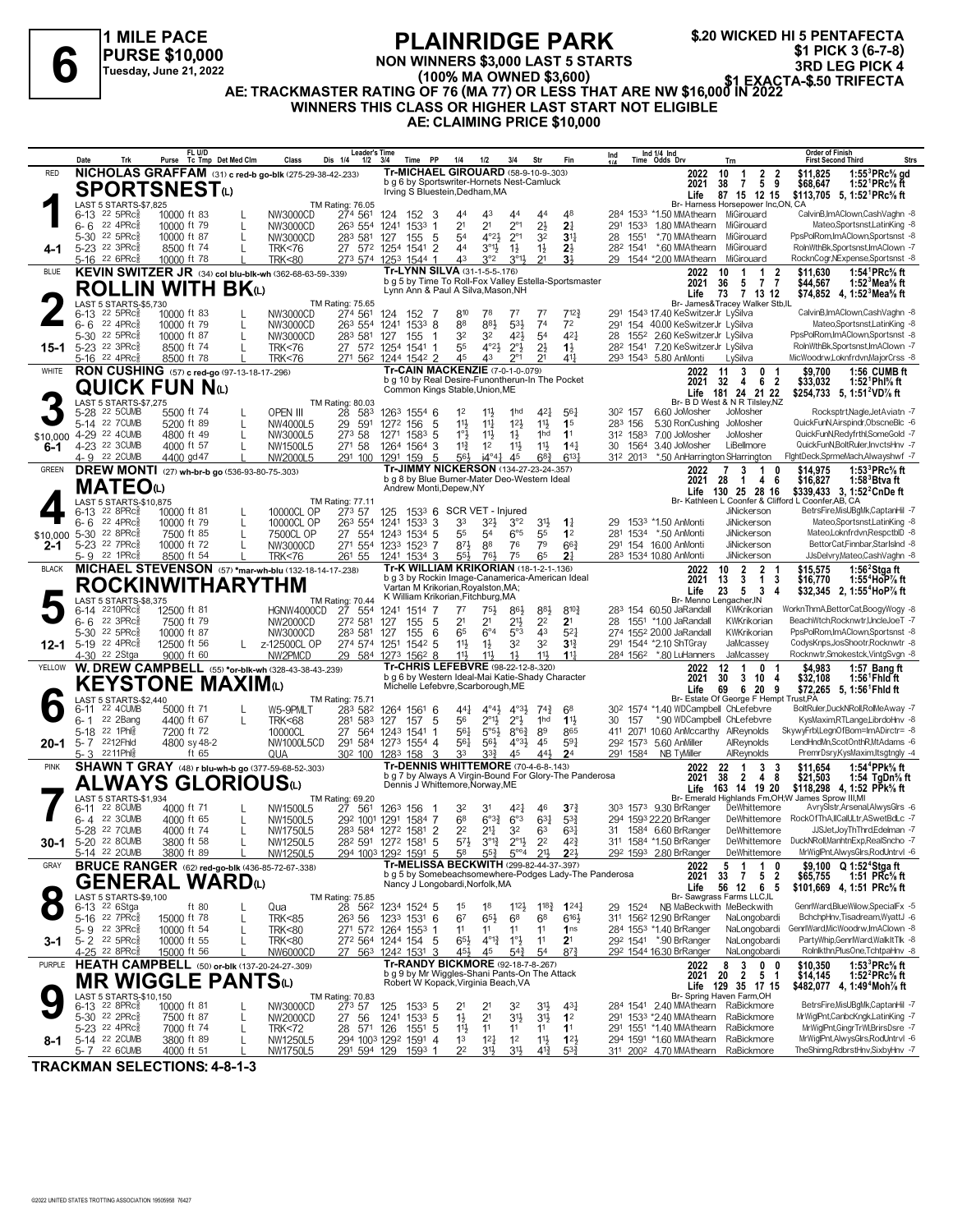

**\$.20 WICKED HI 5 PENTAFECTA \$1 PICK 3 (6-7-8) 3RD LEG PICK 3 (6-7-8)**<br>3RD LEG PICK 4<br>3RD LEG PICK 4 (100% MA OWNED \$3,600)<br>3RD LEG PICK 4 (100% MA OWNED \$3,600)<br>2RD LEG PICK 4 (100% MA OWNED \$3,600)

**NON WINNERS \$3,000 LAST 5 STARTS (100% MA OWNED \$3,600)**

**AE: TRACKMASTER RATING OF 76 (MA 77) OR LESS THAT ARE NW \$16,000 IN 2022 WINNERS THIS CLASS OR HIGHER LAST START NOT ELIGIBLE**

**AE: CLAIMING PRICE \$10,000**

|                        | Date                | Trk                                                        |                            | FL U/D | Purse Tc Tmp Det Med Clm                    | Class                                                    | <b>Leader's Time</b><br>Dis 1/4<br>$1/2$ $3/4$                                                                                                                                                                                                                                                                                                                                                                                |                            | <b>PP</b><br>Time     | 1/4                                                                                  | 1/2                                | 3/4                                             |                                                         | Str                              | Fin                                                    | Ind |                                | Ind 1/4 Ind<br>Time Odds Drv                                              |              | Trn                                                                            | <b>Order of Finish</b><br><b>First Second Third</b><br><b>Strs</b>                                 |
|------------------------|---------------------|------------------------------------------------------------|----------------------------|--------|---------------------------------------------|----------------------------------------------------------|-------------------------------------------------------------------------------------------------------------------------------------------------------------------------------------------------------------------------------------------------------------------------------------------------------------------------------------------------------------------------------------------------------------------------------|----------------------------|-----------------------|--------------------------------------------------------------------------------------|------------------------------------|-------------------------------------------------|---------------------------------------------------------|----------------------------------|--------------------------------------------------------|-----|--------------------------------|---------------------------------------------------------------------------|--------------|--------------------------------------------------------------------------------|----------------------------------------------------------------------------------------------------|
| RED                    |                     |                                                            |                            |        |                                             | NICHOLAS GRAFFAM (31) c red-b go-blk (275-29-38-42-233)  |                                                                                                                                                                                                                                                                                                                                                                                                                               |                            |                       | Tr-MICHAEL GIROUARD (58-9-10-9-.303)                                                 |                                    |                                                 |                                                         |                                  |                                                        |     |                                |                                                                           | 2022         | $\overline{2}$<br>10<br>-1                                                     | 1:55 $3$ PRc $%$ gd<br>-2<br>\$11,825                                                              |
|                        |                     | <b>SPORTSNEST@</b>                                         |                            |        |                                             |                                                          |                                                                                                                                                                                                                                                                                                                                                                                                                               |                            |                       | b g 6 by Sportswriter-Hornets Nest-Camluck<br>Irving S Bluestein, Dedham, MA         |                                    |                                                 |                                                         |                                  |                                                        |     |                                |                                                                           | 2021<br>Life | $\overline{7}$<br>5<br>38<br>87 15 12 15                                       | \$68,647<br>1:52 <sup>1</sup> PRc% ft<br>9<br>\$113,705 5, 1:52 PRc <sup>5</sup> / <sub>8</sub> ft |
|                        |                     | LAST 5 STARTS-\$7,825<br>$6-13$ 22 5PRc $\frac{5}{8}$      |                            |        |                                             |                                                          | TM Rating: 76.05<br>274 561                                                                                                                                                                                                                                                                                                                                                                                                   |                            |                       |                                                                                      | 43                                 |                                                 | 44                                                      |                                  | 48                                                     |     |                                |                                                                           |              | Br- Harness Horsepower Inc,ON, CA<br>284 1533 *1.50 MMAthearn MiGirouard       | CalvinB,ImAClown,CashVaghn -8                                                                      |
|                        | 6-6                 | 22 4PRc3                                                   | 10000 ft 83<br>10000 ft 79 |        |                                             | NW3000CD<br>NW3000CD                                     | 263 554 1241 1533 1                                                                                                                                                                                                                                                                                                                                                                                                           | 124                        | 152 3                 | 44<br>2 <sup>1</sup>                                                                 | 2 <sup>1</sup>                     |                                                 | $2^{\circ}1$                                            | 44<br>$2\frac{1}{2}$             | 2 <sup>1</sup>                                         | 291 | 1533                           | 1.80 MMAthearn                                                            |              | MiGirouard                                                                     | Mateo.SportsnstLatinKing -8                                                                        |
|                        |                     | 5-30 22 5PRc                                               | 10000 ft 87                |        | L                                           | NW3000CD                                                 | 283 581                                                                                                                                                                                                                                                                                                                                                                                                                       | 127                        | 155<br>- 5            | 54                                                                                   |                                    | $4^{\circ}2\frac{1}{2}$                         | $2^{\circ}1$                                            | 3 <sup>2</sup>                   | 3 <sup>11</sup>                                        | 28  | 1551                           | *.70 MMAthearn                                                            |              | MiGirouard                                                                     | PpsPolRom.ImAClown.Sportsnst -8                                                                    |
| 4-1                    |                     | 5-23 22 3PRcs<br>5-16 22 6PRc $\frac{5}{8}$                | 8500 ft 74<br>10000 ft 78  |        | L                                           | <b>TRK&lt;76</b><br><b>TRK&lt;80</b>                     | 27 572 1254 1541 2<br>273 574 1253 1544 1                                                                                                                                                                                                                                                                                                                                                                                     |                            |                       | 44<br>4 <sup>3</sup>                                                                 |                                    | $3^{01}\frac{1}{2}$<br>$1\frac{1}{2}$<br>3°2    | $3^{01}\frac{1}{2}$                                     | $1\frac{1}{2}$<br>2 <sup>1</sup> | $2\frac{1}{2}$<br>3 <sup>1</sup>                       |     |                                | 29 1544 *2.00 MMAthearn                                                   |              | 28 <sup>2</sup> 1541 *.60 MMAthearn MiGirouard<br>MiGirouard                   | RolnWthBk,Sportsnst,ImAClown -7<br>RocknCogr, NExpense, Sportsnst -8                               |
| <b>BLUE</b>            |                     |                                                            |                            |        |                                             | KEVIN SWITZER JR (34) col blu-blk-wh (362-68-63-59-.339) |                                                                                                                                                                                                                                                                                                                                                                                                                               |                            |                       | Tr-LYNN SILVA (31-1-5-5-.176)                                                        |                                    |                                                 |                                                         |                                  |                                                        |     |                                |                                                                           | 2022         | 10<br>-1                                                                       | 1:54 <sup>1</sup> PRc <sup>5</sup> / <sub>8</sub> ft<br>2<br>\$11,630                              |
|                        |                     |                                                            |                            |        | <b>ROLLIN WITH BK</b> W                     |                                                          |                                                                                                                                                                                                                                                                                                                                                                                                                               |                            |                       | Lynn Ann & Paul A Silva, Mason, NH                                                   |                                    |                                                 |                                                         |                                  | b g 5 by Time To Roll-Fox Valley Estella-Sportsmaster  |     |                                |                                                                           | 2021<br>Life | 36<br>$\overline{7}$<br>5<br>73<br>7 13 12                                     | $\overline{7}$<br>1:52 $3$ Mea $\%$ ft<br>\$44,567<br>\$74,852 4, 1:52 Mea % ft                    |
|                        |                     | LAST 5 STARTS-\$5,730                                      |                            |        |                                             |                                                          | TM Rating: 75.65                                                                                                                                                                                                                                                                                                                                                                                                              |                            |                       |                                                                                      |                                    |                                                 |                                                         |                                  |                                                        |     |                                |                                                                           |              | Br- James&Tracey Walker Stb,IL                                                 | CalvinB,ImAClown,CashVaghn -8                                                                      |
|                        | $6 - 6$             | $6-13$ 22 5PRc <sup>5</sup><br>22 4PRc <sup>5</sup>        | 10000 ft 83<br>10000 ft 79 |        |                                             | NW3000CD<br>NW3000CD                                     | 274 561<br>263 554 1241                                                                                                                                                                                                                                                                                                                                                                                                       | 124                        | 152<br>-7<br>$1533$ 8 | 810<br>88                                                                            | 78<br>883                          | 77                                              | 5 <sup>3</sup>                                          | 77<br>74                         | 712}<br>7 <sup>2</sup>                                 | 291 |                                | 291 1543 17.40 KeSwitzerJr LySilva<br>154 40.00 KeSwitzerJr LySilva       |              |                                                                                | Mateo,Sportsnst,LatinKing -8                                                                       |
|                        |                     | 5-30 <sup>22</sup> 5PRc                                    | 10000 ft 87                |        | L                                           | NW3000CD                                                 | 283 581                                                                                                                                                                                                                                                                                                                                                                                                                       | 127                        | 155<br>-1             | 3 <sup>2</sup>                                                                       | 32                                 |                                                 | $4^{21}$                                                | 5 <sup>4</sup>                   | $4^{2}$                                                | 28  |                                | 155 <sup>2</sup> 2.60 KeSwitzerJr LySilva                                 |              |                                                                                | PpsPolRom,ImAClown,Sportsnst -8                                                                    |
| 15-1                   |                     | 5-23 <sup>22</sup> 3PRc3<br>5-16 22 4PRc                   | 8500 ft 74<br>8500 ft 78   |        |                                             | <b>TRK&lt;76</b><br><b>TRK&lt;76</b>                     | 27 572 1254 1541 1<br>271 562 1244 1542 2                                                                                                                                                                                                                                                                                                                                                                                     |                            |                       | 55<br>45                                                                             | 43                                 | $4^{o}2\frac{1}{2}$                             | $2^{\circ}$ <sup>1</sup> / <sub>2</sub><br>$2^{\circ}1$ | $2\frac{1}{2}$<br>2 <sup>1</sup> | $1\frac{1}{2}$<br>$4^{11}$                             |     |                                | 28 <sup>2</sup> 1541 7.20 KeSwitzerJr LySilva<br>293 1543 5.80 AnMonti    |              | LySilva                                                                        | RolnWthBk.Sportsnst.ImAClown -7<br>MicWoodrw,Loknfrdvn,MajorCrss -8                                |
| WHITE                  |                     |                                                            |                            |        | RON CUSHING (57) c red-go (97-13-18-17-296) |                                                          |                                                                                                                                                                                                                                                                                                                                                                                                                               |                            |                       | Tr-CAIN MACKENZIE (7-0-1-0-.079)                                                     |                                    |                                                 |                                                         |                                  |                                                        |     |                                |                                                                           | 2022         | 3<br>11<br>$\mathbf{0}$                                                        | 1:56 CUMB ft<br>\$9.700                                                                            |
|                        |                     | <b>QUICK FUN N</b> ω                                       |                            |        |                                             |                                                          |                                                                                                                                                                                                                                                                                                                                                                                                                               |                            |                       | b g 10 by Real Desire-Funontherun-In The Pocket<br>Common Kings Stable, Union, ME    |                                    |                                                 |                                                         |                                  |                                                        |     |                                |                                                                           | 2021<br>Life | 62<br>32 4<br>181 24 21 22                                                     | \$33,032<br>1:52 Phl% ft<br>\$254,733 5, 1:51 <sup>2</sup> VD <sup>7</sup> / <sub>8</sub> ft       |
|                        |                     | LAST 5 STARTS-\$7,275                                      |                            |        |                                             |                                                          | TM Rating: 80.03                                                                                                                                                                                                                                                                                                                                                                                                              |                            |                       |                                                                                      |                                    |                                                 |                                                         |                                  |                                                        |     |                                |                                                                           |              | Br- B D West & N R Tilsley, NZ                                                 |                                                                                                    |
|                        |                     | 5-28 22 5CUMB<br>5-14 22 7 CUMB                            | 5500 ft 74<br>5200 ft 89   |        | L                                           | <b>OPEN III</b><br>NW4000L5                              | 28<br>583<br>29 591                                                                                                                                                                                                                                                                                                                                                                                                           | 1263 1554 6<br>1272 156 5  |                       | $1^2$<br>11                                                                          | $11\frac{1}{2}$<br>$11\frac{1}{4}$ |                                                 | 1 <sub>hd</sub><br>$12\frac{1}{2}$                      | 421<br>$11\frac{1}{2}$           | $56\frac{1}{4}$<br>1 <sup>5</sup>                      |     | 30 <sup>2</sup> 157<br>283 156 | 6.60 JoMosher                                                             |              | JoMosher<br>5.30 RonCushing JoMosher                                           | Rocksptrt, Nagle, JetAviatn -7<br>QuickFunN,Airspindr,ObscneBlc -6                                 |
| \$10,000 4-29 22 4CUMB |                     |                                                            | 4800 ft 49                 |        |                                             | NW3000L5                                                 | 273 58                                                                                                                                                                                                                                                                                                                                                                                                                        | 1271 1583 5                |                       | $1^{\circ}$                                                                          | $11\frac{1}{2}$                    |                                                 | $1\frac{1}{2}$                                          | 1hd                              | 1 <sup>1</sup>                                         |     |                                | 312 1583 7.00 JoMosher                                                    |              | JoMosher                                                                       | QuickFunN,Redyfrthl,SomeGold -7                                                                    |
| 6-1                    |                     | 4-23 22 3CUMB<br>4-9 22 2CUMB                              | 4000 ft 57<br>4400 gd 47   |        | L                                           | NW1500L5<br>NW2000L5                                     | 271 58<br>291 100                                                                                                                                                                                                                                                                                                                                                                                                             | 1264<br>1291 159 5         | $1564$ 3              | $11\frac{3}{4}$<br>56}                                                               | 1 <sup>2</sup>                     | $i4^{\circ}4^{\circ}$                           | $11\frac{1}{2}$<br>45                                   | 11卦<br>$68\frac{3}{4}$           | $14\frac{1}{4}$<br>$6^{13}$                            |     | 30 1564<br>312 2013            | 3.40 JoMosher                                                             |              | LiBellmore<br>*.50 AnHarrington SHarrington                                    | QuickFunN,BoltRuler,InvctsHnv -7<br>FightDeck,SprmeMach,Alwayshwf -7                               |
| <b>GREEN</b>           |                     |                                                            |                            |        |                                             | DREW MONTI (27) wh-br-b go (536-93-80-75-.303)           |                                                                                                                                                                                                                                                                                                                                                                                                                               |                            |                       | Tr-JIMMY NICKERSON (134-27-23-24-.357)                                               |                                    |                                                 |                                                         |                                  |                                                        |     |                                |                                                                           | 2022         | -7<br>3<br>$\overline{1}$                                                      | 1:53 ${}^{3}$ PRc ${}^{5}$ sft<br>0<br>\$14,975                                                    |
|                        |                     | <b>MATEO</b> <sup>1</sup>                                  |                            |        |                                             |                                                          |                                                                                                                                                                                                                                                                                                                                                                                                                               |                            |                       | b g 8 by Blue Burner-Mater Deo-Western Ideal<br>Andrew Monti, Depew, NY              |                                    |                                                 |                                                         |                                  |                                                        |     |                                |                                                                           | 2021         | - 28<br>4<br>- 1<br>Life 130 25 28 16                                          | \$16,827<br>- 6<br>$1:583$ Btvaft<br>\$339,433 3, 1:52 <sup>2</sup> CnDe ft                        |
|                        |                     | LAST 5 STARTS-\$10,875                                     |                            |        |                                             |                                                          | TM Rating: 77.11                                                                                                                                                                                                                                                                                                                                                                                                              |                            |                       |                                                                                      |                                    |                                                 |                                                         |                                  |                                                        |     |                                |                                                                           |              |                                                                                | Br- Kathleen L Coonfer & Clifford L Coonfer, AB, CA                                                |
|                        | $6 - 6$             | $6-13$ 22 8PRc $\frac{5}{8}$<br>22 4PRc3                   | 10000 ft 81<br>10000 ft 79 |        | L                                           | 10000CL OP<br>10000CL OP                                 | 27 <sup>3</sup> 57<br>263 554 1241                                                                                                                                                                                                                                                                                                                                                                                            | 125                        | $1533$ 3              | 1533 6 SCR VET - Injured<br>33                                                       |                                    | 32}                                             | 3°2                                                     | 3 <sup>1</sup>                   | $1\frac{1}{4}$                                         | 29  |                                | 1533 *1.50 AnMonti                                                        |              | JiNickerson<br>JiNickerson                                                     | BetrsFire, MisUBgMk, CaptanHil -7<br>Mateo,Sportsnst,LatinKing -8                                  |
| \$10,000               |                     | 5-30 22 8PRc                                               | 7500 ft 85                 |        | L                                           | 7500CL OP                                                | 27 554 1243 1534 5                                                                                                                                                                                                                                                                                                                                                                                                            |                            |                       | 55                                                                                   | 5 <sup>4</sup>                     |                                                 | $6^{\circ}5$                                            | 55                               | 1 <sup>2</sup>                                         | 281 |                                | 1534 *.50 AnMonti                                                         |              | <b>JiNickerson</b>                                                             | Mateo,Loknfrdvn,RespctblD -8                                                                       |
| $2 - 1$                |                     | 5-23 22 7PRc <sup>5</sup><br>5-9 22 1PRc $\frac{5}{8}$     | 10000 ft 72<br>8500 ft 54  |        | L                                           | NW3000CD<br><b>TRK&lt;76</b>                             | 271 554 1233 1523 7<br>261 55                                                                                                                                                                                                                                                                                                                                                                                                 | 1241 1534 3                |                       | $8^{71}$<br>$55\frac{1}{2}$                                                          | 88<br>$76\frac{1}{2}$              |                                                 | 76<br>75                                                | 79<br>65                         | $66\frac{3}{4}$<br>2 <sup>1</sup>                      |     |                                | 291 154 16.00 AnMonti<br>283 1534 10.80 AnMonti                           |              | <b>JiNickerson</b><br>JiNickerson                                              | BettorCat,Finnbar,StarIsInd -8<br>JJsDelvry,Mateo,CashVaghn -8                                     |
| <b>BLACK</b>           |                     |                                                            |                            |        |                                             | MICHAEL STEVENSON (57) *mar-wh-blu (132-18-14-17-238)    |                                                                                                                                                                                                                                                                                                                                                                                                                               |                            |                       | Tr-K WILLIAM KRIKORIAN (18-1-2-1-.136)                                               |                                    |                                                 |                                                         |                                  |                                                        |     |                                |                                                                           | 2022         | $\overline{2}$<br>10<br>$\overline{2}$                                         | 1:56 $2$ Stgaft<br>\$15,575                                                                        |
|                        |                     |                                                            |                            |        |                                             | <b>ROCKINWITHARYTHM</b>                                  |                                                                                                                                                                                                                                                                                                                                                                                                                               |                            |                       | Vartan M Krikorian, Royalston, MA;                                                   |                                    |                                                 |                                                         |                                  | b g 3 by Rockin Image-Canamerica-American Ideal        |     |                                |                                                                           | 2021<br>Life | $\overline{1}$<br>$\mathbf{3}$<br>13<br>23<br>5<br>$\overline{\mathbf{3}}$     | 3<br>1:55 <sup>4</sup> HoP% ft<br>\$16,770<br>\$32,345 2, 1:55 <sup>4</sup> HoP% ft<br>4           |
|                        |                     | LAST 5 STARTS-\$8.375                                      |                            |        |                                             |                                                          | <b>TM Rating: 70.44</b>                                                                                                                                                                                                                                                                                                                                                                                                       |                            |                       | K William Krikorian, Fitchburg, MA                                                   |                                    |                                                 |                                                         |                                  |                                                        |     |                                |                                                                           |              | Br- Menno Lengacher, IN                                                        |                                                                                                    |
|                        |                     | 6-14 2210PRc <sup>5</sup><br>$6 - 6$ 22 3PRc $\frac{5}{8}$ | 12500 ft 81<br>7500 ft 79  |        |                                             | HGNW4000CD<br>NW2000CD                                   | 27 554<br>272 581                                                                                                                                                                                                                                                                                                                                                                                                             | 1241 1514 7<br>127         | 155<br>5              | $7^7$<br>2 <sup>1</sup>                                                              | $75\frac{1}{2}$<br>2 <sup>1</sup>  |                                                 | $86\frac{1}{2}$<br>21}                                  | $8^{8}$<br>2 <sup>2</sup>        | $8^{10}\frac{3}{4}$<br>2 <sup>1</sup>                  | 28  |                                | 283 154 60.50 JaRandall<br>1551 *1.00 JaRandall                           |              | KWKrikorian<br>KWKrikorian                                                     | WorknThmA,BettorCat,BoogyWogy -8<br>BeachWtch,Rocknwtr,UncleJoeT -7                                |
|                        |                     | 5-30 22 5PRc $\frac{5}{8}$                                 | 10000 ft 87                |        |                                             | NW3000CD                                                 | 283 581                                                                                                                                                                                                                                                                                                                                                                                                                       | 127                        | 155<br>6              | 65                                                                                   | $6^{\circ}4$                       |                                                 | 5°3                                                     | 43                               | $5^{2}$                                                |     |                                | 274 1552 20.00 JaRandall                                                  |              | KWKrikorian                                                                    | PpsPolRom, ImAClown, Sportsnst -8                                                                  |
| 12-1                   |                     | 5-19 22 4PRc <sup>5</sup><br>4-30 <sup>22</sup> 2Stga      | 12500 ft 56<br>9000 ft 60  |        |                                             | L z-12500CL OP<br>NW2PMCD                                | 274 574 1251<br>29 584 1273 1562 8                                                                                                                                                                                                                                                                                                                                                                                            |                            | 1542 5                | 11<br>$11\frac{1}{2}$                                                                | $1\frac{1}{2}$<br>$11\frac{1}{2}$  |                                                 | 32<br>$1\frac{1}{2}$                                    | 32<br>11}                        | 3 <sup>13</sup><br>11                                  |     |                                | 291 1544 *2.10 ShTGray<br>284 1562 *.80 LuHanners                         |              | JaMcassey<br>JaMcassey                                                         | CodysKnps,JosShootr,Rocknwtr -8<br>Rocknwtr,Smokestck,VintgSvgn -8                                 |
| YELLOW                 |                     |                                                            |                            |        |                                             | W. DREW CAMPBELL (55) *or-blk-wh (328-43-38-43-239)      |                                                                                                                                                                                                                                                                                                                                                                                                                               |                            |                       | Tr-CHRIS LEFEBVRE (98-22-12-8-.320)                                                  |                                    |                                                 |                                                         |                                  |                                                        |     |                                |                                                                           | 2022         | 12<br>1<br>0                                                                   | \$4,983<br>1:57 Bang ft                                                                            |
|                        |                     |                                                            |                            |        | KEYSTONE MAXIMω                             |                                                          |                                                                                                                                                                                                                                                                                                                                                                                                                               |                            |                       | Michelle Lefebvre, Scarborough, ME                                                   |                                    |                                                 |                                                         |                                  | b g 6 by Western Ideal-Mai Katie-Shady Character       |     |                                |                                                                           | 2021<br>Life | 30<br>3<br>10<br>69<br>6<br>-20                                                | \$32,108<br>1:56 <sup>1</sup> Fhid ft<br>4<br>\$72,265 5, 1:56 <sup>1</sup> Fhid ft<br>9           |
|                        |                     | LAST 5 STARTS-\$2,440                                      |                            |        |                                             |                                                          | TM Rating: 75.71                                                                                                                                                                                                                                                                                                                                                                                                              |                            |                       |                                                                                      |                                    |                                                 |                                                         |                                  |                                                        |     |                                |                                                                           |              | Br- Estate Of George F Hempt Trust, PA                                         |                                                                                                    |
|                        | $6 - 11$<br>$6 - 1$ | 22 4CUMB<br>22 2Bang                                       | 5000 ft 71<br>4400 ft 67   |        |                                             | W5-9PMLT<br><b>TRK&lt;68</b>                             | 283 582<br>281 583 127 157                                                                                                                                                                                                                                                                                                                                                                                                    | 1264 1561 6                | 5                     | 56                                                                                   | $44\frac{1}{4}$                    | $4^{\circ}4^{\circ}$<br>$2^{\circ}1\frac{1}{2}$ | $4^{\circ}3\frac{1}{2}$<br>$2^{\circ}$ <sub>2</sub>     | $74\frac{3}{4}$<br>1hd           | 68<br>$1\frac{11}{2}$                                  | 30  | 157                            |                                                                           |              | 30 <sup>2</sup> 1574 *1.40 WDCampbell ChLefebvre<br>*.90 WDCampbell ChLefebvre | BoltRuler,DuckNRoll,RolMeAway -7<br>KysMaxim,RTLange,LibrdoHnv -8                                  |
|                        |                     | 5-18 22 1Phl                                               | 7200 ft 72                 |        |                                             | 10000CL                                                  | 27                                                                                                                                                                                                                                                                                                                                                                                                                            | 564 1243 1541 1            |                       | 561                                                                                  |                                    | $5^{\circ}5^{\frac{1}{2}}$                      | $8^{\circ}6^{\frac{3}{4}}$                              | 89                               | 865                                                    | 411 |                                |                                                                           |              | 2071 10.60 AnMccarthy AlReynolds                                               | SkywyFrbl,LegnOfBom=ImADirctr= -8                                                                  |
| 20-1                   |                     | 5-7 2212Fhld<br>5-3 2211Phlg                               | 4800 sy 48-2               | ft 65  |                                             | NW1000L5CD<br>QUA                                        | 291 584 1273 1554 4<br>30 <sup>2</sup> 100 128 <sup>3</sup> 158 3                                                                                                                                                                                                                                                                                                                                                             |                            |                       | 561<br>33                                                                            |                                    | $56\frac{1}{2}$<br>$3^{3}\frac{3}{4}$           | $4^{\circ}3\frac{1}{2}$ 45<br>45                        | 441                              | 591<br>2 <sup>4</sup>                                  |     | 291 1584                       | 292 1573 5.60 AnMiller<br>NB TyMiller                                     |              | AlReynolds<br>AlReynolds                                                       | LendHndMn,ScotOnthR,MtAdams -6<br>PremrDsry,KysMaxim,Itsgtngly -4                                  |
| <b>PINK</b>            |                     |                                                            |                            |        |                                             | SHAWN T GRAY (48) r blu-wh-b go (377-59-68-52-.303)      |                                                                                                                                                                                                                                                                                                                                                                                                                               |                            |                       | Tr-DENNIS WHITTEMORE (70-4-6-8-.143)                                                 |                                    |                                                 |                                                         |                                  |                                                        |     |                                |                                                                           | 2022         | 22<br>3<br>-1                                                                  | 1:54 <sup>4</sup> PPk% ft<br>-3<br>\$11,654                                                        |
|                        |                     |                                                            |                            |        |                                             | ALWAYS GLORIOUSധ                                         |                                                                                                                                                                                                                                                                                                                                                                                                                               |                            |                       | Dennis J Whittemore, Norway, ME                                                      |                                    |                                                 |                                                         |                                  | b g 7 by Always A Virgin-Bound For Glory-The Panderosa |     |                                |                                                                           | 2021<br>Life | 38<br>$\mathbf{2}$<br>4<br>163 14 19 20                                        | 8<br>\$21,503<br>1:54 TgDn% ft<br>\$118,298 4.1:52 PPk% ft                                         |
|                        |                     | LAST 5 STARTS-\$1.934                                      | 4000 ft 71                 |        |                                             |                                                          | TM Rating: 69.20                                                                                                                                                                                                                                                                                                                                                                                                              |                            |                       |                                                                                      |                                    |                                                 |                                                         |                                  |                                                        |     |                                | 303 1573 9.30 BrRanger                                                    |              |                                                                                | Br- Emerald Highlands Fm, OH; W James Sprow III, MI<br>AvrySistr,Arsenal,AlwysGirs -6              |
|                        | 6-11                | 22 8CUMB<br>6-4 22 3CUMB                                   | 4000 ft 65                 |        | L                                           | NW1500L5<br>NW1500L5                                     | 27 561<br>292 1001 1291 1584 7                                                                                                                                                                                                                                                                                                                                                                                                | 1263 156                   | -1                    | 32<br>6 <sup>8</sup>                                                                 | 31                                 | $6^{o_3}\frac{3}{4}$                            | 421<br>$6^{\circ}3$                                     | 46<br>$63\frac{1}{4}$            | $3^{72}$<br>$5^{3}{}_{2}^{3}$                          |     |                                | 294 1593 22.20 BrRanger                                                   |              | DeWhittemore                                                                   | DeWhittemore RockOfThA,IICalULtr,ASwetBdLc -7                                                      |
|                        |                     | 5-28 22 7CUMB                                              | 4000 ft 74                 |        | L                                           | NW1750L5                                                 | 283 584 1272 1581 2                                                                                                                                                                                                                                                                                                                                                                                                           |                            |                       | 2 <sup>2</sup>                                                                       |                                    | $2^{11}$                                        | 3 <sup>2</sup>                                          | 63                               | $63\frac{1}{4}$                                        |     |                                | 31 1584 6.60 BrRanger                                                     |              | DeWhittemore                                                                   | JJSJet.JovThThrd.Edelman -7                                                                        |
|                        |                     | 30-1 5-20 22 8CUMB<br>5-14 22 2CUMB                        | 3800 ft 58<br>3800 ft 89   |        | L                                           | NW1250L5<br>NW1250L5                                     | $28^2$ 59 <sup>1</sup> 127 <sup>2</sup> 158 <sup>1</sup> 5 5 <sup>7</sup> <sup>1</sup> <sub>2</sub> 3 <sup>°1</sup> <sup>1</sup> <sub>4</sub> 2 <sup>°1</sup> <sub>2</sub> 2 <sup>2</sup> 4 <sup>2</sup> <sup>2</sup> <sub>4</sub><br>294 100 <sup>3</sup> 129 <sup>2</sup> 159 <sup>1</sup> 5 5 <sup>8</sup> 5 <sup>5</sup> <sub>4</sub> 5 <sup>°</sup> <sup>4</sup> 2 <sup>1</sup> <sub>2</sub> 2 <sup>2</sup> <sub>2</sub> |                            |                       |                                                                                      |                                    |                                                 |                                                         |                                  |                                                        |     |                                | 311 1584 *1.50 BrRanger<br>29 <sup>2</sup> 159 <sup>3</sup> 2.80 BrRanger |              | DeWhittemore                                                                   | DeWhittemore DuckNRoll,ManhtnExp,RealSncho -7<br>MrWiglPnt,AlwysGlrs,RodUntrvl -6                  |
| GRAY                   |                     |                                                            |                            |        |                                             | <b>BRUCE RANGER</b> (62) red-go-blk (436-85-72-67-.338)  |                                                                                                                                                                                                                                                                                                                                                                                                                               |                            |                       | Tr-MELISSA BECKWITH (299-82-44-37-.397)                                              |                                    |                                                 |                                                         |                                  |                                                        |     |                                |                                                                           | 2022         | 5<br>1<br>-1                                                                   | \$9,100 Q 1:52 <sup>4</sup> Stga ft<br>0                                                           |
|                        |                     |                                                            |                            |        | GENERAL WARDധ                               |                                                          |                                                                                                                                                                                                                                                                                                                                                                                                                               |                            |                       | Nancy J Longobardi, Norfolk, MA                                                      |                                    |                                                 |                                                         |                                  | b g 5 by Somebeachsomewhere-Podges Lady-The Panderosa  |     |                                |                                                                           | 2021<br>Life | 33 7<br>5 2<br>56 12 6 5                                                       | 1:51 PRc $\%$ ft<br>\$65,755<br>\$101,669 4, 1:51 PRc% ft                                          |
|                        |                     | LAST 5 STARTS-\$9,100                                      |                            |        |                                             |                                                          | TM Rating: 75.85                                                                                                                                                                                                                                                                                                                                                                                                              |                            |                       |                                                                                      |                                    |                                                 |                                                         |                                  |                                                        |     |                                |                                                                           |              | Br- Sawgrass Farms LLC,IL                                                      |                                                                                                    |
|                        |                     | 6-13 <sup>22</sup> 6Stga<br>5-16 22 7PRcs                  | 15000 ft 78                | ft 80  |                                             | Qua<br><b>TRK&lt;85</b>                                  | 28 562<br>$26^3$ 56                                                                                                                                                                                                                                                                                                                                                                                                           | 1234 1524 5<br>1233 1531 6 |                       | 1 <sup>5</sup><br>67                                                                 | 18<br>$65\frac{1}{2}$              |                                                 | $112\frac{1}{2}$<br>68                                  | $1^{18}\frac{3}{4}$<br>68        | $1^{24}$<br>$6^{16}\frac{1}{2}$                        |     | 29 1524                        | 311 1562 12.90 BrRanger                                                   |              | NB MaBeckwith MeBeckwith<br>NaLongobardi                                       | GenrlWard,BlueWilow,SpecialFx -5<br>BchchpHnv, Tisadream, WyattJ -6                                |
|                        |                     | 5-9 22 3PRc                                                | 10000 ft 54                |        |                                             | <b>TRK&lt;80</b>                                         | 271 572 1264 1553 1                                                                                                                                                                                                                                                                                                                                                                                                           |                            |                       | 11                                                                                   | 11                                 |                                                 | 11                                                      | 11                               | 1 <sub>ns</sub>                                        |     |                                | 284 1553 *1.40 BrRanger                                                   |              | NaLongobardi                                                                   | GenrlWard, MicWoodrw, ImAClown -8                                                                  |
| 3-1                    |                     | $5 - 2$ 22 5PRcs<br>4-25 <sup>22</sup> 8PRc <sup>5</sup>   | 10000 ft 55<br>15000 ft 56 |        |                                             | <b>TRK&lt;80</b><br>NW6000CD                             | 27 <sup>2</sup> 564 1244 154 5<br>27 563 1242 1531 3                                                                                                                                                                                                                                                                                                                                                                          |                            |                       | $65\frac{1}{2}$                                                                      | 45}<br>45                          | $4^{013}$                                       | $1^{\circ}$ $\frac{1}{2}$<br>$5^{4}3$                   | 11<br>54                         | 2 <sup>1</sup><br>$8^{7}\frac{3}{4}$                   |     |                                | 292 1541 *.90 BrRanger<br>292 1544 16.30 BrRanger                         |              | NaLongobardi<br>NaLongobardi                                                   | PartyWhip,GenrlWard,WalkItTlk -8<br>Rolnlkthn,PlusOne,TchtpaHnv -8                                 |
| PURPLE                 |                     |                                                            |                            |        |                                             | HEATH CAMPBELL (50) or-blk (137-20-24-27-.309)           |                                                                                                                                                                                                                                                                                                                                                                                                                               |                            |                       | Tr-RANDY BICKMORE (92-18-7-8-267)                                                    |                                    |                                                 |                                                         |                                  |                                                        |     |                                |                                                                           | 2022         | 8<br>$0\quad 0$<br>3                                                           | 1:53 $3$ PRc $\%$ ft<br>\$10,350                                                                   |
|                        |                     |                                                            |                            |        | <b>MR WIGGLE PANTS</b>                      |                                                          |                                                                                                                                                                                                                                                                                                                                                                                                                               |                            |                       | b g 9 by Mr Wiggles-Shani Pants-On The Attack<br>Robert W Kopack, Virginia Beach, VA |                                    |                                                 |                                                         |                                  |                                                        |     |                                |                                                                           | 2021         | 20 2<br>5<br>Life 129 35 17 15                                                 | \$14,145<br>1:52 $^{2}$ PRc $\%$ ft<br>-1                                                          |
|                        |                     | LAST 5 STARTS-\$10,150<br>6-13 22 8PRc <sup>5</sup>        | 10000 ft 81                |        |                                             |                                                          | TM Rating: 70.83<br>D 273 57                                                                                                                                                                                                                                                                                                                                                                                                  |                            |                       |                                                                                      |                                    |                                                 |                                                         |                                  |                                                        |     |                                |                                                                           |              | Br- Spring Haven Farm, OH<br>284 1541 2.40 MMAthearn RaBickmore                | BetrsFire, MisUBgMk, CaptanHil -7                                                                  |
|                        |                     | 5-30 <sup>22</sup> 2PRc <sup>5</sup>                       | 7500 ft 87                 |        | L                                           | NW3000CD<br>NW2000CD                                     | 27 56                                                                                                                                                                                                                                                                                                                                                                                                                         | 125 1533 5<br>1241 1533 5  |                       | 2 <sup>1</sup><br>$1\frac{1}{2}$                                                     | 21<br>2 <sup>1</sup>               |                                                 | 32<br>3 <sup>1</sup>                                    | 3 <sup>1</sup><br>$3^{11}$       | $43\frac{1}{4}$<br>1 <sup>2</sup>                      |     |                                | 291 1533 *2.40 MMAthearn                                                  |              | RaBickmore                                                                     | MrWiglPnt,CanbcKngk,LatinKing -7                                                                   |
|                        |                     | 5-23 <sup>22</sup> 4PRc <sup>5</sup>                       | 7000 ft 74                 |        | L                                           | <b>TRK&lt;72</b>                                         | 28 571 126                                                                                                                                                                                                                                                                                                                                                                                                                    |                            | $155^1$ 5             | 11                                                                                   | 11                                 | 11                                              |                                                         | 11                               | 1 <sup>1</sup>                                         |     |                                | 291 1551 *1.40 MMAthearn<br>294 1591 *1.60 MMAthearn                      |              | RaBickmore                                                                     | MrWiglPnt, GingrTrWl, BrirsDsre -7<br>MrWiglPnt,AlwysGlrs,RodUntrvl -6                             |
| 8-1                    |                     | 5-14 22 2CUMB<br>5-7 22 6CUMB                              | 3800 ft 89<br>4000 ft 51   |        | L                                           | NW1250L5<br>NW1750L5                                     | 294 1003 1292 1591 4<br>291 594 129 1593 1                                                                                                                                                                                                                                                                                                                                                                                    |                            |                       | 1 <sup>3</sup><br>2 <sup>2</sup>                                                     | $12\frac{1}{4}$<br>31}             |                                                 | 12<br>31}                                               | $1\frac{11}{2}$<br>$4^{13}$      | $12\frac{1}{2}$<br>$5^{3}2$                            |     |                                |                                                                           |              | RaBickmore<br>311 2002 4.70 MMAthearn RaBickmore                               | TheShinng,RdbrstHnv,SixbyHnv -7                                                                    |

**TRACKMAN SELECTIONS: 4-8-1-3**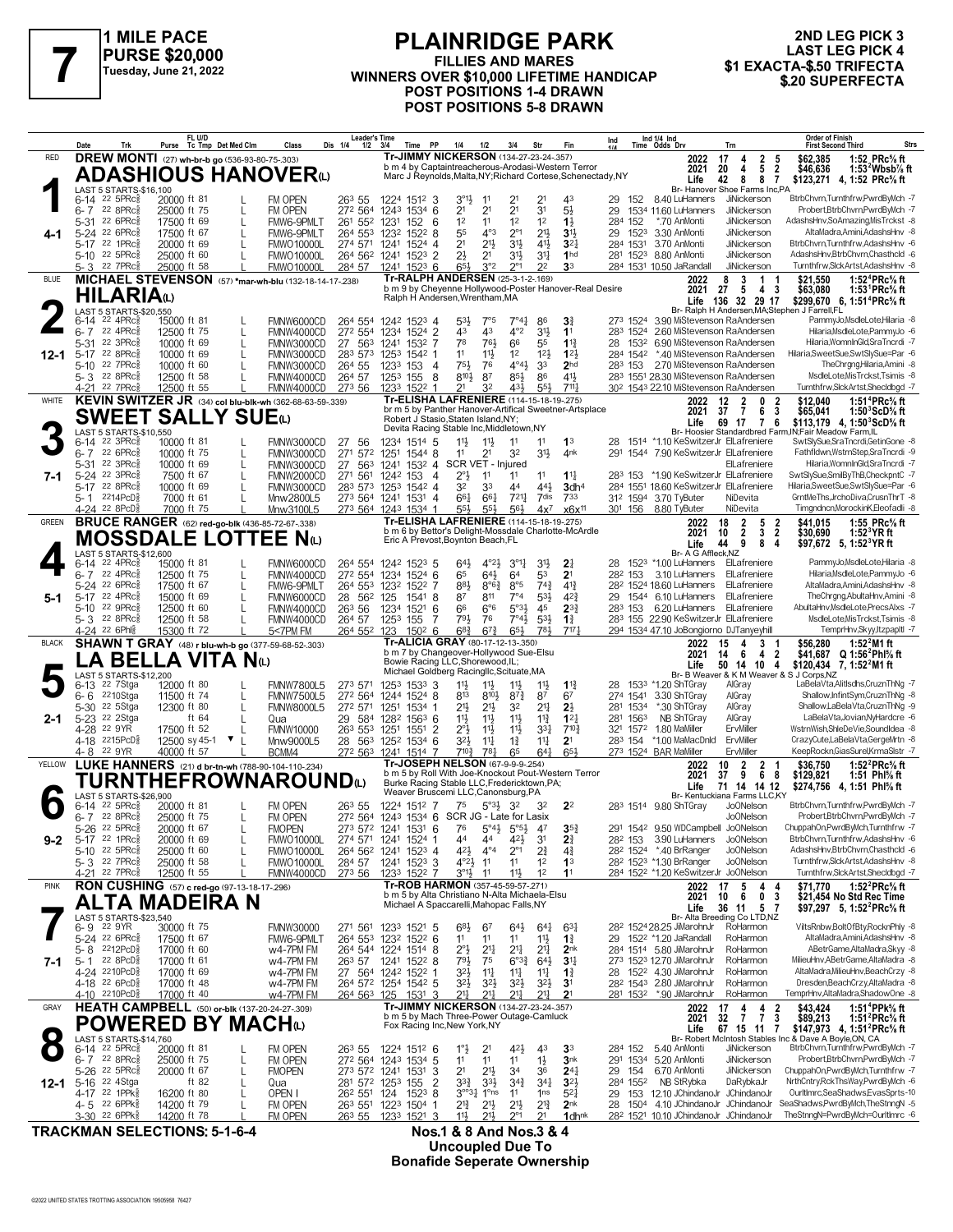

### **PLAINRIDGE PARK FILLIES AND MARES PURSE \$20,000**<br>
Tuesday, June 21, 2022<br>
WINNERS OVER \$10,000 LIFETIME HANDICAP \$1 EXACTA-\$.50 TRIFECTA<br>
Tuesday, June 21, 2022<br> **Xacta-\$.50 TRIFECTA**<br>
Tuesday, June 21, 2022<br> **Xacta-\$.50 TRIFECTA POST POSITIONS 1-4 DRAWN POST POSITIONS 5-8 DRAWN**

## **2ND LEG PICK 3 LAST LEG PICK 4<br>\$1 EXACTA-\$.50 TRIFECTA**

|              | Trk<br>Date                                              | FL U/D<br>Purse Tc Tmp Det Med Clm                                            | Class<br>Dis 1/4                                             | <b>Leader's Time</b><br>Time PP<br>1/2<br>3/4                                 | 1/4<br>1/2<br>3/4                                                                            | Fin<br>Str                                                                          | Ind 1/4 Ind<br>Time Odds Drv<br>Ind<br>Trn                                                 | <b>Order of Finish</b><br>Strs<br><b>First Second Third</b>                                                                                           |
|--------------|----------------------------------------------------------|-------------------------------------------------------------------------------|--------------------------------------------------------------|-------------------------------------------------------------------------------|----------------------------------------------------------------------------------------------|-------------------------------------------------------------------------------------|--------------------------------------------------------------------------------------------|-------------------------------------------------------------------------------------------------------------------------------------------------------|
| <b>RED</b>   |                                                          | <b>DREW MONTI</b> (27) wh-br-b go (536-93-80-75-.303)                         |                                                              |                                                                               | Tr-JIMMY NICKERSON (134-27-23-24-.357)<br>b m 4 by Captaintreacherous-Arodasi-Western Terror |                                                                                     | 2022<br>17<br>4<br>2<br>4                                                                  | 1:52 PRc% ft<br>\$62,385<br>-5                                                                                                                        |
|              |                                                          | <b>ADASHIOUS HANOVER</b> <sup>(L)</sup>                                       |                                                              |                                                                               |                                                                                              | Marc J Reynolds, Malta, NY; Richard Cortese, Schenectady, NY                        | $\overline{\mathbf{5}}$<br>2021<br>20<br>Life<br>8<br>42                                   | $\overline{2}$<br>\$46,636<br>1:53 $^2$ Wbsb $\%$ ft<br>8 7<br>\$123,271<br>4, 1:52 PRc% ft                                                           |
|              | LAST 5 STARTS-\$16,100<br>$6-14$ 22 5PRc $\frac{5}{8}$   | 20000 ft 81                                                                   | FM OPEN<br>263 55                                            | 1224 1512 3                                                                   | $3^{01}\frac{1}{2}$<br>11<br>21                                                              | 2 <sup>1</sup><br>43                                                                | Br- Hanover Shoe Farms Inc,PA<br>JiNickerson<br>152<br>8.40 LuHanners<br>29                | BtrbChvrn,Turnthfrw,PwrdByMch -7                                                                                                                      |
|              | 22 8PRc3<br>$6 - 7$<br>5-31 22 6PRc                      | 25000 ft 75                                                                   | 272 564<br>FM OPEN                                           | 1243 1534 6                                                                   | 2 <sup>1</sup><br>21<br>2 <sup>1</sup><br>12<br>1 <sup>2</sup><br>11                         | 3 <sup>1</sup><br>5½<br>1 <sup>2</sup>                                              | 29<br>1534 11.60 LuHanners<br>JiNickerson                                                  | Probert, BtrbChvrn, PwrdByMch -7<br>AdashsHnv,SoAmazing,MisTrckst -8                                                                                  |
|              | 5-24 22 6PRcs                                            | 17500 ft 69<br>L<br>17500 ft 67<br>L                                          | FMW6-9PMLT<br>264 553<br>FMW6-9PMLT                          | 261 552 1231<br>152<br>- 6<br>1232 1522 8                                     | 55<br>$4^{\circ}3$<br>$2^{\circ}1$                                                           | $1\frac{1}{2}$<br>2 <sup>11</sup><br>31,                                            | 284 152<br>*.70 AnMonti<br><b>JiNickerson</b><br>29 1523<br>3.30 AnMonti<br>JiNickerson    | AltaMadra,Amini,AdashsHnv -8                                                                                                                          |
|              | 5-17 22 1PRc<br>5-10 22 5PRc                             | 20000 ft 69<br>25000 ft 60                                                    | 274 571<br><b>FMWO10000L</b><br><b>FMWO10000L</b>            | 1241<br>$1524$ 4<br>264 562 1241 1523 2                                       | 2 <sup>1</sup><br>$21\frac{1}{2}$<br>31<br>$2\frac{1}{2}$<br>2 <sup>1</sup><br>31}           | 41}<br>3 <sup>2</sup><br>31<br>1 <sub>hd</sub>                                      | JiNickerson<br>284 1531<br>3.70 AnMonti<br>281 1523<br>8.80 AnMonti<br>JiNickerson         | BtrbChvrn,Turnthfrw,AdashsHnv -6<br>AdashsHnv.BtrbChvrn.Chasthcld -6                                                                                  |
|              | 22 7PRc3<br>5-3                                          | 25000 ft 58                                                                   | <b>FMWO10000L</b><br>284 57                                  | 1241 1523 6                                                                   | 3°2<br>$2^{\circ}1$<br>65                                                                    | 3 <sup>3</sup><br>22                                                                | 284 1531 10.50 JaRandall<br>JiNickerson                                                    | Turnthfrw,SlckArtst,AdashsHnv -8                                                                                                                      |
| <b>BLUE</b>  |                                                          |                                                                               | MICHAEL STEVENSON (57) *mar-wh-blu (132-18-14-17-238)        |                                                                               | Tr-RALPH ANDERSEN (25-3-1-2-.169)                                                            | b m 9 by Cheyenne Hollywood-Poster Hanover-Real Desire                              | 3<br>$\mathbf{1}$<br>2022<br>8<br>$27 \quad 5$<br>2021<br>43                               | 1:52 <sup>4</sup> PRc <sup>5</sup> / <sub>8</sub> ft<br>\$21,550<br>\$63,080<br>1:53 <sup>1</sup> PRc <sup>5</sup> / <sub>8</sub> ft                  |
|              | <b>HILARIA</b> W                                         |                                                                               |                                                              |                                                                               | Ralph H Andersen, Wrentham, MA                                                               |                                                                                     | Life 136 32 29 17                                                                          | \$299,670 6, 1:51 <sup>4</sup> PRc <sup>5</sup> / <sub>8</sub> ft                                                                                     |
|              | LAST 5 STARTS-\$20,550<br>$22$ 4PR $c_{8}$<br>6-14       | 15000 ft 81                                                                   | FMNW6000CD<br>264 554                                        | 1242 1523 4                                                                   | $7^\circ 44$<br>53}<br>$7^{\circ}5$                                                          | 86<br>3 <sup>3</sup>                                                                | Br- Ralph H Andersen, MA; Stephen J Farrell, FL<br>3.90 MiStevenson RaAndersen<br>273 1524 | PammyJo,MsdleLote,Hilaria -8                                                                                                                          |
|              | 22 4PRc<br>$6 - 7$<br>22 3PRc<br>5-31                    | 12500 ft 75<br>L<br>10000 ft 69<br>L                                          | 272 554<br>FMNW4000CD<br>FMNW3000CD                          | 1234 1524 2<br>27 563 1241 1532 7                                             | 4°2<br>43<br>43<br>78<br>761<br>66                                                           | 3 <sup>1</sup><br>11<br>$11\frac{3}{7}$<br>55                                       | 283 1524<br>2.60 MiStevenson RaAndersen<br>6.90 MiStevenson RaAndersen<br>28<br>1532       | Hilaria, MsdleLote, PammyJo -6<br>Hilaria, WomnInGld, Sra Tncrdi -7                                                                                   |
| 12-1         | 22 8PRc3<br>$5-17$                                       | 10000 ft 69<br>L                                                              | FMNW3000CD                                                   | 283 573 1253 1542 1                                                           | 11<br>$11\frac{1}{2}$<br>12                                                                  | 12 <sup>1</sup><br>123                                                              | 284 1542<br>*.40 MiStevenson RaAndersen                                                    | Hilaria, Sweet Sue, Swt Sly Sue=Par -6                                                                                                                |
|              | 5-10 22 7PRc<br>$5 - 3$ 22 8PRc                          | 10000 ft 60<br>12500 ft 58                                                    | 264 55<br>FMNW3000CD<br>264 57<br>FMNW4000CD                 | 1233<br>153<br>- 4<br>8<br>1253 155                                           | $4^{\circ}4\frac{1}{2}$<br>751,<br>76<br>$8^{10}$<br>87<br>85}                               | 2 <sub>hd</sub><br>3 <sup>3</sup><br>86<br>$4^{11}$                                 | 283 153 2.70 MiStevenson RaAndersen<br>283 1551 28.30 MiStevenson RaAndersen               | TheChrgng,Hilaria,Amini -8<br>MsdleLote, MisTrckst, Tsimis -8                                                                                         |
|              | 4-21 22 7PRc                                             | 12500 ft 55                                                                   | FMNW4000CD<br>273 56                                         | 1233 1522 1                                                                   | 21<br>3 <sup>2</sup><br>431,                                                                 | 553<br>$711\frac{1}{2}$                                                             | 30 <sup>2</sup> 1543 22.10 MiStevenson RaAndersen                                          | Turnthfrw,SlckArtst,Shecldbgd -7                                                                                                                      |
| WHITE        |                                                          |                                                                               | KEVIN SWITZER JR (34) col blu-blk-wh (362-68-63-59-.339)     |                                                                               | Tr-ELISHA LAFRENIERE (114-15-18-19-275)                                                      | br m 5 by Panther Hanover-Artifical Sweetner-Artsplace                              | 12<br>$\overline{2}$<br>2022<br>$\bf{0}$<br>$\overline{7}$<br>2021<br>37<br>6              | 1:51 <sup>4</sup> PRc <sup>5</sup> / <sub>8</sub> ft<br>\$12,040<br>$\overline{\mathbf{3}}$<br>\$65,041<br>1:50 $3$ ScD $\%$ ft                       |
|              | LAST 5 STARTS-\$10.550                                   | <b>SWEET SALLY SUE</b> W                                                      |                                                              |                                                                               | Robert J Stasio, Staten Island, NY;<br>Devita Racing Stable Inc, Middletown, NY              |                                                                                     | Life<br>69 17 7 6                                                                          | \$113,179 4, 1:50 ${}^3$ ScD ${}^5$ ft<br>Br- Hoosier Standardbred Farm, IN; Fair Meadow Farm, IL                                                     |
|              | $22$ 3PR $c_{8}$<br>$6 - 14$                             | 10000 ft 81                                                                   | FMNW3000CD<br>-56<br>27                                      | 1234<br>1514 5                                                                | 11,<br>$11\frac{1}{2}$<br>11                                                                 | 11<br>1 <sup>3</sup>                                                                | 1514 *1.10 KeSwitzerJr ElLafreniere<br>28                                                  | SwtSlySue,SraTncrdi,GetinGone -8                                                                                                                      |
|              | 22 6PRc3<br>$6 - 7$<br>5-31 22 3PRc                      | 10000 ft 75<br>L<br>10000 ft 69<br>L                                          | 271 572<br>FMNW3000CD<br>27<br>FMNW3000CD                    | 1251<br>15448                                                                 | 11<br>2 <sup>1</sup><br>32<br>563 1241 1532 4 SCR VET - Injured                              | 3 <sup>1</sup><br>4nk                                                               | 291<br>1544 7.90 KeSwitzerJr ElLafreniere<br>ElLafreniere                                  | Fathfldwn,WstrnStep,SraTncrdi -9<br>Hilaria, WomnInGld, Sra Tncrdi -7                                                                                 |
| 7-1          | 5-24 22 3PRcs                                            | 7500 ft 67<br>L                                                               | 271 561<br>FMNW2000CD                                        | 1242 153<br>$\overline{4}$                                                    | $2^{\circ}$<br>11<br>11                                                                      | $11\frac{1}{4}$<br>11                                                               | 283 153 *1.90 KeSwitzerJr ElLafreniere                                                     | SwtSlySue,SmilByThB,CheckpntC -7<br>Hilaria.SweetSue.SwtSlvSue=Par -6                                                                                 |
|              | 5-17 22 8PRc<br>5-1 2214PcD                              | 10000 ft 69<br>7000 ft 61                                                     | 283 573<br>FMNW3000CD<br>Mnw2800L5                           | 1253 1542 4<br>273 564 1241 1531 4                                            | 32<br>33<br>44<br>661<br>$66\frac{1}{4}$<br>$7^{21}$                                         | 441<br>3dh <sup>4</sup><br>7dis<br>733                                              | 284 1551 18.60 KeSwitzerJr ElLafreniere<br>312 1594 3.70 TyButer<br>NiDevita               | GrntMeThs.JrchoDiva.CrusnThrT -8                                                                                                                      |
|              | 4-24 22 8PcD                                             | 7000 ft 75                                                                    | Mnw3100L5                                                    | 273 564 1243 1534 1                                                           | 55}<br>$55\frac{1}{2}$<br>$56\frac{1}{2}$<br>Tr-ELISHA LAFRENIERE (114-15-18-19-275)         | $4x^7$<br>x6x <sup>11</sup>                                                         | 301 156 8.80 TyButer<br>NiDevita                                                           | Timgndncn, MorockinK, Eleofadli -8                                                                                                                    |
| GREEN        |                                                          | <b>BRUCE RANGER</b> (62) red-go-blk (436-85-72-67-.338)<br>MOSSDALE LOTTEE Nω |                                                              |                                                                               |                                                                                              | b m 6 by Bettor's Delight-Mossdale Charlotte-McArdle                                | 18<br>$\overline{2}$<br>5<br>2022<br>3<br>2021<br>$\overline{2}$<br>10                     | 1:55 PRc% ft<br>$\frac{2}{2}$<br>\$41.015<br>\$30,690<br>1:52 $3$ YR ft                                                                               |
|              | LAST 5 STARTS-\$12,600                                   |                                                                               |                                                              |                                                                               | Eric A Prevost, Boynton Beach, FL                                                            |                                                                                     | Life<br>44<br>9<br>8<br>Br- A G Affleck, NZ                                                | -4<br>\$97,672 5, 1:52 <sup>3</sup> YR ft                                                                                                             |
|              | $22$ 4PR $c_{8}$<br>6-14<br>22 4PRc<br>$6 - 7$           | 15000 ft 81<br>12500 ft 75<br>L                                               | FMNW6000CD<br>272 554<br>FMNW4000CD                          | 264 554 1242 1523 5<br>1234 1524 6                                            | $3^{\circ}11$<br>64}<br>$4^{\circ}2\frac{1}{2}$<br>65<br>$64\frac{1}{2}$<br>6 <sup>4</sup>   | 3 <sup>1</sup><br>2 <sub>1</sub><br>53<br>2 <sup>1</sup>                            | 1523 *1.00 LuHanners ElLafreniere<br>28<br>3.10 LuHanners<br>282 153<br>ElLafreniere       | PammyJo, MsdleLote, Hilaria -8<br>Hilaria, MsdleLote, PammyJo -6                                                                                      |
|              | 5-24 22 6PRc                                             | 17500 ft 67<br>L                                                              | FMW6-9PMLT                                                   | 264 553 1232 1522 7                                                           | 881<br>$8^{\circ}6^{\frac{3}{2}}$<br>8°5                                                     | $74\frac{3}{4}$<br>$4^{13}$                                                         | ElLafreniere<br>28 <sup>2</sup> 1524 18.60 LuHanners                                       | AltaMadra,Amini,AdashsHnv -8                                                                                                                          |
| 5-1          | 22 4PRc3<br>$5 - 17$<br>5-10 22 9PRc                     | 15000 ft 69<br>L<br>12500 ft 60                                               | 28<br>FMNW6000CD<br>263 56<br>FMNW4000CD                     | 56 <sup>2</sup> 125<br>1541 8<br>1521<br>1234<br>6                            | 87<br>811<br>$7^{\circ}4$<br>66<br>6°6<br>5°3 <sup>1</sup>                                   | 53}<br>$4^{2}3$<br>$2^{3}\frac{3}{4}$<br>45                                         | 29 1544 6.10 LuHanners<br>ElLafreniere<br>283 153 6.20 LuHanners ElLafreniere              | TheChrgng,AbultaHnv,Amini -8<br>AbultaHnv,MsdleLote,PrecsAlxs -7                                                                                      |
|              | $5 - 3$ 22 8PRc                                          | 12500 ft 58                                                                   | FMNW4000CD<br>264 57                                         | 1253 155<br>7                                                                 | 791<br>76<br>$7^\circ 4\frac{1}{2}$                                                          | $5^{31}$<br>$1\frac{3}{4}$                                                          | 283 155 22.90 KeSwitzerJr ElLafreniere                                                     | MsdleLote, MisTrckst, Tsimis -8                                                                                                                       |
| <b>BLACK</b> | 4-24 22 6Phls                                            | 15300 ft 72<br><b>SHAWN T GRAY</b> (48) r blu-wh-b go (377-59-68-52-.303)     | 5<7PM FM<br>264 552                                          | 123<br>$150^2$ 6                                                              | $6^{8}$ <sub>4</sub><br>$6^{7}$<br>65}<br>Tr-ALICIA GRAY (80-17-12-13-.350)                  | 781<br>7171                                                                         | 294 1534 47.10 JoBongiorno DJTanyeyhill<br>3<br>2022<br>15<br>4                            | TemprHnv,Skyy,ItzpapItl -7<br>1:52 $^{2}$ M1 ft<br>\$56,280                                                                                           |
|              |                                                          | <sub>-</sub> A BELLA VITA Nധ                                                  |                                                              |                                                                               | b m 7 by Changeover-Hollywood Sue-Elsu<br>Bowie Racing LLC, Shorewood, IL;                   |                                                                                     | 2021<br>14<br>- 6<br>$\overline{4}$<br>Life<br>50 14 10 4                                  | $\overline{\mathbf{2}}$<br>\$41,687 Q 1:56 <sup>2</sup> Phl <sup>5</sup> / <sub>8</sub> ft                                                            |
|              | LAST 5 STARTS-\$12,200                                   |                                                                               |                                                              |                                                                               | Michael Goldberg Racingllc, Scituate, MA                                                     |                                                                                     | Br- B Weaver & K M Weaver & S J Corps, NZ                                                  | \$120,434 7, 1:52 <sup>2</sup> M1 ft                                                                                                                  |
|              | 22 7Stga<br>6-13<br>2210Stga<br>6-6                      | 12000 ft 80<br>11500 ft 74                                                    | <b>FMNW7800L5</b><br>273 571<br>272 564<br><b>FMNW7500L5</b> | $1533$ 3<br>1253<br>1244 1524 8                                               | 11,<br>$11\frac{1}{2}$<br>$11\frac{1}{2}$<br>813<br>$8^{10}$<br>$8^{7}\frac{3}{4}$           | $11\frac{1}{2}$<br>$1\frac{13}{4}$<br>87<br>6 <sup>7</sup>                          | 28<br>153 <sup>3</sup> *1.20 ShTGray<br>AlGray<br>274 1541<br>3.30 ShTGray<br>AlGray       | LaBelaVta, AlitIsdhs, CruznThNg -7<br>Shallow, InfintSym, CruznThNg -8                                                                                |
| 2-1          | 22 5Stga<br>5-30<br>5-23 22 2Stga                        | 12300 ft 80<br>L<br>ft 64<br>L                                                | <b>FMNW8000L5</b><br>29<br>Qua                               | 272 571 1251<br>1534 1<br>584<br>128 <sup>2</sup> 156 <sup>3</sup> 6          | $21\frac{1}{2}$<br>2 <sup>1</sup><br>32<br>11}<br>$11\frac{1}{2}$<br>11}                     | 2 <sup>11</sup><br>2 <sup>1</sup><br>$11\frac{3}{4}$<br>$12\frac{1}{4}$             | 281 1534<br>*.30 ShTGray<br>AlGray<br>281 1563<br>NB ShTGray<br>AlGray                     | Shallow,LaBelaVta,CruznThNg -9<br>LaBelaVta, Jovian, NyHardcre -6                                                                                     |
|              | 22 9YR<br>4-28                                           | 17500 ft 52                                                                   | 263 553<br><b>FMNW10000</b>                                  | 1251<br>1551 2                                                                | $2^{\circ}3$<br>$11\frac{1}{2}$<br>$11\frac{1}{2}$                                           | $7^{10}$<br>3 <sup>31</sup>                                                         | ErvMiller<br>321 1572 1.80 MaMiller                                                        | WstrnWish,ShleDeVie,SoundIdea -8                                                                                                                      |
|              | 4-18 2215PcD<br>22 9YR<br>4-8                            | 12500 sy 45-1<br>$\mathbf{v}$<br>40000 ft 57                                  | Mnw9000L5<br>28 563<br>BCMM4                                 | 1252 1534 6<br>272 563 1241 1514 7                                            | 32}<br>$11\frac{1}{4}$<br>$1\frac{3}{4}$<br>7103<br>781<br>65                                | 11<br>2 <sup>1</sup><br>651<br>$64\frac{1}{4}$                                      | 283 154<br>*1.00 MaMacDnld<br>ErvMiller<br>273 1524 BAR MaMiller<br>ErvMiller              | CrazyCute,LaBelaVta,GergeMrtn -8<br>KeepRockn, GiasSurel, KrmaSIstr -7                                                                                |
| YELLOW       |                                                          | LUKE HANNERS (21) d br-tn-wh (788-90-104-110-.234)                            |                                                              |                                                                               | Tr-JOSEPH NELSON (67-9-9-9-254)                                                              | b m 5 by Roll With Joe-Knockout Pout-Western Terror                                 | $\overline{2}$<br>2022<br>10<br>2                                                          | 1:52 <sup>2</sup> PRc <sup>5</sup> / <sub>8</sub> ft<br>\$36,750                                                                                      |
|              |                                                          |                                                                               | TURNTHEFROWNAROUNDω                                          |                                                                               | Burke Racing Stable LLC, Fredericktown, PA;                                                  |                                                                                     | 68<br>37<br>$\overline{9}$<br>2021<br>Life<br>71 14 14 12                                  | \$129,821<br>1:51 Phl $\%$ ft<br>\$274,756 4, 1:51 Phl% ft                                                                                            |
|              | LAST 5 STARTS-\$26.900<br>$22$ 5PR $c_{8}^5$<br>$6 - 14$ | 20000 ft 81                                                                   | FM OPEN<br>263 55                                            | 1224 1512 7                                                                   | Weaver Bruscemi LLC, Canonsburg, PA<br>75<br>$5^{\circ}3\frac{1}{2}$ 3 <sup>2</sup>          | 32<br>2 <sup>2</sup>                                                                | Br- Kentuckiana Farms LLC,KY<br>Jo0Nelson<br>283 1514 9.80 ShTGray                         | BtrbChvrn,Turnthfrw,PwrdByMch -7                                                                                                                      |
|              | $228$ PRc $\frac{5}{8}$<br>6-7                           | 25000 ft 75                                                                   | FM OPEN                                                      |                                                                               | 272 564 1243 1534 6 SCR JG - Late for Lasix                                                  |                                                                                     | Jo0Nelson                                                                                  | Probert.BtrbChvrn.PwrdBwlch -7                                                                                                                        |
| $9 - 2$      | 5-26<br>22 5PRc<br>5-17 22 1PRc <sup>5</sup>             | 20000 ft 67<br>L<br>20000 ft 69<br>L                                          | <b>FMOPEN</b><br><b>FMWO10000L</b>                           | 273 572 1241 1531 6<br>274 571 1241 1524 1                                    | 76<br>5<br>$5^{\circ 5\frac{1}{2}}$<br>44<br>421<br>44                                       | 4<br>35 <sub>7</sub><br>3 <sup>1</sup><br>$2\frac{3}{4}$                            | 291 1542 9.50 WDCampbell JoONelson<br>3.90 LuHanners<br>JoONelson<br>282 153               | 7- ChuppahOn,PwrdByMch,Turnthfrw<br>BtrbChvrn,Turnthfrw,AdashsHnv -6                                                                                  |
|              | 5-10 22 5PRc <sup>5</sup><br>5-3 22 7PRc <sup>5</sup>    | 25000 ft 60<br>L<br>25000 ft 58                                               | <b>FMWO10000L</b><br>284 57<br><b>FMWO10000L</b>             | 264 562 1241 1523 4<br>1241 1523 3                                            | 421<br>$4^{\circ}4$<br>$2^{\circ}1$<br>$4^{\circ}2\frac{1}{2}$<br>1 <sup>1</sup><br>11       | 2 <sup>3</sup> / <sub>4</sub><br>$4\frac{3}{4}$<br>1 <sup>2</sup><br>1 <sup>3</sup> | 28 <sup>2</sup> 1524 *.40 BrRanger<br>JoONelson<br>282 1523 *1.30 BrRanger<br>JoONelson    | AdashsHnv, BtrbChvrn, Chasthcld -6<br>Turnthfrw,SlckArtst,AdashsHnv -8                                                                                |
|              | 4-21 22 7PRc                                             | 12500 ft 55                                                                   | FMNW4000CD<br>273 56                                         | 1233 1522 7                                                                   | $3^{01}$<br>11<br>11}                                                                        | 12<br>1 <sup>1</sup>                                                                | 284 1522 *1.20 KeSwitzerJr JoONelson                                                       | Turnthfrw,SlckArtst,Shecldbgd -7                                                                                                                      |
| <b>PINK</b>  |                                                          | RON CUSHING (57) c red-go (97-13-18-17-296)                                   |                                                              |                                                                               | Tr-ROB HARMON (357-45-59-57-.271)<br>b m 5 by Alta Christiano N-Alta Michaela-Elsu           |                                                                                     | 2022 17<br>-5<br>$\ddot{6}$<br>2021<br>10                                                  | 1:52 $^{2}$ PRc $\%$ ft<br>4 4<br>\$71,770<br>0 <sub>3</sub><br>\$21,454 No Std Rec Time                                                              |
|              |                                                          | ALTA MADEIRA N                                                                |                                                              |                                                                               | Michael A Spaccarelli, Mahopac Falls, NY                                                     |                                                                                     | Life<br>36 11 5 7<br>Br- Alta Breeding Co LTD.NZ                                           | \$97,297 5, 1:52 <sup>2</sup> PRc <sup>5</sup> / <sub>8</sub> ft                                                                                      |
|              | LAST 5 STARTS-\$23,540<br>6-9 22 9YR                     | 30000 ft 75                                                                   | <b>FMNW30000</b>                                             | 271 561 1233 1521 5                                                           | $6^{8}\frac{1}{2}$<br>67<br>$64\frac{1}{2}$                                                  | $64\frac{1}{4}$<br>$63\frac{1}{4}$                                                  | 28 <sup>2</sup> 1524 28.25 JiMarohnJr<br>RoHarmon                                          | ViltsRnbw,BoltOfBty,RocknPhly -8                                                                                                                      |
|              | 5-24 22 6PRc <sup>5</sup><br>5-8 <sup>2212PcD</sup>      | 17500 ft 67<br>17000 ft 60                                                    | FMW6-9PMLT<br>w4-7PM FM                                      | 264 553 1232 1522 6<br>264 544 1224 1514 8                                    | 11<br>11<br>11<br>$2^{\circ}$<br>$2^{11}$<br>$2^{11}$                                        | 11<br>$1\frac{3}{4}$<br>2 <sup>11</sup><br>2 <sub>nk</sub>                          | 29 152 <sup>2</sup> *1.20 JaRandall<br>RoHarmon<br>284 1514 5.80 JiMarohnJr<br>RoHarmon    | AltaMadra.Amini.AdashsHnv -8<br>ABetrGame.AltaMadra.Skw -8                                                                                            |
| 7-1          | 22 8PcD <sup>3</sup><br>5-1                              | 17000 ft 61                                                                   | w4-7PM FM                                                    | 263 57 1241 1522 8                                                            | 791<br>75<br>$6^{o_{32}}$                                                                    | $64\frac{1}{2}$<br>3 <sup>1</sup>                                                   | 273 1523 12.70 JiMarohnJr<br>RoHarmon                                                      | MilieuHnv, ABetrGame, AltaMadra -8                                                                                                                    |
|              | 4-24 2210PcD3<br>4-18 22 6PcD <sup>3</sup>               | 17000 ft 69<br>17000 ft 48                                                    | w4-7PM FM<br>w4-7PM FM                                       | 27 564 1242 1522 1<br>264 572 1254 1542 5                                     | 32}<br>$11\frac{1}{4}$<br>$11\frac{1}{4}$<br>32}<br>$3^{2}\frac{1}{2}$<br>$3^{21}$           | 11<br>$1\frac{3}{4}$<br>$3^{2}\frac{1}{2}$<br>3 <sup>1</sup>                        | 28 1522 4.30 JiMarohnJr<br>RoHarmon<br>282 1543 2.80 JiMarohnJr<br>RoHarmon                | AltaMadra, MilieuHnv, BeachCrzy -8<br>Dresden, Beach Crzy, Alta Madra - 8                                                                             |
|              | 4-10 2210PcD <sup>3</sup>                                | 17000 ft 40                                                                   | w4-7PM FM                                                    | 264 563 125<br>1531 3                                                         | 217<br>$21\frac{1}{4}$<br>$2^{11}$                                                           | 21,<br>2 <sup>1</sup>                                                               | 281 1532<br>*.90 JiMarohnJr<br>RoHarmon                                                    | TemprHnv, AltaMadra, ShadowOne -8                                                                                                                     |
| GRAY         |                                                          | HEATH CAMPBELL (50) or-blk (137-20-24-27-.309)                                |                                                              |                                                                               | Tr-JIMMY NICKERSON (134-27-23-24-.357)<br>b m 5 by Mach Three-Power Outage-Camluck           |                                                                                     | $\begin{array}{ccc} 17 & 4 & 4 \\ 32 & 7 & 7 \end{array}$<br>2022<br>2021                  | 1:51 <sup>4</sup> PPk <sup>5</sup> / <sub>8</sub> ft<br>\$43,424<br>$\frac{2}{3}$<br>\$89,213<br>1:51 <sup>2</sup> PRc <sup>5</sup> / <sub>8</sub> ft |
|              | LAST 5 STARTS-\$14,760                                   | <b>POWERED BY MACH</b> t                                                      |                                                              |                                                                               | Fox Racing Inc, New York, NY                                                                 |                                                                                     | Life<br>67 15 11 7                                                                         | \$147,973 4, 1:51 <sup>2</sup> PRc <sup>5</sup> / <sub>8</sub> ft<br>Br- Robert McIntosh Stables Inc & Dave A Boyle,ON, CA                            |
|              | $22$ 5PR $c_{8}$<br>$6 - 14$                             | 20000 ft 81<br>L                                                              | FM OPEN<br>263 55                                            | 1224 1512 6                                                                   | 42}<br>$1^{\circ}$ <sub>2</sub><br>2 <sup>1</sup>                                            | 3 <sup>3</sup><br>43                                                                | JiNickerson<br>284 152<br>5.40 AnMonti                                                     | BtrbChvrn,Turnthfrw,PwrdByMch -7                                                                                                                      |
|              | 22 8PRc3<br>$6 - 7$<br>5-26 22 5PRcs                     | 25000 ft 75<br>L<br>20000 ft 67<br>L                                          | FM OPEN<br><b>FMOPEN</b>                                     | 272 564 1243 1534 5<br>273 572 1241 1531<br>-3                                | 11<br>11<br>11<br>2 <sup>1</sup><br>21}<br>34                                                | $1\frac{1}{2}$<br>3nk<br>$24\frac{1}{4}$<br>36                                      | 291 1534 5.20 AnMonti<br>JiNickerson<br>6.70 AnMonti<br>JiNickerson<br>29 154              | Probert, BtrbChvrn, PwrdByMch -7<br>ChuppahOn,PwrdByMch,Turnthfrw -7                                                                                  |
| 12-1         | 5-16 22 4Stga<br>4-17 22 1PPk <sup>5</sup>               | ft $82$<br>L                                                                  | Qua                                                          | 281 572 1253 155<br>$\overline{2}$                                            | $3^{3}\frac{3}{4}$<br>3 <sup>3</sup><br>$3^{4}$<br>$3^{o o 3}$ $1^{o}$ ns                    | 3 <sup>2</sup><br>$34\frac{1}{4}$<br>$5^{2}$                                        | 284 1552<br>NB StRybka<br>DaRybkaJr<br>153 12.10 JChindanoJr JChindanoJr                   | NrthCntry,RckThsWay,PwrdByMch -6<br>OurltImrc,SeaShadws,EvasSprts-10                                                                                  |
|              | 4-5 22 6PPk                                              | 16200 ft 80<br>L<br>14200 ft 79                                               | OPEN I<br>FM OPEN                                            | 26 <sup>2</sup> 55 <sup>1</sup> 124 152 <sup>3</sup> 8<br>263 551 1223 1504 1 | 11<br>21}<br>2 <sup>1</sup><br>$2^{11}$                                                      | 1 <sub>ns</sub><br>$2^{13}$<br>2 <sub>nk</sub>                                      | 29<br>1504<br>4.10 JChindanoJr JChindanoJr<br>28                                           | SeaShadws, PwrdByMch, The StnngN -5                                                                                                                   |
|              | 3-30 <sup>22</sup> 6PPk                                  | 14200 ft 78                                                                   | FM OPEN<br>263 55                                            | 1233 1521 3                                                                   | 11}<br>$21\frac{1}{2}$<br>$2^{\circ}1$                                                       | 2 <sup>1</sup><br>1 <sub>dhnk</sub>                                                 | 28 <sup>2</sup> 152 <sup>1</sup> 10.10 JChindanoJr JChindanoJr                             | TheStnngN=PwrdByMch=OurltImrc -6                                                                                                                      |

**TRACKMAN SELECTIONS: 5-1-6-4 Nos.1 & 8 And Nos.3 & 4**

**Uncoupled Due To Bonafide Seperate Ownership**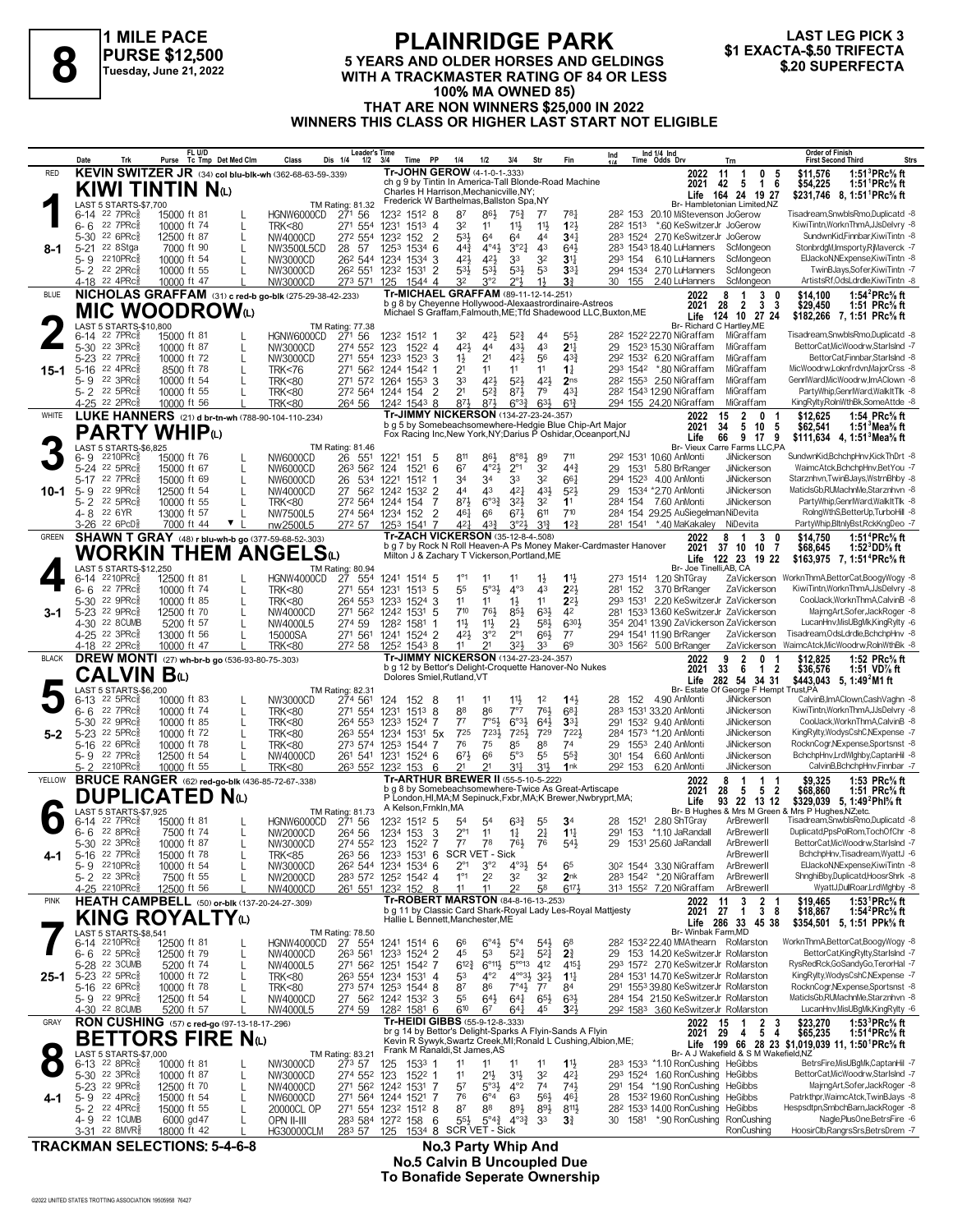

### **PLAINRIDGE PARK 5 YEARS AND OLDER HORSES AND GELDINGS PURSE \$12,500**<br>
Tuesday, June 21, 2022<br>
WITH A TRACKMASTER RATING OF 84 OR LESS<br> **1000/ MA OWNER 85 84 OR LESS** \$20 SUPERFECTA **100% MA OWNED 85) THAT ARE NON WINNERS \$25,000 IN 2022 WINNERS THIS CLASS OR HIGHER LAST START NOT ELIGIBLE**



**Purse FL U/D Tc Tmp Det Med Clm Class Dis 1/4 1/2 3/4 Time PP 1/4 1/2 3/4 Str Fin Ind Leader's Time Ind 1/4 Ind 1/4 Time Odds Drv Order of Finish Trn First Second Third Strs** STREAM STREAM AND THE STREAM HAMBLING THE STREAM HAMBLING AN HEAD TO THE STREAM THE STREAM THE STREAM THE STREAM<br>297 BF AND THE STREAM TO THE STREAM THE STREAM THE STREAM OF STREAM THE STREAM STREAM STREAM STREAM THE STRE 32 154 22 15900 ft 81 L HGNW6000CD 271 56 1232 1512 8 187 86 75 75 78 282 153 20.10 MiStevenson JoGerow Tisadream,SnwblsRmo,Duplicatd -8 16 22 7PRc 10000 ft 74 L TRK<80 271 554 1231 1513 4 32 11 11 11 11 12 282 1513 160 Ke 5-30 <sup>22</sup> 6PRc៖ 12500 ft 87 L NW4000CD 27<sup>2</sup> 554 1232 152 2 531 64 64 44 344 283 1524 2.70 KeSwitzerJr JoGerow SundwnKid,Finnbar,KiwiTintn -8 3-4 250 eStga 7000 ft 90 L NW3500L5CD 28 57 1253 1534 6 44 4<sup>2</sup> 44 344 164 1524  $\frac{44}{5}$   $\frac{42}{4}$   $\frac{43}{4}$   $\frac{44}{4}$   $\frac{44}{4}$   $\frac{44}{4}$   $\frac{44}{4}$   $\frac{44}{4}$   $\frac{44}{4}$   $\frac{44}{4}$   $\frac{44}{4}$   $\frac{44}{4}$   $\frac{44}{4}$   $\frac{44}{4}$   $\frac{44}{4}$   $\frac{44}{4}$   $\frac{44}{4}$   $\frac{44}{4}$   $\frac{44}{4}$   $\frac{44}{4}$  424 10000 ft 54 L NW3000CD 26<sup>2</sup> 544 1234 1534 3 42 $\frac{1}{4}$  42 $\frac{1}{4}$  33 34<br>22 10 Rc<sup>a</sup> 10000 ft 55 L NW3000CD 26<sup>2</sup> 554 123<sup>2</sup> 1531 2 534 534 534 294 1534 270 LuHanners ScMongeon TwinBJays,Sofer,KiwiTintn -7 5- 2 22 2PRc§ 10000 ft 55 L NW3000CD 26<sup>2</sup> 551 1232 1531 2 53 $\frac{1}{2}$  53 $\frac{1}{2}$  53 33 $\frac{1}{3}$  294 1534 2.70 LuHanners ScMongeon TwinBJays,Sofer,KiwiTintn -7<br>4-18 <sup>22</sup> 4PRc§ 10000 ft 47 L NW3000CD 273 571 125 1544 4 3<sup>2</sup> 4-18 <sup>22</sup> 4PRc<sub>∛</sub> 10000 ft 47 LUN/3000CD 273 571 125 1544 4 3<sup>2</sup> 3°2 2°½ 1½ **3**¾ 30 155 2.40 LuHanners ScMongeon ArtistsRf,OdsLdrdle,KiwiTintn -8 **KEVIN SWITZER JR** (34) **col blu-blk-wh** (362-68-63-59-.339) RED **2022 8-1** ch g 9 by Tintin In America-Tall Blonde-Road Machine Charles H Harrison,Mechanicville,NY; Frederick W Barthelmas, Ballston Spa, NY  **42 5 1 6 \$54,225 1:51<sup>1</sup>PRc⅝ ft 11 1 0 5 \$11,576 1:51<sup>3</sup>PRc⅝ ft 164 24 19 27 \$231,746 1:51<sup>1</sup>PRc⅝ ft 2021 Tr-JOHN GEROW** (4-1-0-1-.333) **KIWI TINTIN N(L)**<br> **1** (AST 5 STARTS-\$7,700)<br>
6-14 22 7PRC 15000 ft 81<br>
6-6 22 7PRC 10000 ft 74 LAST 5 STARTS-\$7,700 TM Rating: 81.32 6-14 <sup>22</sup> 7PRc≹ 15000 ft 81 L HGNW6000CD 271 56 1232 1512 1 32 42½ 52¾ 44 55½ 282 1522 22.70 NiGraffam MiGraffam Tisadream,SnwblsRmo,Duplicatd 8 5-30 <sup>22</sup> 3PRc៖ 10000 ft 87 L NW3000CD 274 552 123 1522 4 42½ 44 43½ 43 **2**1½ 29 1523 15.30 NiGraffam MiGraffam BettorCat,MicWoodrw,Starlshd -7<br>5-23 <sup>22</sup> 7PRc៖ 10000 ft 72 L NW3000CD 271 554 1233 152 5-16 <sup>22</sup> 4PRc<sub>š</sub> 8500 ft 78 L TRK<76 271 562 1244 1542 1 21 11 11 11 11 14 293 1542 \*.80 NiGraffam MiGraffam MicWoodrw,Loknfrdvn,MajorCrss -8 33 42% 19900 11 11 11 14 29 1532 620 NiGraffam MiGraffam BettorCatFindux,Starishin - 1990 1522 124 1254 22 124 1254 22 1254 22 1254 22 1254 22 1254 22 1254 22 1254 22 1254 22 1254 22 1254 22 1254 22 1254 22 1254 22 1254 2 5- 2 <sup>22</sup> 5PRc $\frac{3}{5}$  10000 ft 55 L TRK<80 27<sup>2</sup> 564 1244 154 2 21 52 $\frac{3}{5}$  87 $\frac{1}{2}$  79 43 $\frac{1}{4}$  282 1543 12.90 NiGraffam MiGraffam PartyWhip,GenrlWard,WalkItTlk -8  $\frac{22}{2PRc}$  8  $\frac{10000 \text{ ft}}{10000 \text{ ft}}$  56  $\frac{1}{264 \text{ CR}}$   $\frac{1}{264 \text{ SG}}$   $\frac{264 \text{ 56}}{264 \text{ 56}}$   $\frac{1242 \text{ 1543}}{242 \text{ 1543}}$   $\frac{87\frac{1}{2} \text{ 67\frac{3}{4}}}{87\frac{1}{2} \text{ 67\frac{3}{4}}$   $\frac{67\frac{3}{4}}{294 \text{ 155}}$   $\frac{294$ **NICHOLAS GRAFFAM** (31) **c red-b go-blk** (275-29-38-42-.233) BLUE **2022 15-1** Br- Richard C Hartley, ME<br>282 1522 22.70 Nigraffam Migraffam b g 8 by Cheyenne Hollywood-Alexaastrordinaire-Astreos Michael S Graffam,Falmouth,ME;Tfd Shadewood LLC,Buxton,ME  **28 2 3 3 \$29,450 1:51 PRc⅝ ft 8 1 3 0 \$14,100 1:54<sup>2</sup>PRc⅝ ft 124 10 27 24 \$182,266 1:51 PRc⅝ ft 2021** Life **124 10** 27 24 **Tr-MICHAEL GRAFFAM** (89-11-12-14-.251) **MIC WOODROW**<br> **2 ASSESS ARTS-\$10,800**<br>
5-30 <sup>22</sup> 3PRCs<br>
10000 ft 87<br> **22** 3PRCs<br>
10000 ft 87 LAST 5 STARTS-\$10,800 TM Rating: 77.38 الاس 11 Maga 1511,**634 4, 1:51°Mea% ft مساحة 11 Fox Racing Inc,New York,NY;Danus P Oshidar,Oceanport,NJ مساحة 116 16 16 9 17 9 111,<b>634 4, 1:51°Mea% ft**<br>4- And The State Farms LLC,PA (1980) 71 151 5 811 1521 151 5 8<sup>98</sup> 6-9 2210PRc§ 15000 ft 76 L NW6000CD 26 551 1221 151 5 811 861 8°81 89 711 292 1531 10.60 AnMonti JiNickerson SundwnKid,BchchpHnv,KickThDrt -8<br>5-24 22 5PRc§ 15000 ft 67 L NW6000CD 26 534 1221 1512 6 67 4°21 2°1 32 44¾ 29 1 5-17 <sup>22</sup> 7PRc% 15000 ft 69 L NW6000CD 26 534 1221 1512 1 34 34 33 32 66% 294 1523 4.00 AnMonti JiNickerson Starznhvn,TwinBJays,WstmBhby 8<br>5-9 22 9PRc% 12500 ft 54 L NW4000CD 27 562 1242 1532 2 44 43 42% 43% 52% 29 1534 \*2 5-2 <sup>22 5PRc≩ 10000 ft 55 L TRK<80 27<sup>2</sup> 564 1244 154 7 8<sup>73</sup> 6°3≹ 3<sup>23</sup> 3<sup>2</sup> 11 284 154 7.60 AnMonti JiNickerson PartyWhip,GenrlWard,WakltTk 8<br>4-8 <sup>22</sup> 6YR 13000 ft 57 L NW7500L5 274 564 1234 152 2 46‡ 6<sup>6</sup> 67½ 6<sup>11</sup> 7<sup>1</sup></sup> WHITE LUKE HANNERS (21) **d br-tn-wh** (788-90-104-110-.234) **Tr-JIMMY NICKERSON** (134-27-23-24-.357) **2022 10-1** b g 5 by Somebeachsomewhere-Hedgie Blue Chip-Art Major Fox Racing Inc,New York,NY;Darius P Oshidar,Oceanport,NJ  **34 5 10 5 \$62,541 1:51<sup>3</sup>Mea⅝ ft 15 2 0 1 \$12,625 1:54 PRc⅝ ft 66 9 17 9 \$111,634 1:51<sup>3</sup>Mea⅝ ft** 2022 15 2 0<br>2021 34 5 10 **Tr-JIMMY NICKERSON** (134-27-23-24-.357) **PARTY WHIP**(L)<br> **3**  $^{6-9}_{6-9}$   $^{2210PRC_8}$   $^{2524}$   $^{15000}$  ft 76<br>  $^{5-24}$   $^{22}$  5PRCs  $^{15000}$  ft 67 LAST 5 STARTS-\$6,825 TM Rating: 81.46 1°1 1210PRc≸ 12/200 ft 81 L HGNW4000CD 27 554 1241 1514 5 1<sup>°1</sup> 11 1<sup>1</sup> 1<sup>1</sup> 1<sup>1</sup> 1<sup>1</sup> 273 1514 1.20 ShTGray ZaVickerson WorknThmA,BettorCat,BoogyWogy -8<br>6-6 <sup>22</sup> 7PRc≸ 10000 ft 74 L TRK<80 271 554 1231 1513 5 5<sup>5</sup> 5<sup>°31</sup> 10000 ft 74 L TRK<80 271 554 1231 1513 5 5<sup>5</sup> 5<sup>°3</sup> 4<sup>°3</sup> 4<sup>3</sup> 2<sup>21</sup> 281 152 3.70 BrRanger ZaVickerson KiwiTintn,WorknThmA,JJsDelvry <sup>8</sup> 5-30 22 9PRcई 10000 ft 85 L TRK<80 264 553 1233 1524 3 11 11 11 11 12 11 22<sup>1</sup> 293 1 10000 ft 85 L TRK<80 264 553 1233 1524 3 11 11 11 1221 293 1531 220 KeSwitzerJr ZaVickerson CoolJack,WorknThmA,CalvinB -8<br>12500 ft 70 L NW4000CD 271 562 1242 1531 5 710 761 631 631 42 281 1533 13.60 KeSwitzerJr ZaVickerso 723 22 9PRcई 12500 ft 70 L ... 11. 100 CD 271 562 1242 1531 5 710 764 854 634 42 281 1533 1360 KeSwitzerJr ZaVickerson MajmgArt,Sofer,JackRoger -8 23 1533 1360 KeSwitzerJr ZaVickerson MajmgArt,Sofer,JackRoger -8 1532 1533 4-30 22 8CUMB 5200 ft 57 L NW4000L5 274 59 1282 1581 1 111 111 2 15 58} 6301 354 2041 13.90 ZaVickerson ZaVickerson<br>4-25 <sup>22</sup> 3PRc§ 13000 ft 56 L 15000SA 271 561 1241 1524 2 421 3°2 2°1 661 77 294 1541 11.90 BrRanger ZaVi 4-25 22 3PRc§ 13000 ft 56 L 15000SA 271 561 1241 1524 2 42 $\frac{1}{2}$  3°2 2°1 66 $\frac{1}{2}$  77 294 1541 11.90 BrRanger ZaVickerson Tisadream,OdsLdrdle,BchchpHnv -8 22 2PRc§ 10000 ft 47 L TRK<80 272 58 1252 1543 8 11 21 32 $\frac{1$ 12 22 303 224 303 5.000 Brand Brander ZaVickerson WaimcAtck,MicWoodrw,RolnWthBk -8<br>2022 9 2 0 1 \$12.825 1:52 PRc<sup>5</sup>/<sub>8</sub> ft **SHAWN T GRAY** (48) **r blu-wh-b go** (377-59-68-52-.303) GREEN **2022 3-1** Br- Joe Tinelli, AB, CA<br>273 1514 1.20 ShTGray ZaVick b g 7 by Rock N Roll Heaven-A Ps Money Maker-Cardmaster Hanover Milton J & Zachary T Vickerson,Portland,ME  **37 10 10 7 \$68,645 1:52<sup>3</sup>DD⅝ ft 2021 8 1 3 0 \$14,750 1:51<sup>4</sup>PRc⅝ ft 122 23 19 22 \$163,975 1:51<sup>4</sup>PRc⅝ ft** Life **122 23 19 22 Tr-ZACH VICKERSON** (35-12-8-4-.508) **WORKIN THEM ANGELS(L)**<br>LAST 5 STARTS-\$12,250 LAST 5 STARTS-\$12,250<br>6-14 <sup>2210PRc 8</sup> 12500 ft 81 11 11 11½ 28 6-13 4.90 AnMonti JiNickerson CalvinB,ImAClown,CashVaghn -8 22 5PRcÁ 10000 ft 83 L NW3000CD 274 561 124 152 8 12 **1**4½ 152 Br- Estate Of George F Hempt Trust,PA **Life 5,**  $\frac{6-13}{6-8} \cdot \frac{22}{2} \cdot \frac{5}{6} \cdot \frac{24}{10000} \cdot \frac{10000}{10000} + \frac{18}{10000} \cdot \frac{10000}{10000} + \frac{100000}{10000} \cdot \frac{10000}{10000} + \frac{1000000}{10000} \cdot \frac{274}{10000} \cdot \frac{274}{10000} \cdot \frac{274}{10000} \cdot \frac{274}{10000} \cdot \frac{274}{10000} \$ 1970 22 9PRc 10000 ft 85 L 1 1 TRK<80 264 553 1233 1524 7 7<sup>7</sup> 7<sup>°54</sup> 5°<sup>31</sup> 6°<sup>32</sup> 6°<sup>32</sup> 6°3<sup>2</sup> 33<sup>3</sup> 291 1532 9.40 AnMonti JiNickerson CoolJack,WorknThmA,CalvinB -8<br>1989 12 5 PRc 10000 ft 72 L 1 TRK<80 273 574 1253 15 725 723 22 5 PRc É 10000 ft 72 Little TRK<80 263 554 1234 1531 5x 725 7234 7254 729 7224 284 1573 1.20 AnMonti JiNickerson Computer - 7 284 1573 1.20 AnMonti JiNickerson Computer - 7 264 1573 1581 5x 7240 AnMonti JiNicker 76 22 6PRc‱ 10000 ft 78 L TRK<80 273 574 1253 1544 7 76 75 85 88 74 29 1553 240 AnMonti JiNickerson RocknCogr,NExpense,Sportsnst -8<br>5-9 22 7PRc‱ 12500 ft 54 L NW4000CD 261 541 1231 1524 6 673 66 5°3 55 553 301 154 6.60 A 5-9 <sup>22</sup> 7PRc총 12500 ft 54 L NW4000CD 261 541 1231 1524 6 67½ 66 5°3 55 55¾ 301 154 6.60 AnMonti JiNickerson BchchpHnv,LrdWlghby,CaptanHil 8 5- 2 <sup>22</sup>10PRc<sub>å</sub> 10000 ft 55 L TRK<80 263 552 1232 153 6 2<sup>1</sup> 2<sup>1</sup> 3<sup>11</sup> 3<sup>11</sup> 1nk 292 153 6.20 AnMonti JiNickerson CalvinB,BchchpHnv,Finnbar 7 **DREW MONTI** (27) **wh-br-b go** (536-93-80-75-.303) BLACK **2022 5-2** b g 12 by Bettor's Delight-Croquette Hanover-No Nukes Dolores Smiel,Rutland,VT  **33 6 1 2 \$36,576 1:51 VD⅞ ft 9 2 0 1 \$12,825 1:52 PRc⅝ ft 282 54 34 31 \$443,043 1:49<sup>2</sup>M1 ft 2021 Tr-JIMMY NICKERSON** (134-27-23-24-.357) **CALVIN B**(L)<br>
6-13 <sup>22</sup> 5PRC\$<br>
6-6 <sup>22</sup> 7PRC\$<br>
10000<br>
10000<br>
10000 LAST 5 STARTS-\$6,200 TM Rating: 82.31 6-14 <sup>22</sup> 7PRc៖ 15000 ft 81 L HGNW6000CD 271 56 1232 151<sup>2</sup> 5 54 54 63≹ 55 **3**4 28 1521 280 ShTGray ArBrewerII Tisadream,SnwblsRmo,Duplicatd 8<br>5-30 22 8PRc៖ 17500 ft 87 L NW2000CD 264 552 1 2°210PRc 10000 ft 54 L NW3000CD 262 544 1234 1534 6 2°1 3°2 4°31 54 65 302 1544 3.30 NiGraffam ArBrewerII ElJackoN,NExpense,KiwiTintn -8<br>5- 22 3PRc 7500 ft 55 L NW2000CD 283 572 1252 1542 4 1°1 22 32 32 2nk 283 1542 \*.20 N 5- 2 <sup>22</sup> 3PRc<sub>∛</sub> 7500 ft 55 L NW2000CD 283 572 1252 1542 4 1°1 22 32 **3**2 **2**nk 283 1542 \*.20 NiGraffam ArBrewerII ShnghiBby,Duplicatd,HoosrShrk -8 <u>4-25 2210PRc‱ 12500 ft 56 L NW4000CD 261 551 1232 152 8 11 11 22 58 617½ 313 1552 7.20</u>NiGraffam ArBrewerII WyattJDullRoar,LrdWlghby 8 **BRUCE RANGER** (62) red-go-blk (436-85-72-67-.338)<br>**DUPLICATED** N(L) **4-1 Life 93 22 13 12 \$329,039 5, 1:49<sup>2</sup>Phl℅ ft**<br>Br- B Hughes & Mrs M Green & Mrs P Hughes,NZ;etc. b g 8 by Somebeachsomewhere-Twice As Great-Artiscape P London,Hl,MA;M Sepinuck,Fxbr,MA;K Brewer,Nwbryprt,MA; A Kelson,Frnkln,MA YELLOW **2022 Tr-ARTHUR BREWER II** (55-5-10-5-.222)  **28 5 5 2 \$68,860 1:51 PRc⅝ ft 8 1 1 1 \$9,325 1:53 PRc⅝ ft 2021 DUPLICATED N**(L)<br>
6-14 <sup>22</sup> 7PRG<sub>8</sub> 15000 ft 81<br>
6-6 22 8PRG8 7500 ft 74<br>
7500 ft 74 LAST 5 STARTS-\$7,925 TM Rating: 81.73 66 6°41 514 31% 6F- Winbak Farm,MD (127 658,541 1240 FM Rating: 78.50 1241 1514 6 66 6°41 5°4 5°4 68 1532 1532<br>16-14 2210PRcÅ 12500 ft 81 L HGNW4000CD 27 554 1241 1514 6 6<sup>6</sup> 6°41 5<sup>4</sup> 5<sup>4</sup> 68 28<sup>2</sup> 1532 2240 MMAthearn Ro 4644 2210PRc 112500 ft 81 L HGNW4000CD 27 554 1241 1514 6 66 6 44 54 68 282 1532 2240 MMAthearn RoMarston WorknThmABettorCat,BoogWogy 8<br>45 6 22 5PRc 12500 ft 79 L NW4000CD 263 561 1233 1524 2 45 53 524 524 2 153 1420 KeSwi 612¾ 6°11½ 5°°13 293 5-28 2.70 KeSwitzerJr RoMarston RysRedRck,GoSandyGo,TerorHal -7 22 3CUMB 5200 ft 74 L NW4000L5 271 562 1251 1542 7 412 415¼ 1572 5-23 <sup>22</sup> 5PRc៖ 10000 ft 72 L TRK<80 263 554 1234 1531 4 53 4°<sup>2</sup> 4°°34 321 114 284 1531 14.70 KeSwitzerJr RoMarston KingRylty,WodysCshC,NExpense -7<br>123 22 6PRc៖ 10000 ft 78 L TRK<80 273 574 1253 1544 8 87 86 7°44 77 84 2 5-16 22 6PRc 8 10000 ft 78 L TRK<80 273 574 1253 1544 8 87 86 7°44 77 84 291 1553 39.80 KeSwitzerJr RoMarston RocknCogr,NExpense,Sportsnst -8<br>5-9 22 9PRc 8 12500 ft 54 L NW4000CD 27 562 1242 1532 3 55 644 644 654 634 284 1 135 64% 64 12500 ft 54 L NW4000CD 27 562 1242 1532 3 55 641 641 651 643 284 154 21.50 KeSwitzerJr RoMarston MaticlsGb,RUMachnMe,Starznhvn -8<br>22 8CUMB 5200 ft 57 L NW4000L5 274 59 1282 1581 6 610 67 641 45 32½ 292 1583 3.6 60 KeSwitzerJr RoMarston LucanHnv LucanHnv 1002 1583<br>2022 15 1 2 3 \$23,270<br>2021 29 4 5 4 \$65.235 **HEATH CAMPBELL** (50) **or-blk** (137-20-24-27-.309) PINK **2022 25-1** b g 11 by Classic Card Shark-Royal Lady Les-Royal Mattjesty Hallie L Bennett,Manchester,ME  **27 1 3 8 \$18,867 1:54<sup>2</sup>PRc⅝ ft 11 3 2 1 \$19,465 1:53<sup>1</sup>PRc⅝ ft 286 33 45 38 \$354,501 1:51 PPk⅝ ft 2021** Life 286 33 45 38 **Tr-ROBERT MARSTON** (84-8-16-13-.253) **KING ROYALTY**(L)<br>LAST 5 STARTS-\$8,541<br>6-14 2210PRc<sup>\$</sup> 12500 ft 81 LAST 5 STARTS-\$8,541 TM Rating: 78.50<br>6-14 2210PRc 12500 ft 81 HGNW4000CD 27 554 11 11 11 M Rating: 83.21 Production of America, ADSTRIAN Br- A J Wakefield & S M Wakefield,NZ و TM Rating: 83.21<br>17 G-13 22 8PRcံﷺ 10000 ft 81 L NW3000CD 273 57 125 1533 1 1<sup>1</sup> 11 1<sup>1</sup> 11 1<sup>1</sup> 11 1<sup>1</sup> 1533 1533 110 RonCus 11 21 22 3PRc 3 10000 ft 87 L 11 21 11 21 31 32 42 123 1522 1 23 1524 1.60 RonCushing HeGibbs BettorCat,MicWoodrw,StarIslnd -7 293 1524 10000 ft 87 L 11 214 314 32 42 74 29 1524 1.60 RonCushing HeGibbs BettorCat,MicWoodrw, 57 5°3½ 4°2 291 5-23 \*1.90 RonCushing HeGibbs MajrngArt,Sofer,JackRoger -8 22 9PRcÁ 12500 ft 70 L NW4000CD 271 562 1242 1531 7 74 74½ 154 16 16000 F 64 L 16000 F 64 L 20000CD 271 564 1244 1521 7 76 6°4 63 564 464 28 1532 1960 RonCushing HeGibbs Patrkthpr, WaimcAtck,TwinBJays 3<br>19 22 19 19 19 19 19 19 20000CL OP 271 554 1232 1512 8 187 88 894 814 282 1533 14 87 88 89½ 282 5- 2 14.00 RonCushing HeGibbs Hespsdtpn,SmbchBarn,JackRoger -8 22 4PRcÁ 15000 ft 55 L 20000CL OP 271 554 1232 1512 8 89½ 811½ 1533  $\overline{4}$ - 9 <sup>22</sup> 1CUMB 6000 gd47 L OPN II-III 283 584 1272 158 6 55½ 5°4¾ 4°<sup>3</sup>¾ 33 3¾ 30 1581 \*.90 RonCushing RonCushing Nagle,PlusOne,BetrsFire -6<br>3-31 <sup>22</sup> 8MVR៖ 18000 ft 42 L HG30000CLM 283 57 125 1534 **8 SCR VET - Si** 3-31 <sup>22</sup> 8MVR $\frac{8}{3}$  18000 ft 42 L HG30000CLM 283 57 125 1534 8 SCR VET - Sick Research Concusting HoosirClb,RangrsSrs,BetrsDrem -7 **RON CUSHING** (57) **c red-go** (97-13-18-17-.296) **4-1** br g 14 by Bettor's Delight-Sparks A Flyin-Sands A Flyin Kevin R Sywyk,Swartz Creek,MI;Ronald L Cushing,Albion,ME; Frank M Ranaldi,St James,AS GRAY **RON CUSHING** (57) **c** red-go (97-13-18-17-296) **Tr-HEIDI GIBBS** (55-9-12-8-.333)  **29 4 5 4 \$65,235 1:51<sup>4</sup>PRc⅝ ft 199 66 28 23 \$1,019,039 1:50<sup>1</sup>PRc⅝ ft Life 11, 15 1 2 3 \$23,270 1:53<sup>3</sup>PRc⅝ ft 2021 BETTORS FIRE N(L)**<br> **BETTORS FIRE N(L)**<br> **B** 6-13 22 BPRG<sub>8</sub> 10000 ft 81 L NW3000CD LAST 5 STARTS-\$7,000<br>22 8PRc 10000 ft 81 LAST 22 8PRc 10000 ft 81 LAST 273 57

**TRACKMAN SELECTIONS: 5-4-6-8 No.3 Party Whip And**

**No.5 Calvin B Uncoupled Due To Bonafide Seperate Ownership**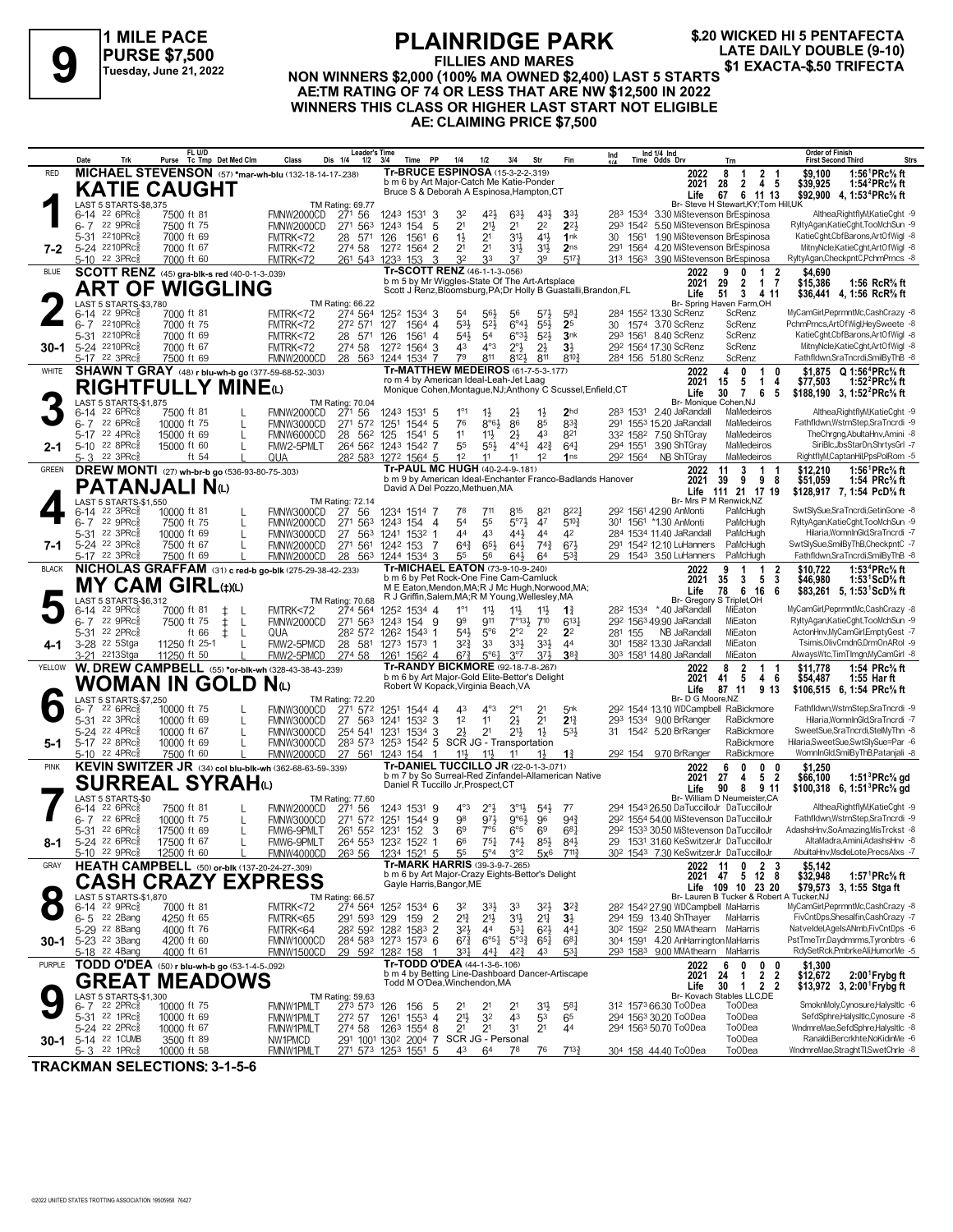

**\$.20 WICKED HI 5 PENTAFECTA**

### **FILLIES AND MARES NON WINNERS \$2,000 (100% MA OWNED \$2,400)**<br>
FILLIES AND MARES \$1 EXACTA-\$.50 TRIFECTA<br>
Tuesday, June 21, 2022 MON WINNERS \$2,000 (100% MA OWNED \$2,400) LAST 5 STARTS<br>
A BETM BATING OF 74 OR LESS THAT ARE NIM \$42,500 IN 20 **AE:TM RATING OF 74 OR LESS THAT ARE NW \$12,500 IN 2022 WINNERS THIS CLASS OR HIGHER LAST START NOT ELIGIBLE AE: CLAIMING PRICE \$7,500**

| MICHAEL STEVENSON (57) *mar-wh-blu (132-18-14-17-238)<br><b>Tr-BRUCE ESPINOSA (15-3-2-2-.319)</b><br><b>RED</b><br>1:56 ${}^1$ PRc ${}^5\! s$ ft<br>2022<br>8<br>2 <sub>1</sub><br>\$9,100<br>$\mathbf{1}$<br>b m 6 by Art Major-Catch Me Katie-Ponder<br>$2 \quad 4$<br>1:54 ${}^{2}$ PRc ${}^{5}_{8}$ ft<br>2021<br>28<br>-5<br>\$39,925<br><b>KATIE CAUGHT</b><br>Bruce S & Deborah A Espinosa, Hampton, CT<br>67 6 11 13<br>\$92,900 4, 1:53 <sup>4</sup> PRc <sup>5</sup> / <sub>8</sub> ft<br>Life<br>LAST 5 STARTS-\$8.375<br>Br- Steve H Stewart, KY; Tom Hill, UK<br>TM Rating: 69.77<br>Althea, RightflyM, KatieCght -9<br>283 1534 3.30 MiStevenson BrEspinosa<br>6-14 22 6PRc<br>7500 ft 81<br>FMNW2000CD<br>271 56<br>1243 1531 3<br>32<br>421,<br>63}<br>3 <sup>3</sup><br>431,<br>2 <sup>1</sup><br>$21\frac{1}{2}$<br>2 <sup>1</sup><br>2 <sup>2</sup><br>$2^{2}$<br>RyltyAgan,KatieCght,TooMchSun -9<br>6-7 22 9PRc<br>7500 ft 75<br>271 563<br>1243 154<br>5<br>293 1542 5.50 MiStevenson BrEspinosa<br>FMNW2000CD<br>3 <sup>1</sup><br>KatieCght,CbfBarons,ArtOfWigl -8<br>5-31 2210PRc<br>7000 ft 69<br>$1\frac{1}{2}$<br>2 <sup>1</sup><br>41}<br>1nk<br>30 1561 1.90 MiStevenson BrEspinosa<br>FMTRK<72<br>28 571<br>126<br>1561 6<br>291 1564 4.20 MiStevenson BrEspinosa<br>MitnwNcle.KatieCght.ArtOfWigl -8<br>5-24 2210PRc<br>7000 ft 67<br>FMTRK<72<br>274 58<br>1272 1564 2<br>2 <sup>1</sup><br>2 <sup>1</sup><br>3 <sup>1</sup><br>3 <sup>1</sup><br>2 <sub>ns</sub><br>7-2<br>5-10 22 3PRc<br>$5^{17}$<br>313 1563 3.90 MiStevenson BrEspinosa<br>RyltyAgan,CheckpntC,PchmPrncs -8<br>7000 ft 60<br>FMTRK<72<br>261 543 1233<br>32<br>33<br>39<br>153<br>3<br>37<br>Tr-SCOTT RENZ (46-1-1-3-056)<br>SCOTT RENZ (45) gra-blk-s red (40-0-1-3-.039)<br><b>BLUE</b><br>2022<br>\$4.690<br>9<br>$\mathbf{1}$<br>2<br>n<br>b m 5 by Mr Wiggles-State Of The Art-Artsplace<br>$2 \t1 \t7$<br>29<br>2021<br>\$15,386<br>1:56 $RcR%$ ft<br><b>ART OF WIGGLING</b><br>Scott J Renz, Bloomsburg, PA; Dr Holly B Guastalli, Brandon, FL<br>Life<br>51<br>$\mathbf{3}$<br>4 11<br>\$36,441 4, 1:56 RcR <sup>5</sup> / <sub>8</sub> ft<br>LAST 5 STARTS-\$3,780<br>TM Rating: 66.22<br>Br- Spring Haven Farm, OH<br>$6-14$ 22 9PRc<br>MvCamGirl,PeprmntMc,CashCrazy -8<br>7000 ft 81<br>FMTRK<72<br>274 564<br>284 1552 13.30 ScRenz<br>ScRenz<br>1252 1534 3<br>$56\frac{1}{2}$<br>56<br>$5^{7}\frac{1}{2}$<br>581<br>5 <sup>4</sup><br>PchmPrncs,ArtOfWigl,HeySweete -8<br>2210PRc<br>$5^{21}$<br>$6^{\circ}4\frac{1}{2}$<br>ScRenz<br>7000 ft 75<br>272 571<br>$5^{31}$<br>$55\frac{1}{2}$<br>2 <sup>5</sup><br>30 1574 3.70 ScRenz<br>$6 - 7$<br>FMTRK<72<br>127<br>1564 4<br>KatieCght,CbfBarons,ArtOfWigl -8<br>5-31 2210PRc<br>$54\frac{1}{2}$<br>$6^{\circ}3\frac{1}{2}$<br>$5^{21}$<br>3nk<br>293 1561 8.40 ScRenz<br>ScRenz<br>7000 ft 69<br>FMTRK<72<br>28 571<br>126<br>$1561$ 4<br>5 <sup>4</sup><br>$4^{\circ}3$<br>MitnyNcle,KatieCght,ArtOfWigl -8<br>5-24 2210PRc<br>7000 ft 67<br>274 58<br>1272 1564 3<br>43<br>$2^{\circ}$<br>$2\frac{1}{2}$<br>$3\frac{1}{2}$<br>292 1564 17.30 ScRenz<br>ScRenz<br>FMTRK<72<br>30-1<br>79<br>5-17 22 3PRc<br>7500 ft 69<br><b>FMNW2000CD</b><br>28 563 1244 1534 7<br>811<br>$8^{12}$<br>811<br>$8^{10}\frac{3}{4}$<br>284 156 51.80 ScRenz<br>ScRenz<br>Fathfldwn,SraTncrdi,SmilByThB -8<br><b>Tr-MATTHEW MEDEIROS (61-7-5-3-177)</b><br>SHAWN T GRAY (48) r blu-wh-b go (377-59-68-52-.303)<br>WHITE<br>4<br>0<br>\$1.875 Q 1:56 <sup>4</sup> PRc <sup>5</sup> / <sub>8</sub> ft<br>2022<br>$\mathbf{1}$<br>0<br>ro m 4 by American Ideal-Leah-Jet Laag<br>2021<br>5<br>$\mathbf{1}$<br>4<br>15<br>\$77,503<br>1:52 $^{2}$ PRc $\%$ ft<br><b>RIGHTFULLY MINE</b> W<br>Monique Cohen, Montague, NJ; Anthony C Scussel, Enfield, CT<br>Life<br>30<br>$\overline{7}$<br>5<br>\$188,190 3, 1:52 <sup>2</sup> PRc <sup>5</sup> / <sub>8</sub> ft<br>6<br>Br- Monique Cohen, NJ<br>LAST 5 STARTS-\$1,875<br><b>TM Rating: 70.04</b><br>6-14 22 6PRcs<br>7500 ft 81<br>FMNW2000CD<br>271 56<br>283 1531 2.40 JaRandall<br>Althea, RightflyM, KatieCght -9<br>1243 1531 5<br>2 <sub>hd</sub><br>MaMedeiros<br>$1\frac{1}{2}$<br>2}<br>$1\frac{1}{2}$<br>6-7 22 6PRc<br>10000 ft 75<br>271 572 1251<br>1544 5<br>76<br>$8°6\frac{1}{2}$<br>86<br>85<br>$8^{3}\frac{3}{4}$<br>291 1553 15.20 JaRandall<br>MaMedeiros<br>Fathfldwn,WstrnStep,SraTncrdi -9<br>FMNW3000CD<br>5-17 22 4PRc<br>11<br>332 1582 7.50 ShTGray<br>TheChrgng,AbultaHnv,Amini -8<br>15000 ft 69<br>28 562<br>$11\frac{1}{2}$<br>$2\frac{1}{2}$<br>43<br>821<br>MaMedeiros<br>FMNW6000CD<br>125<br>1541 5<br>5-10 22 8PRcs<br>$4^{2}\frac{3}{4}$<br>SiriBlc, JbsStarDn, ShrtysGrl -7<br>15000 ft 60<br>FMW2-5PMLT<br>264 562 1243 1542 7<br>55<br>$55\frac{1}{2}$<br>$4^{\circ}4^{\frac{1}{4}}$<br>$64\frac{1}{4}$<br>294 1551<br>3.90 ShTGray<br>MaMedeiros<br>$2 - 1$<br>RightflyM,CaptanHil,PpsPolRom -5<br>$5 - 3$ 22 3PRc<br>1 <sup>2</sup><br>1 <sup>2</sup><br>ft 54<br>QUA<br>28 <sup>2</sup> 58 <sup>3</sup> 127 <sup>2</sup> 1564 5<br>11<br>11<br>1 <sub>ns</sub><br>292 1564<br>NB ShTGray<br>MaMedeiros<br>Tr-PAUL MC HUGH (40-2-4-9-.181)<br><b>DREW MONTI</b> (27) wh-br-b go (536-93-80-75-.303)<br>1:56 <sup>1</sup> PRc <sup>5</sup> / <sub>8</sub> ft<br><b>GREEN</b><br>2022<br>11<br>3<br>$1 \quad 1$<br>\$12,210<br>b m 9 by American Ideal-Enchanter Franco-Badlands Hanover<br>39<br>2021<br>99<br>- 8<br>\$51,059<br>1:54 PRc% ft<br>PATANJALI Nω<br>David A Del Pozzo, Methuen, MA<br>Life 111 21 17 19<br>\$128,917 7, 1:54 PcD% ft<br><b>LAST 5 STARTS-\$1,550</b><br>Br- Mrs P M Renwick, NZ<br>TM Rating: 72.14<br>SwtSlySue,SraTncrdi,GetinGone -8<br>6-14 22 3PRc <sup>5</sup><br>815<br>821<br>8221<br>292 1561 42.90 AnMonti<br>PaMcHugh<br>10000 ft 81<br>FMNW3000CD<br>27 56<br>1234 1514 7<br>78<br>711<br>$5^{\circ}7\frac{1}{2}$<br>RyltyAgan,KatieCght,TooMchSun -9<br>6-7 22 9PRc<br>54<br>55<br>47<br>$5^{10}$<br>PaMcHugh<br>7500 ft 75<br><b>FMNW2000CD</b><br>271 563<br>1243 154 4<br>301 1561 *1.30 AnMonti<br>443<br>5-31 22 3PRc3<br>10000 ft 69<br>27<br>563<br>44<br>43<br>44<br>42<br>284 1534 11.40 JaRandall<br>PaMcHugh<br>Hilaria, WomnInGld, SraTncrdi -7<br>L<br>FMNW3000CD<br>1241 1532 1<br>SwtSlySue,SmilByThB,CheckpntC -7<br>5-24 22 3PRc<br>7500 ft 67<br>271 561 1242 153 7<br>$64\frac{3}{4}$<br>$65\frac{1}{2}$<br>$64\frac{1}{2}$<br>$74\frac{3}{4}$<br>$67\frac{1}{2}$<br>291 1542 12.10 LuHanners<br>PaMcHugh<br>FMNW2000CD<br>7-1<br>5-17 22 3PRc <sup>3</sup><br>29 1543 3.50 LuHanners<br>PaMcHugh<br>Fathfldwn,SraTncrdi,SmilByThB -8<br>7500 ft 69<br>FMNW2000CD<br>28 563<br>55<br>56<br>$64\frac{1}{2}$<br>64<br>$5^{3}{}_{2}^{3}$<br>1244 1534 3<br>Tr-MICHAEL EATON (73-9-10-9-240)<br>NICHOLAS GRAFFAM (31) c red-b go-blk (275-29-38-42-.233)<br><b>BLACK</b><br>$\overline{\mathbf{2}}$<br>1:53 <sup>4</sup> PRc <sup>5</sup> / <sub>8</sub> ft<br>2022<br>9<br>-1<br>1<br>\$10.722<br>b m 6 by Pet Rock-One Fine Cam-Camluck<br>2021<br>35<br>3<br>5<br>3<br>\$46,980<br>1:53 ScD% ft<br><b>MY CAM GIRL(#)(L)</b><br>M E Eaton, Mendon, MA; R J Mc Hugh, Norwood, MA;<br>78<br>6<br>Life<br>6<br>16<br>\$83,261 5, 1:53 ScD % ft<br>R J Griffin, Salem, MA; R M Young, Wellesley, MA<br>Br- Gregory S Triplet,OH<br>LAST 5 STARTS-\$6,312<br>TM Rating: 70.68<br>$6-14$ 22 9PRc $\frac{5}{8}$<br>FMTRK<72<br>1252 1534 4<br>$11\frac{1}{2}$<br>$11\frac{1}{2}$<br>MyCamGirl,PeprmntMc,CashCrazy -8<br>7000 ft 81<br>274 564<br>$1^{\circ}1$<br>11<br>$1\frac{3}{4}$<br>28 <sup>2</sup> 1534 *.40 JaRandall<br>MiEaton<br>‡.<br>$6 - 7$ 22 9PRc $\frac{5}{8}$<br>RyltyAgan,KatieCght,TooMchSun -9<br>7500 ft 75<br>$\pm$<br><b>FMNW2000CD</b><br>271 563<br>99<br>911<br>$7^{\circ}13\frac{1}{2}$ 710<br>$6^{13}$<br>29 <sup>2</sup> 156 <sup>3</sup> 49.90 JaRandall<br>MiEaton<br>1243 154 9<br>L<br>5-31 22 2PRcs<br>$5^{41}$<br>$5^{\circ}6$<br>$2^{\circ}2$<br>2 <sup>2</sup><br>MiEaton<br>ActonHnv,MyCamGirl,EmptyGest -7<br>ft 66<br>28 <sup>2</sup> 57 <sup>2</sup> 126 <sup>2</sup> 154 <sup>3</sup> 1<br>2 <sup>2</sup><br>281 155<br>NB JaRandall<br>$\pm$<br>L<br>QUA<br>Tsimis, Oliv CmdnG, DrmOnARol -9<br>3-28 <sup>22</sup> 5Stga<br>11250 ft 25-1<br>$3^{2}\frac{3}{4}$<br>33<br>$3^{3}\frac{1}{2}$<br>3 <sup>3</sup><br>MiEaton<br>FMW2-5PMCD<br>28 581 1273 1573 1<br>44<br>301 1582 13.30 JaRandall<br>4-1<br>L<br>11250 ft 50<br>FMW2-5PMCD<br>274 58 1261 1562 4<br>$6^{73}$<br>$3^{\circ}7$<br>$3^{7}$<br>38 <sub>1</sub><br>2213Stga<br>$5^{\circ}61$<br>303 1581 14.80 JaRandall<br>MiEaton<br>AlwaysWtc,TimTImgn,MyCamGirl -8<br>3-21<br><b>Tr-RANDY BICKMORE (92-18-7-8-267)</b><br>W. DREW CAMPBELL (55) *or-blk-wh (328-43-38-43-239)<br>YELLOW<br>8<br>$\mathbf 2$<br>1:54 PRc% ft<br>\$11,778<br>2022<br>1 1<br>b m 6 by Art Major-Gold Elite-Bettor's Delight<br>41<br>5<br>4<br>6<br>2021<br>\$54,487<br>1:55 Har ft<br>WOMAN IN GOLD<br>$N_{\odot}$<br>Robert W Kopack, Virginia Beach, VA<br>87 11<br>9 13<br>\$106,515 6, 1:54 PRc% ft<br>Life<br>LAST 5 STARTS-\$7,250<br>Br- D G Moore, NZ<br><b>TM Rating: 72.20</b><br>Fathfldwn,WstrnStep,SraTncrdi -9<br>$226$ PRc $\frac{2}{3}$<br>10000 ft 75<br>FMNW3000CD<br>271 572<br>1251<br>1544 4<br>43<br>$2^{\circ}1$<br>2 <sup>1</sup><br>5nk<br>29 <sup>2</sup> 1544 13.10 WDCampbell RaBickmore<br>$6 - 7$<br>5-31 22 3PRc<br>27<br>1 <sup>2</sup><br>21<br>2 <sup>1</sup><br>$2^{13}$<br>563<br>$153^2$ 3<br>11<br>293 1534 9.00 BrRanger<br>RaBickmore<br>Hilaria, WomnInGld, SraTncrdi -7<br>10000 ft 69<br>FMNW3000CD<br>1241<br>5-24 22 4PRc<br>254 541<br>$2\frac{1}{2}$<br>2 <sup>1</sup><br>$21\frac{1}{2}$<br>$5^{3}$<br>31 1542 5.20 BrRanger<br>RaBickmore<br>SweetSue,SraTncrdi,StelMyThn -8<br>10000 ft 67<br>1231<br>1534 3<br>FMNW3000CD<br>$1\frac{1}{2}$<br>5-17 22 8PRc<br>Hilaria,SweetSue,SwtSlySue=Par -6<br>10000 ft 69<br>283 573 1253 1542 5 SCR JG - Transportation<br>RaBickmore<br>FMNW3000CD<br>5-1<br>5-10 22 4PRc<br>WomnInGld,SmilByThB,Patanjali -8<br>7500 ft 60<br>27 561 1243 154<br>11}<br>292 154 9.70 BrRanger<br>RaBickmore<br>FMNW2000CD<br>11}<br>11<br>$1\frac{3}{4}$<br>- 1<br>13<br>Tr-DANIEL TUCCILLO JR (22-0-1-3-.071)<br>KEVIN SWITZER JR (34) col blu-blk-wh (362-68-63-59-.339)<br><b>PINK</b><br>0<br>\$1.250<br>2022<br>6<br>0<br>0<br>b m 7 by So Surreal-Red Zinfandel-Allamerican Native<br>5 <sub>2</sub><br>2021<br>27<br>\$66,100<br>1:51 ${}^{3}$ PRc ${}^{5}_{8}$ gd<br>4<br>SURREAL SYRAHധ<br>Daniel R Tuccillo Jr, Prospect, CT<br>Life<br>90<br>8<br>911<br>\$100,318 6, 1:51 <sup>3</sup> PRc <sup>5</sup> / <sub>8</sub> gd<br>Br- William D Neumeister.CA<br>LAST 5 STARTS-\$0<br>TM Rating: 77.60<br>22 6PRc3<br>Althea, RightflyM, KatieCght -9<br>7500 ft 81<br>$3^{01}$<br>$5^{41}$<br>294 1543 26.50 DaTuccilloJr DaTuccilloJr<br>$6 - 14$<br>FMNW2000CD<br>271 56<br>1243 1531 9<br>$4^{\circ}3$<br>$7^7$<br>22 6PRc3<br>292 1554 54.00 MiStevenson DaTuccilloJr<br>Fathfldwn,WstrnStep,SraTncrdi -9<br>10000 ft 75<br>271 572<br>1251 1544 9<br>98<br>$97\frac{1}{2}$<br>$9°6\frac{1}{2}$<br>96<br>$94\frac{3}{4}$<br>6- 7<br>FMNW3000CD<br>6 <sup>9</sup><br>7°5<br>$6^{\circ 5}$<br>6 <sup>9</sup><br>AdashsHnv,SoAmazing,MisTrckst -8<br>5-31 22 6PRc<br>$6^{8}$ <sub>1</sub><br>292 1533 30.50 MiStevenson DaTuccilloJr<br>17500 ft 69<br>FMW6-9PMLT<br>261 552 1231 152 3<br>$74\frac{1}{2}$<br>5-24 22 6PRc <sup>5</sup><br>FMW6-9PMLT<br>264 553 1232 1522 1<br>66<br>$75\frac{1}{4}$<br>85}<br>841<br>29 1531 31.60 KeSwitzerJr DaTuccilloJr<br>AltaMadra,Amini,AdashsHnv -8<br>17500 ft 67<br>8-1<br>5-10 22 9PRc <sup>3</sup><br>12500 ft 60<br>FMNW4000CD<br>263 56 1234 1521 5<br>55<br>$5^{\circ}4$<br>$3^{\circ}2$<br>$5x^6$ $7^{11}\frac{3}{4}$<br>30 <sup>2</sup> 154 <sup>3</sup> 7.30 KeSwitzerJr DaTuccilloJr<br>AbultaHnv,MsdleLote,PrecsAlxs -7<br><b>HEATH CAMPBELL</b> (50) or-blk (137-20-24-27-.309)<br><b>Tr-MARK HARRIS (39-3-9-7-265)</b><br>0 <sub>2</sub><br>GRAY<br>2022 11<br>\$5,142<br>3<br>b m 6 by Art Major-Crazy Eights-Bettor's Delight<br>2021 47<br>5 12<br>8<br>\$32,948<br>1:57 <sup>1</sup> PRc <sup>5</sup> / <sub>8</sub> ft<br><b>CASH CRAZY EXPRESS</b><br>Gayle Harris, Bangor, ME<br>Life 109 10 23 20<br>\$79,573 3, 1:55 Stga ft<br>Br- Lauren B Tucker & Robert A Tucker, NJ<br>LAST 5 STARTS-\$1,870<br>6-14 <sup>22</sup> 9PRcs 7<br>TM Rating: 66.57<br>$27^4$ 56 <sup>4</sup><br>MyCamGirl,PeprmntMc,CashCrazy -8<br>7000 ft 81<br>28 <sup>2</sup> 154 <sup>2</sup> 27.90 WDCampbell MaHarris<br>FMTRK<72<br>1252 1534 6<br>32<br>33}<br>33<br>$3^{2}$<br>$3^{2}3$<br>2 <sup>11</sup><br>FivCntDps,Shesalfin,CashCrazy -7<br>6-5 <sup>22</sup> 2Bang<br>4250 ft 65<br>291 593 129<br>$2^{13}$<br>$21\frac{1}{2}$<br>31}<br>$3\frac{1}{2}$<br>294 159 13.40 ShThayer<br>FMTRK<65<br>159 2<br>MaHarris<br>Natveldel,AgeIsANmb,FivCntDps -6<br>30 <sup>2</sup> 159 <sup>2</sup> 2.50 MMAthearn MaHarris<br>5-29 22 8Bang<br>4000 ft 76<br>FMTRK<64<br>282 592 1282 1583 2<br>$3^{21}$<br>$5^{3}$<br>$6^{21}$<br>44<br>$44\frac{1}{4}$<br>PstTmeTrr,Daydrmrms,Tyronbtrs -6<br>5-23 22 3Bang<br>304 1591 4.20 AnHarrington MaHarris<br>4200 ft 60<br>284 583 1273 1573 6<br>$6^{73}$<br>$6^{\circ 51}$<br>$5^{\circ}3^{\frac{3}{4}}$<br>$65\frac{1}{4}$<br>$6^{8}$ <sub>1</sub><br>FMNW1000CD<br>30-1<br>RdySetRck,PmbrkeAli,HumorMe -5<br>4000 ft 61<br>42 <sup>3</sup><br>43<br>293 1583 9.00 MMAthearn MaHarris<br>5-18 <sup>22</sup> 4Bang<br>FMNW1500CD<br>29 592 1282 158<br>331<br>441<br>53 <sup>1</sup><br>Tr-TODD O'DEA (44-1-3-6-.106)<br>PURPLE<br>TODD O'DEA (50) r blu-wh-b go (53-1-4-5-.092)<br>0<br>0<br>0<br>\$1,300<br>2022<br>6<br>b m 4 by Betting Line-Dashboard Dancer-Artiscape<br>$\overline{2}$<br>2021<br>24<br>2<br>\$12,672<br>$2:00$ Frybg ft<br>1<br><b>GREAT</b><br><b>MEADOWS</b><br>Todd M O'Dea, Winchendon, MA<br>30<br>$\overline{2}$<br>1<br>$\overline{2}$<br>Life<br>\$13,972 3, 2:00 Frybg ft<br>LAST 5 STARTS-\$1.300<br>Br- Kovach<br>Stables LLC, DE<br>TM Rating: 59.63<br>SmoknMolv.Cvnosure.Halvsltlc -6<br>22 2PRc <sub>8</sub><br>10000 ft 75<br>273 573<br>2 <sup>1</sup><br>312 1573 66.30 ToODea<br>To <sub>O</sub> Dea<br>$6 - 7$<br>FMNW1PMLT<br>126<br>3 <sup>1</sup><br>$5^{8}$<br>156 5<br>2 <sup>1</sup><br>21<br>SefdSphre,HalysItlc,Cynosure -8<br>5-31 22 1PRcs<br>2 <sup>1</sup><br>32<br>43<br><b>ToODea</b><br>10000 ft 69<br>FMNW1PMLT<br>272 57<br>1261<br>$155^3$ 4<br>53<br>65<br>294 1563 30.20 ToODea<br>2 <sup>1</sup><br>2 <sup>1</sup><br>2 <sup>1</sup><br>WndmreMae,SefdSphre,HalysItlc -8<br>5-24 22 2PRc<br>FMNW1PMLT<br>1263 1554 8<br>31<br>294 1563 50.70 ToODea<br>To <sub>O</sub> Dea<br>10000 ft 67<br>274 58<br>44<br>291 1001 1302 2004 7 SCR JG - Personal<br>Ranaldi, Bercrkhte, NoKidinMe -6<br>5-14 22 1CUMB<br>To <sub>ODea</sub><br>3500 ft 89<br>NW1PMCD<br>30-1<br>WndmreMae,StraghtTl,SwetChrle -8<br>5-3 22 1PRc <sup>3</sup><br>304 158 44.40 ToODea<br><b>ToODea</b><br>10000 ft 58<br>FMNW1PMLT<br>271 573 1253 1551 5<br>4 <sup>3</sup><br>$7^{13}\frac{3}{4}$<br>64<br>78<br>76 | Trk<br>Date | FL U/D<br>Purse Tc Tmp Det Med Clm | Leader's Time<br>Class<br>Dis 1/4<br>$1/2$ $3/4$ | Time PP | 1/4<br>1/2 | 3/4<br>Str | Ind<br>Fin | Ind 1/4 Ind<br>Time Odds Drv | Trn | <b>Order of Finish</b><br>Strs<br><b>First Second Third</b> |
|---------------------------------------------------------------------------------------------------------------------------------------------------------------------------------------------------------------------------------------------------------------------------------------------------------------------------------------------------------------------------------------------------------------------------------------------------------------------------------------------------------------------------------------------------------------------------------------------------------------------------------------------------------------------------------------------------------------------------------------------------------------------------------------------------------------------------------------------------------------------------------------------------------------------------------------------------------------------------------------------------------------------------------------------------------------------------------------------------------------------------------------------------------------------------------------------------------------------------------------------------------------------------------------------------------------------------------------------------------------------------------------------------------------------------------------------------------------------------------------------------------------------------------------------------------------------------------------------------------------------------------------------------------------------------------------------------------------------------------------------------------------------------------------------------------------------------------------------------------------------------------------------------------------------------------------------------------------------------------------------------------------------------------------------------------------------------------------------------------------------------------------------------------------------------------------------------------------------------------------------------------------------------------------------------------------------------------------------------------------------------------------------------------------------------------------------------------------------------------------------------------------------------------------------------------------------------------------------------------------------------------------------------------------------------------------------------------------------------------------------------------------------------------------------------------------------------------------------------------------------------------------------------------------------------------------------------------------------------------------------------------------------------------------------------------------------------------------------------------------------------------------------------------------------------------------------------------------------------------------------------------------------------------------------------------------------------------------------------------------------------------------------------------------------------------------------------------------------------------------------------------------------------------------------------------------------------------------------------------------------------------------------------------------------------------------------------------------------------------------------------------------------------------------------------------------------------------------------------------------------------------------------------------------------------------------------------------------------------------------------------------------------------------------------------------------------------------------------------------------------------------------------------------------------------------------------------------------------------------------------------------------------------------------------------------------------------------------------------------------------------------------------------------------------------------------------------------------------------------------------------------------------------------------------------------------------------------------------------------------------------------------------------------------------------------------------------------------------------------------------------------------------------------------------------------------------------------------------------------------------------------------------------------------------------------------------------------------------------------------------------------------------------------------------------------------------------------------------------------------------------------------------------------------------------------------------------------------------------------------------------------------------------------------------------------------------------------------------------------------------------------------------------------------------------------------------------------------------------------------------------------------------------------------------------------------------------------------------------------------------------------------------------------------------------------------------------------------------------------------------------------------------------------------------------------------------------------------------------------------------------------------------------------------------------------------------------------------------------------------------------------------------------------------------------------------------------------------------------------------------------------------------------------------------------------------------------------------------------------------------------------------------------------------------------------------------------------------------------------------------------------------------------------------------------------------------------------------------------------------------------------------------------------------------------------------------------------------------------------------------------------------------------------------------------------------------------------------------------------------------------------------------------------------------------------------------------------------------------------------------------------------------------------------------------------------------------------------------------------------------------------------------------------------------------------------------------------------------------------------------------------------------------------------------------------------------------------------------------------------------------------------------------------------------------------------------------------------------------------------------------------------------------------------------------------------------------------------------------------------------------------------------------------------------------------------------------------------------------------------------------------------------------------------------------------------------------------------------------------------------------------------------------------------------------------------------------------------------------------------------------------------------------------------------------------------------------------------------------------------------------------------------------------------------------------------------------------------------------------------------------------------------------------------------------------------------------------------------------------------------------------------------------------------------------------------------------------------------------------------------------------------------------------------------------------------------------------------------------------------------------------------------------------------------------------------------------------------------------------------------------------------------------------------------------------------------------------------------------------------------------------------------------------------------------------------------------------------------------------------------------------------------------------------------------------------------------------------------------------------------------------------------------------------------------------------------------------------------------------------------------------------------------------------------------------------------------------------------------------------------------------------------------------------------------------------------------------------------------------------------------------------------------------------------------------------------------------------------------------------------------------------------------------------------------------------------------------------------------------------------------------------------------------------------------------------------------------------------------------------------------------------------------------------------------------------------------------------------------------------------------------------------------------------------------------------------------------------------------------------------------------------------------------------------------------------------------------------------------------------------------------------------------------------------------------------------------------------------------------------------------------------------------------------------------------------------------------------------------------------------------------------------------------------------------------------------------------------------------------------------------------------------------------------------------------------------------------------------------------------------------------------------------------------------------------------------------------------------------------------------------------------------------------------------------------------------------------------------------------------------------------------------------------------------------------------------------------------------------------------------------------------------------------------------------------------------------------------------------------------------------------------------------------------------------------------------------------------------------------------------------------------------------------------------------------------------------------------------------------------------------------------------------------------------------------------------------------------------------------------------------------------------------------------------------------------------------------------------------------------------------------------------------------------------------------------------------------------------------------------------------------------------------------------------------------------------------------------------------------------------------------------------------------------------------------------------------------------------------------------------------------------------------------------------------------------------------------------------------------------------------------------------------------------------------------------------------------------------------------------------------------------------------------------------------------------------------------------------------------------------------------------------------------------------------------------------------------------------------------------------------------------------------------------------------------------------------------------------------------------------------------------------------------------------------------------------------------------------------------------------------------------------------------------------------------------------------------------------------------------------------------------------------------------------------------------------------------------------------------------------------------------------------------------------------------------------------------------------------------------------------------------------------------------------------------------------------------------------------------------------------------------------------------------------------------------------------------------------------------------------------------------------------------------------------------------------------------------------------------------------------------------------------------------------------------------------------------------------------------------------------------------------------------------------------------------------------------------------------------------------------------------------------------------------------------------------------------------------------------------------------------------------------------------------------------------------------------------------------------------------------------------------------------------------------------------------------------------------------------------------------------------------------------------------------------------------------------------------------------------------------------------------------------------------------------------------------------------------------------------------------------------------------------------------------------------------------------------------------------------------------------------------------------------------------------------------------------------------------------------------------------------------------------------------------------------------------------------------------------------------------------------------------------------------------------------------------------------------------------------------------------------------------------------------------------------------------------------------------------------------------------------------------------------------------------------------------------------------------------------------------------------------------------------------------------------------------------------------------------|-------------|------------------------------------|--------------------------------------------------|---------|------------|------------|------------|------------------------------|-----|-------------------------------------------------------------|
|                                                                                                                                                                                                                                                                                                                                                                                                                                                                                                                                                                                                                                                                                                                                                                                                                                                                                                                                                                                                                                                                                                                                                                                                                                                                                                                                                                                                                                                                                                                                                                                                                                                                                                                                                                                                                                                                                                                                                                                                                                                                                                                                                                                                                                                                                                                                                                                                                                                                                                                                                                                                                                                                                                                                                                                                                                                                                                                                                                                                                                                                                                                                                                                                                                                                                                                                                                                                                                                                                                                                                                                                                                                                                                                                                                                                                                                                                                                                                                                                                                                                                                                                                                                                                                                                                                                                                                                                                                                                                                                                                                                                                                                                                                                                                                                                                                                                                                                                                                                                                                                                                                                                                                                                                                                                                                                                                                                                                                                                                                                                                                                                                                                                                                                                                                                                                                                                                                                                                                                                                                                                                                                                                                                                                                                                                                                                                                                                                                                                                                                                                                                                                                                                                                                                                                                                                                                                                                                                                                                                                                                                                                                                                                                                                                                                                                                                                                                                                                                                                                                                                                                                                                                                                                                                                                                                                                                                                                                                                                                                                                                                                                                                                                                                                                                                                                                                                                                                                                                                                                                                                                                                                                                                                                                                                                                                                                                                                                                                                                                                                                                                                                                                                                                                                                                                                                                                                                                                                                                                                                                                                                                                                                                                                                                                                                                                                                                                                                                                                                                                                                                                                                                                                                                                                                                                                                                                                                                                                                                                                                                                                                                                                                                                                                                                                                                                                                                                                                                                                                                                                                                                                                                                                                                                                                                                                                                                                                                                                                                                                                                                                                                                                                                                                                                                                                                                                                                                                                                                                                                                                                                                                                                                                                                                                                                                                                                                                                                                                                                                                                                                                                                                                                                                                                                                                                                                                                                                                                                                                                                                                                                                                                                                                                                                                                                                                                                                                                                                                                                                                                                                                                                                                                                                                                                                                                                                                                                                                                                                                                                                                                                                                                                                                                                                                                                                                                                                                                                                                                                                                                                                                                                                                                                                                                                                                                                                                                                                                                                                                                                                                                                                                                                                                                                                                                 |             |                                    |                                                  |         |            |            |            |                              |     |                                                             |
|                                                                                                                                                                                                                                                                                                                                                                                                                                                                                                                                                                                                                                                                                                                                                                                                                                                                                                                                                                                                                                                                                                                                                                                                                                                                                                                                                                                                                                                                                                                                                                                                                                                                                                                                                                                                                                                                                                                                                                                                                                                                                                                                                                                                                                                                                                                                                                                                                                                                                                                                                                                                                                                                                                                                                                                                                                                                                                                                                                                                                                                                                                                                                                                                                                                                                                                                                                                                                                                                                                                                                                                                                                                                                                                                                                                                                                                                                                                                                                                                                                                                                                                                                                                                                                                                                                                                                                                                                                                                                                                                                                                                                                                                                                                                                                                                                                                                                                                                                                                                                                                                                                                                                                                                                                                                                                                                                                                                                                                                                                                                                                                                                                                                                                                                                                                                                                                                                                                                                                                                                                                                                                                                                                                                                                                                                                                                                                                                                                                                                                                                                                                                                                                                                                                                                                                                                                                                                                                                                                                                                                                                                                                                                                                                                                                                                                                                                                                                                                                                                                                                                                                                                                                                                                                                                                                                                                                                                                                                                                                                                                                                                                                                                                                                                                                                                                                                                                                                                                                                                                                                                                                                                                                                                                                                                                                                                                                                                                                                                                                                                                                                                                                                                                                                                                                                                                                                                                                                                                                                                                                                                                                                                                                                                                                                                                                                                                                                                                                                                                                                                                                                                                                                                                                                                                                                                                                                                                                                                                                                                                                                                                                                                                                                                                                                                                                                                                                                                                                                                                                                                                                                                                                                                                                                                                                                                                                                                                                                                                                                                                                                                                                                                                                                                                                                                                                                                                                                                                                                                                                                                                                                                                                                                                                                                                                                                                                                                                                                                                                                                                                                                                                                                                                                                                                                                                                                                                                                                                                                                                                                                                                                                                                                                                                                                                                                                                                                                                                                                                                                                                                                                                                                                                                                                                                                                                                                                                                                                                                                                                                                                                                                                                                                                                                                                                                                                                                                                                                                                                                                                                                                                                                                                                                                                                                                                                                                                                                                                                                                                                                                                                                                                                                                                                                                                                 |             |                                    |                                                  |         |            |            |            |                              |     |                                                             |
|                                                                                                                                                                                                                                                                                                                                                                                                                                                                                                                                                                                                                                                                                                                                                                                                                                                                                                                                                                                                                                                                                                                                                                                                                                                                                                                                                                                                                                                                                                                                                                                                                                                                                                                                                                                                                                                                                                                                                                                                                                                                                                                                                                                                                                                                                                                                                                                                                                                                                                                                                                                                                                                                                                                                                                                                                                                                                                                                                                                                                                                                                                                                                                                                                                                                                                                                                                                                                                                                                                                                                                                                                                                                                                                                                                                                                                                                                                                                                                                                                                                                                                                                                                                                                                                                                                                                                                                                                                                                                                                                                                                                                                                                                                                                                                                                                                                                                                                                                                                                                                                                                                                                                                                                                                                                                                                                                                                                                                                                                                                                                                                                                                                                                                                                                                                                                                                                                                                                                                                                                                                                                                                                                                                                                                                                                                                                                                                                                                                                                                                                                                                                                                                                                                                                                                                                                                                                                                                                                                                                                                                                                                                                                                                                                                                                                                                                                                                                                                                                                                                                                                                                                                                                                                                                                                                                                                                                                                                                                                                                                                                                                                                                                                                                                                                                                                                                                                                                                                                                                                                                                                                                                                                                                                                                                                                                                                                                                                                                                                                                                                                                                                                                                                                                                                                                                                                                                                                                                                                                                                                                                                                                                                                                                                                                                                                                                                                                                                                                                                                                                                                                                                                                                                                                                                                                                                                                                                                                                                                                                                                                                                                                                                                                                                                                                                                                                                                                                                                                                                                                                                                                                                                                                                                                                                                                                                                                                                                                                                                                                                                                                                                                                                                                                                                                                                                                                                                                                                                                                                                                                                                                                                                                                                                                                                                                                                                                                                                                                                                                                                                                                                                                                                                                                                                                                                                                                                                                                                                                                                                                                                                                                                                                                                                                                                                                                                                                                                                                                                                                                                                                                                                                                                                                                                                                                                                                                                                                                                                                                                                                                                                                                                                                                                                                                                                                                                                                                                                                                                                                                                                                                                                                                                                                                                                                                                                                                                                                                                                                                                                                                                                                                                                                                                                                                                 |             |                                    |                                                  |         |            |            |            |                              |     |                                                             |
|                                                                                                                                                                                                                                                                                                                                                                                                                                                                                                                                                                                                                                                                                                                                                                                                                                                                                                                                                                                                                                                                                                                                                                                                                                                                                                                                                                                                                                                                                                                                                                                                                                                                                                                                                                                                                                                                                                                                                                                                                                                                                                                                                                                                                                                                                                                                                                                                                                                                                                                                                                                                                                                                                                                                                                                                                                                                                                                                                                                                                                                                                                                                                                                                                                                                                                                                                                                                                                                                                                                                                                                                                                                                                                                                                                                                                                                                                                                                                                                                                                                                                                                                                                                                                                                                                                                                                                                                                                                                                                                                                                                                                                                                                                                                                                                                                                                                                                                                                                                                                                                                                                                                                                                                                                                                                                                                                                                                                                                                                                                                                                                                                                                                                                                                                                                                                                                                                                                                                                                                                                                                                                                                                                                                                                                                                                                                                                                                                                                                                                                                                                                                                                                                                                                                                                                                                                                                                                                                                                                                                                                                                                                                                                                                                                                                                                                                                                                                                                                                                                                                                                                                                                                                                                                                                                                                                                                                                                                                                                                                                                                                                                                                                                                                                                                                                                                                                                                                                                                                                                                                                                                                                                                                                                                                                                                                                                                                                                                                                                                                                                                                                                                                                                                                                                                                                                                                                                                                                                                                                                                                                                                                                                                                                                                                                                                                                                                                                                                                                                                                                                                                                                                                                                                                                                                                                                                                                                                                                                                                                                                                                                                                                                                                                                                                                                                                                                                                                                                                                                                                                                                                                                                                                                                                                                                                                                                                                                                                                                                                                                                                                                                                                                                                                                                                                                                                                                                                                                                                                                                                                                                                                                                                                                                                                                                                                                                                                                                                                                                                                                                                                                                                                                                                                                                                                                                                                                                                                                                                                                                                                                                                                                                                                                                                                                                                                                                                                                                                                                                                                                                                                                                                                                                                                                                                                                                                                                                                                                                                                                                                                                                                                                                                                                                                                                                                                                                                                                                                                                                                                                                                                                                                                                                                                                                                                                                                                                                                                                                                                                                                                                                                                                                                                                                                                                 |             |                                    |                                                  |         |            |            |            |                              |     |                                                             |
|                                                                                                                                                                                                                                                                                                                                                                                                                                                                                                                                                                                                                                                                                                                                                                                                                                                                                                                                                                                                                                                                                                                                                                                                                                                                                                                                                                                                                                                                                                                                                                                                                                                                                                                                                                                                                                                                                                                                                                                                                                                                                                                                                                                                                                                                                                                                                                                                                                                                                                                                                                                                                                                                                                                                                                                                                                                                                                                                                                                                                                                                                                                                                                                                                                                                                                                                                                                                                                                                                                                                                                                                                                                                                                                                                                                                                                                                                                                                                                                                                                                                                                                                                                                                                                                                                                                                                                                                                                                                                                                                                                                                                                                                                                                                                                                                                                                                                                                                                                                                                                                                                                                                                                                                                                                                                                                                                                                                                                                                                                                                                                                                                                                                                                                                                                                                                                                                                                                                                                                                                                                                                                                                                                                                                                                                                                                                                                                                                                                                                                                                                                                                                                                                                                                                                                                                                                                                                                                                                                                                                                                                                                                                                                                                                                                                                                                                                                                                                                                                                                                                                                                                                                                                                                                                                                                                                                                                                                                                                                                                                                                                                                                                                                                                                                                                                                                                                                                                                                                                                                                                                                                                                                                                                                                                                                                                                                                                                                                                                                                                                                                                                                                                                                                                                                                                                                                                                                                                                                                                                                                                                                                                                                                                                                                                                                                                                                                                                                                                                                                                                                                                                                                                                                                                                                                                                                                                                                                                                                                                                                                                                                                                                                                                                                                                                                                                                                                                                                                                                                                                                                                                                                                                                                                                                                                                                                                                                                                                                                                                                                                                                                                                                                                                                                                                                                                                                                                                                                                                                                                                                                                                                                                                                                                                                                                                                                                                                                                                                                                                                                                                                                                                                                                                                                                                                                                                                                                                                                                                                                                                                                                                                                                                                                                                                                                                                                                                                                                                                                                                                                                                                                                                                                                                                                                                                                                                                                                                                                                                                                                                                                                                                                                                                                                                                                                                                                                                                                                                                                                                                                                                                                                                                                                                                                                                                                                                                                                                                                                                                                                                                                                                                                                                                                                                                                 |             |                                    |                                                  |         |            |            |            |                              |     |                                                             |
|                                                                                                                                                                                                                                                                                                                                                                                                                                                                                                                                                                                                                                                                                                                                                                                                                                                                                                                                                                                                                                                                                                                                                                                                                                                                                                                                                                                                                                                                                                                                                                                                                                                                                                                                                                                                                                                                                                                                                                                                                                                                                                                                                                                                                                                                                                                                                                                                                                                                                                                                                                                                                                                                                                                                                                                                                                                                                                                                                                                                                                                                                                                                                                                                                                                                                                                                                                                                                                                                                                                                                                                                                                                                                                                                                                                                                                                                                                                                                                                                                                                                                                                                                                                                                                                                                                                                                                                                                                                                                                                                                                                                                                                                                                                                                                                                                                                                                                                                                                                                                                                                                                                                                                                                                                                                                                                                                                                                                                                                                                                                                                                                                                                                                                                                                                                                                                                                                                                                                                                                                                                                                                                                                                                                                                                                                                                                                                                                                                                                                                                                                                                                                                                                                                                                                                                                                                                                                                                                                                                                                                                                                                                                                                                                                                                                                                                                                                                                                                                                                                                                                                                                                                                                                                                                                                                                                                                                                                                                                                                                                                                                                                                                                                                                                                                                                                                                                                                                                                                                                                                                                                                                                                                                                                                                                                                                                                                                                                                                                                                                                                                                                                                                                                                                                                                                                                                                                                                                                                                                                                                                                                                                                                                                                                                                                                                                                                                                                                                                                                                                                                                                                                                                                                                                                                                                                                                                                                                                                                                                                                                                                                                                                                                                                                                                                                                                                                                                                                                                                                                                                                                                                                                                                                                                                                                                                                                                                                                                                                                                                                                                                                                                                                                                                                                                                                                                                                                                                                                                                                                                                                                                                                                                                                                                                                                                                                                                                                                                                                                                                                                                                                                                                                                                                                                                                                                                                                                                                                                                                                                                                                                                                                                                                                                                                                                                                                                                                                                                                                                                                                                                                                                                                                                                                                                                                                                                                                                                                                                                                                                                                                                                                                                                                                                                                                                                                                                                                                                                                                                                                                                                                                                                                                                                                                                                                                                                                                                                                                                                                                                                                                                                                                                                                                                                                                 |             |                                    |                                                  |         |            |            |            |                              |     |                                                             |
|                                                                                                                                                                                                                                                                                                                                                                                                                                                                                                                                                                                                                                                                                                                                                                                                                                                                                                                                                                                                                                                                                                                                                                                                                                                                                                                                                                                                                                                                                                                                                                                                                                                                                                                                                                                                                                                                                                                                                                                                                                                                                                                                                                                                                                                                                                                                                                                                                                                                                                                                                                                                                                                                                                                                                                                                                                                                                                                                                                                                                                                                                                                                                                                                                                                                                                                                                                                                                                                                                                                                                                                                                                                                                                                                                                                                                                                                                                                                                                                                                                                                                                                                                                                                                                                                                                                                                                                                                                                                                                                                                                                                                                                                                                                                                                                                                                                                                                                                                                                                                                                                                                                                                                                                                                                                                                                                                                                                                                                                                                                                                                                                                                                                                                                                                                                                                                                                                                                                                                                                                                                                                                                                                                                                                                                                                                                                                                                                                                                                                                                                                                                                                                                                                                                                                                                                                                                                                                                                                                                                                                                                                                                                                                                                                                                                                                                                                                                                                                                                                                                                                                                                                                                                                                                                                                                                                                                                                                                                                                                                                                                                                                                                                                                                                                                                                                                                                                                                                                                                                                                                                                                                                                                                                                                                                                                                                                                                                                                                                                                                                                                                                                                                                                                                                                                                                                                                                                                                                                                                                                                                                                                                                                                                                                                                                                                                                                                                                                                                                                                                                                                                                                                                                                                                                                                                                                                                                                                                                                                                                                                                                                                                                                                                                                                                                                                                                                                                                                                                                                                                                                                                                                                                                                                                                                                                                                                                                                                                                                                                                                                                                                                                                                                                                                                                                                                                                                                                                                                                                                                                                                                                                                                                                                                                                                                                                                                                                                                                                                                                                                                                                                                                                                                                                                                                                                                                                                                                                                                                                                                                                                                                                                                                                                                                                                                                                                                                                                                                                                                                                                                                                                                                                                                                                                                                                                                                                                                                                                                                                                                                                                                                                                                                                                                                                                                                                                                                                                                                                                                                                                                                                                                                                                                                                                                                                                                                                                                                                                                                                                                                                                                                                                                                                                                                                                 |             |                                    |                                                  |         |            |            |            |                              |     |                                                             |
|                                                                                                                                                                                                                                                                                                                                                                                                                                                                                                                                                                                                                                                                                                                                                                                                                                                                                                                                                                                                                                                                                                                                                                                                                                                                                                                                                                                                                                                                                                                                                                                                                                                                                                                                                                                                                                                                                                                                                                                                                                                                                                                                                                                                                                                                                                                                                                                                                                                                                                                                                                                                                                                                                                                                                                                                                                                                                                                                                                                                                                                                                                                                                                                                                                                                                                                                                                                                                                                                                                                                                                                                                                                                                                                                                                                                                                                                                                                                                                                                                                                                                                                                                                                                                                                                                                                                                                                                                                                                                                                                                                                                                                                                                                                                                                                                                                                                                                                                                                                                                                                                                                                                                                                                                                                                                                                                                                                                                                                                                                                                                                                                                                                                                                                                                                                                                                                                                                                                                                                                                                                                                                                                                                                                                                                                                                                                                                                                                                                                                                                                                                                                                                                                                                                                                                                                                                                                                                                                                                                                                                                                                                                                                                                                                                                                                                                                                                                                                                                                                                                                                                                                                                                                                                                                                                                                                                                                                                                                                                                                                                                                                                                                                                                                                                                                                                                                                                                                                                                                                                                                                                                                                                                                                                                                                                                                                                                                                                                                                                                                                                                                                                                                                                                                                                                                                                                                                                                                                                                                                                                                                                                                                                                                                                                                                                                                                                                                                                                                                                                                                                                                                                                                                                                                                                                                                                                                                                                                                                                                                                                                                                                                                                                                                                                                                                                                                                                                                                                                                                                                                                                                                                                                                                                                                                                                                                                                                                                                                                                                                                                                                                                                                                                                                                                                                                                                                                                                                                                                                                                                                                                                                                                                                                                                                                                                                                                                                                                                                                                                                                                                                                                                                                                                                                                                                                                                                                                                                                                                                                                                                                                                                                                                                                                                                                                                                                                                                                                                                                                                                                                                                                                                                                                                                                                                                                                                                                                                                                                                                                                                                                                                                                                                                                                                                                                                                                                                                                                                                                                                                                                                                                                                                                                                                                                                                                                                                                                                                                                                                                                                                                                                                                                                                                                                                                 |             |                                    |                                                  |         |            |            |            |                              |     |                                                             |
|                                                                                                                                                                                                                                                                                                                                                                                                                                                                                                                                                                                                                                                                                                                                                                                                                                                                                                                                                                                                                                                                                                                                                                                                                                                                                                                                                                                                                                                                                                                                                                                                                                                                                                                                                                                                                                                                                                                                                                                                                                                                                                                                                                                                                                                                                                                                                                                                                                                                                                                                                                                                                                                                                                                                                                                                                                                                                                                                                                                                                                                                                                                                                                                                                                                                                                                                                                                                                                                                                                                                                                                                                                                                                                                                                                                                                                                                                                                                                                                                                                                                                                                                                                                                                                                                                                                                                                                                                                                                                                                                                                                                                                                                                                                                                                                                                                                                                                                                                                                                                                                                                                                                                                                                                                                                                                                                                                                                                                                                                                                                                                                                                                                                                                                                                                                                                                                                                                                                                                                                                                                                                                                                                                                                                                                                                                                                                                                                                                                                                                                                                                                                                                                                                                                                                                                                                                                                                                                                                                                                                                                                                                                                                                                                                                                                                                                                                                                                                                                                                                                                                                                                                                                                                                                                                                                                                                                                                                                                                                                                                                                                                                                                                                                                                                                                                                                                                                                                                                                                                                                                                                                                                                                                                                                                                                                                                                                                                                                                                                                                                                                                                                                                                                                                                                                                                                                                                                                                                                                                                                                                                                                                                                                                                                                                                                                                                                                                                                                                                                                                                                                                                                                                                                                                                                                                                                                                                                                                                                                                                                                                                                                                                                                                                                                                                                                                                                                                                                                                                                                                                                                                                                                                                                                                                                                                                                                                                                                                                                                                                                                                                                                                                                                                                                                                                                                                                                                                                                                                                                                                                                                                                                                                                                                                                                                                                                                                                                                                                                                                                                                                                                                                                                                                                                                                                                                                                                                                                                                                                                                                                                                                                                                                                                                                                                                                                                                                                                                                                                                                                                                                                                                                                                                                                                                                                                                                                                                                                                                                                                                                                                                                                                                                                                                                                                                                                                                                                                                                                                                                                                                                                                                                                                                                                                                                                                                                                                                                                                                                                                                                                                                                                                                                                                                                                                 |             |                                    |                                                  |         |            |            |            |                              |     |                                                             |
|                                                                                                                                                                                                                                                                                                                                                                                                                                                                                                                                                                                                                                                                                                                                                                                                                                                                                                                                                                                                                                                                                                                                                                                                                                                                                                                                                                                                                                                                                                                                                                                                                                                                                                                                                                                                                                                                                                                                                                                                                                                                                                                                                                                                                                                                                                                                                                                                                                                                                                                                                                                                                                                                                                                                                                                                                                                                                                                                                                                                                                                                                                                                                                                                                                                                                                                                                                                                                                                                                                                                                                                                                                                                                                                                                                                                                                                                                                                                                                                                                                                                                                                                                                                                                                                                                                                                                                                                                                                                                                                                                                                                                                                                                                                                                                                                                                                                                                                                                                                                                                                                                                                                                                                                                                                                                                                                                                                                                                                                                                                                                                                                                                                                                                                                                                                                                                                                                                                                                                                                                                                                                                                                                                                                                                                                                                                                                                                                                                                                                                                                                                                                                                                                                                                                                                                                                                                                                                                                                                                                                                                                                                                                                                                                                                                                                                                                                                                                                                                                                                                                                                                                                                                                                                                                                                                                                                                                                                                                                                                                                                                                                                                                                                                                                                                                                                                                                                                                                                                                                                                                                                                                                                                                                                                                                                                                                                                                                                                                                                                                                                                                                                                                                                                                                                                                                                                                                                                                                                                                                                                                                                                                                                                                                                                                                                                                                                                                                                                                                                                                                                                                                                                                                                                                                                                                                                                                                                                                                                                                                                                                                                                                                                                                                                                                                                                                                                                                                                                                                                                                                                                                                                                                                                                                                                                                                                                                                                                                                                                                                                                                                                                                                                                                                                                                                                                                                                                                                                                                                                                                                                                                                                                                                                                                                                                                                                                                                                                                                                                                                                                                                                                                                                                                                                                                                                                                                                                                                                                                                                                                                                                                                                                                                                                                                                                                                                                                                                                                                                                                                                                                                                                                                                                                                                                                                                                                                                                                                                                                                                                                                                                                                                                                                                                                                                                                                                                                                                                                                                                                                                                                                                                                                                                                                                                                                                                                                                                                                                                                                                                                                                                                                                                                                                                                                                 |             |                                    |                                                  |         |            |            |            |                              |     |                                                             |
|                                                                                                                                                                                                                                                                                                                                                                                                                                                                                                                                                                                                                                                                                                                                                                                                                                                                                                                                                                                                                                                                                                                                                                                                                                                                                                                                                                                                                                                                                                                                                                                                                                                                                                                                                                                                                                                                                                                                                                                                                                                                                                                                                                                                                                                                                                                                                                                                                                                                                                                                                                                                                                                                                                                                                                                                                                                                                                                                                                                                                                                                                                                                                                                                                                                                                                                                                                                                                                                                                                                                                                                                                                                                                                                                                                                                                                                                                                                                                                                                                                                                                                                                                                                                                                                                                                                                                                                                                                                                                                                                                                                                                                                                                                                                                                                                                                                                                                                                                                                                                                                                                                                                                                                                                                                                                                                                                                                                                                                                                                                                                                                                                                                                                                                                                                                                                                                                                                                                                                                                                                                                                                                                                                                                                                                                                                                                                                                                                                                                                                                                                                                                                                                                                                                                                                                                                                                                                                                                                                                                                                                                                                                                                                                                                                                                                                                                                                                                                                                                                                                                                                                                                                                                                                                                                                                                                                                                                                                                                                                                                                                                                                                                                                                                                                                                                                                                                                                                                                                                                                                                                                                                                                                                                                                                                                                                                                                                                                                                                                                                                                                                                                                                                                                                                                                                                                                                                                                                                                                                                                                                                                                                                                                                                                                                                                                                                                                                                                                                                                                                                                                                                                                                                                                                                                                                                                                                                                                                                                                                                                                                                                                                                                                                                                                                                                                                                                                                                                                                                                                                                                                                                                                                                                                                                                                                                                                                                                                                                                                                                                                                                                                                                                                                                                                                                                                                                                                                                                                                                                                                                                                                                                                                                                                                                                                                                                                                                                                                                                                                                                                                                                                                                                                                                                                                                                                                                                                                                                                                                                                                                                                                                                                                                                                                                                                                                                                                                                                                                                                                                                                                                                                                                                                                                                                                                                                                                                                                                                                                                                                                                                                                                                                                                                                                                                                                                                                                                                                                                                                                                                                                                                                                                                                                                                                                                                                                                                                                                                                                                                                                                                                                                                                                                                                                                                 |             |                                    |                                                  |         |            |            |            |                              |     |                                                             |
|                                                                                                                                                                                                                                                                                                                                                                                                                                                                                                                                                                                                                                                                                                                                                                                                                                                                                                                                                                                                                                                                                                                                                                                                                                                                                                                                                                                                                                                                                                                                                                                                                                                                                                                                                                                                                                                                                                                                                                                                                                                                                                                                                                                                                                                                                                                                                                                                                                                                                                                                                                                                                                                                                                                                                                                                                                                                                                                                                                                                                                                                                                                                                                                                                                                                                                                                                                                                                                                                                                                                                                                                                                                                                                                                                                                                                                                                                                                                                                                                                                                                                                                                                                                                                                                                                                                                                                                                                                                                                                                                                                                                                                                                                                                                                                                                                                                                                                                                                                                                                                                                                                                                                                                                                                                                                                                                                                                                                                                                                                                                                                                                                                                                                                                                                                                                                                                                                                                                                                                                                                                                                                                                                                                                                                                                                                                                                                                                                                                                                                                                                                                                                                                                                                                                                                                                                                                                                                                                                                                                                                                                                                                                                                                                                                                                                                                                                                                                                                                                                                                                                                                                                                                                                                                                                                                                                                                                                                                                                                                                                                                                                                                                                                                                                                                                                                                                                                                                                                                                                                                                                                                                                                                                                                                                                                                                                                                                                                                                                                                                                                                                                                                                                                                                                                                                                                                                                                                                                                                                                                                                                                                                                                                                                                                                                                                                                                                                                                                                                                                                                                                                                                                                                                                                                                                                                                                                                                                                                                                                                                                                                                                                                                                                                                                                                                                                                                                                                                                                                                                                                                                                                                                                                                                                                                                                                                                                                                                                                                                                                                                                                                                                                                                                                                                                                                                                                                                                                                                                                                                                                                                                                                                                                                                                                                                                                                                                                                                                                                                                                                                                                                                                                                                                                                                                                                                                                                                                                                                                                                                                                                                                                                                                                                                                                                                                                                                                                                                                                                                                                                                                                                                                                                                                                                                                                                                                                                                                                                                                                                                                                                                                                                                                                                                                                                                                                                                                                                                                                                                                                                                                                                                                                                                                                                                                                                                                                                                                                                                                                                                                                                                                                                                                                                                                                                 |             |                                    |                                                  |         |            |            |            |                              |     |                                                             |
|                                                                                                                                                                                                                                                                                                                                                                                                                                                                                                                                                                                                                                                                                                                                                                                                                                                                                                                                                                                                                                                                                                                                                                                                                                                                                                                                                                                                                                                                                                                                                                                                                                                                                                                                                                                                                                                                                                                                                                                                                                                                                                                                                                                                                                                                                                                                                                                                                                                                                                                                                                                                                                                                                                                                                                                                                                                                                                                                                                                                                                                                                                                                                                                                                                                                                                                                                                                                                                                                                                                                                                                                                                                                                                                                                                                                                                                                                                                                                                                                                                                                                                                                                                                                                                                                                                                                                                                                                                                                                                                                                                                                                                                                                                                                                                                                                                                                                                                                                                                                                                                                                                                                                                                                                                                                                                                                                                                                                                                                                                                                                                                                                                                                                                                                                                                                                                                                                                                                                                                                                                                                                                                                                                                                                                                                                                                                                                                                                                                                                                                                                                                                                                                                                                                                                                                                                                                                                                                                                                                                                                                                                                                                                                                                                                                                                                                                                                                                                                                                                                                                                                                                                                                                                                                                                                                                                                                                                                                                                                                                                                                                                                                                                                                                                                                                                                                                                                                                                                                                                                                                                                                                                                                                                                                                                                                                                                                                                                                                                                                                                                                                                                                                                                                                                                                                                                                                                                                                                                                                                                                                                                                                                                                                                                                                                                                                                                                                                                                                                                                                                                                                                                                                                                                                                                                                                                                                                                                                                                                                                                                                                                                                                                                                                                                                                                                                                                                                                                                                                                                                                                                                                                                                                                                                                                                                                                                                                                                                                                                                                                                                                                                                                                                                                                                                                                                                                                                                                                                                                                                                                                                                                                                                                                                                                                                                                                                                                                                                                                                                                                                                                                                                                                                                                                                                                                                                                                                                                                                                                                                                                                                                                                                                                                                                                                                                                                                                                                                                                                                                                                                                                                                                                                                                                                                                                                                                                                                                                                                                                                                                                                                                                                                                                                                                                                                                                                                                                                                                                                                                                                                                                                                                                                                                                                                                                                                                                                                                                                                                                                                                                                                                                                                                                                                                                                 |             |                                    |                                                  |         |            |            |            |                              |     |                                                             |
|                                                                                                                                                                                                                                                                                                                                                                                                                                                                                                                                                                                                                                                                                                                                                                                                                                                                                                                                                                                                                                                                                                                                                                                                                                                                                                                                                                                                                                                                                                                                                                                                                                                                                                                                                                                                                                                                                                                                                                                                                                                                                                                                                                                                                                                                                                                                                                                                                                                                                                                                                                                                                                                                                                                                                                                                                                                                                                                                                                                                                                                                                                                                                                                                                                                                                                                                                                                                                                                                                                                                                                                                                                                                                                                                                                                                                                                                                                                                                                                                                                                                                                                                                                                                                                                                                                                                                                                                                                                                                                                                                                                                                                                                                                                                                                                                                                                                                                                                                                                                                                                                                                                                                                                                                                                                                                                                                                                                                                                                                                                                                                                                                                                                                                                                                                                                                                                                                                                                                                                                                                                                                                                                                                                                                                                                                                                                                                                                                                                                                                                                                                                                                                                                                                                                                                                                                                                                                                                                                                                                                                                                                                                                                                                                                                                                                                                                                                                                                                                                                                                                                                                                                                                                                                                                                                                                                                                                                                                                                                                                                                                                                                                                                                                                                                                                                                                                                                                                                                                                                                                                                                                                                                                                                                                                                                                                                                                                                                                                                                                                                                                                                                                                                                                                                                                                                                                                                                                                                                                                                                                                                                                                                                                                                                                                                                                                                                                                                                                                                                                                                                                                                                                                                                                                                                                                                                                                                                                                                                                                                                                                                                                                                                                                                                                                                                                                                                                                                                                                                                                                                                                                                                                                                                                                                                                                                                                                                                                                                                                                                                                                                                                                                                                                                                                                                                                                                                                                                                                                                                                                                                                                                                                                                                                                                                                                                                                                                                                                                                                                                                                                                                                                                                                                                                                                                                                                                                                                                                                                                                                                                                                                                                                                                                                                                                                                                                                                                                                                                                                                                                                                                                                                                                                                                                                                                                                                                                                                                                                                                                                                                                                                                                                                                                                                                                                                                                                                                                                                                                                                                                                                                                                                                                                                                                                                                                                                                                                                                                                                                                                                                                                                                                                                                                                                                                 |             |                                    |                                                  |         |            |            |            |                              |     |                                                             |
|                                                                                                                                                                                                                                                                                                                                                                                                                                                                                                                                                                                                                                                                                                                                                                                                                                                                                                                                                                                                                                                                                                                                                                                                                                                                                                                                                                                                                                                                                                                                                                                                                                                                                                                                                                                                                                                                                                                                                                                                                                                                                                                                                                                                                                                                                                                                                                                                                                                                                                                                                                                                                                                                                                                                                                                                                                                                                                                                                                                                                                                                                                                                                                                                                                                                                                                                                                                                                                                                                                                                                                                                                                                                                                                                                                                                                                                                                                                                                                                                                                                                                                                                                                                                                                                                                                                                                                                                                                                                                                                                                                                                                                                                                                                                                                                                                                                                                                                                                                                                                                                                                                                                                                                                                                                                                                                                                                                                                                                                                                                                                                                                                                                                                                                                                                                                                                                                                                                                                                                                                                                                                                                                                                                                                                                                                                                                                                                                                                                                                                                                                                                                                                                                                                                                                                                                                                                                                                                                                                                                                                                                                                                                                                                                                                                                                                                                                                                                                                                                                                                                                                                                                                                                                                                                                                                                                                                                                                                                                                                                                                                                                                                                                                                                                                                                                                                                                                                                                                                                                                                                                                                                                                                                                                                                                                                                                                                                                                                                                                                                                                                                                                                                                                                                                                                                                                                                                                                                                                                                                                                                                                                                                                                                                                                                                                                                                                                                                                                                                                                                                                                                                                                                                                                                                                                                                                                                                                                                                                                                                                                                                                                                                                                                                                                                                                                                                                                                                                                                                                                                                                                                                                                                                                                                                                                                                                                                                                                                                                                                                                                                                                                                                                                                                                                                                                                                                                                                                                                                                                                                                                                                                                                                                                                                                                                                                                                                                                                                                                                                                                                                                                                                                                                                                                                                                                                                                                                                                                                                                                                                                                                                                                                                                                                                                                                                                                                                                                                                                                                                                                                                                                                                                                                                                                                                                                                                                                                                                                                                                                                                                                                                                                                                                                                                                                                                                                                                                                                                                                                                                                                                                                                                                                                                                                                                                                                                                                                                                                                                                                                                                                                                                                                                                                                                                                 |             |                                    |                                                  |         |            |            |            |                              |     |                                                             |
|                                                                                                                                                                                                                                                                                                                                                                                                                                                                                                                                                                                                                                                                                                                                                                                                                                                                                                                                                                                                                                                                                                                                                                                                                                                                                                                                                                                                                                                                                                                                                                                                                                                                                                                                                                                                                                                                                                                                                                                                                                                                                                                                                                                                                                                                                                                                                                                                                                                                                                                                                                                                                                                                                                                                                                                                                                                                                                                                                                                                                                                                                                                                                                                                                                                                                                                                                                                                                                                                                                                                                                                                                                                                                                                                                                                                                                                                                                                                                                                                                                                                                                                                                                                                                                                                                                                                                                                                                                                                                                                                                                                                                                                                                                                                                                                                                                                                                                                                                                                                                                                                                                                                                                                                                                                                                                                                                                                                                                                                                                                                                                                                                                                                                                                                                                                                                                                                                                                                                                                                                                                                                                                                                                                                                                                                                                                                                                                                                                                                                                                                                                                                                                                                                                                                                                                                                                                                                                                                                                                                                                                                                                                                                                                                                                                                                                                                                                                                                                                                                                                                                                                                                                                                                                                                                                                                                                                                                                                                                                                                                                                                                                                                                                                                                                                                                                                                                                                                                                                                                                                                                                                                                                                                                                                                                                                                                                                                                                                                                                                                                                                                                                                                                                                                                                                                                                                                                                                                                                                                                                                                                                                                                                                                                                                                                                                                                                                                                                                                                                                                                                                                                                                                                                                                                                                                                                                                                                                                                                                                                                                                                                                                                                                                                                                                                                                                                                                                                                                                                                                                                                                                                                                                                                                                                                                                                                                                                                                                                                                                                                                                                                                                                                                                                                                                                                                                                                                                                                                                                                                                                                                                                                                                                                                                                                                                                                                                                                                                                                                                                                                                                                                                                                                                                                                                                                                                                                                                                                                                                                                                                                                                                                                                                                                                                                                                                                                                                                                                                                                                                                                                                                                                                                                                                                                                                                                                                                                                                                                                                                                                                                                                                                                                                                                                                                                                                                                                                                                                                                                                                                                                                                                                                                                                                                                                                                                                                                                                                                                                                                                                                                                                                                                                                                                                                                 |             |                                    |                                                  |         |            |            |            |                              |     |                                                             |
|                                                                                                                                                                                                                                                                                                                                                                                                                                                                                                                                                                                                                                                                                                                                                                                                                                                                                                                                                                                                                                                                                                                                                                                                                                                                                                                                                                                                                                                                                                                                                                                                                                                                                                                                                                                                                                                                                                                                                                                                                                                                                                                                                                                                                                                                                                                                                                                                                                                                                                                                                                                                                                                                                                                                                                                                                                                                                                                                                                                                                                                                                                                                                                                                                                                                                                                                                                                                                                                                                                                                                                                                                                                                                                                                                                                                                                                                                                                                                                                                                                                                                                                                                                                                                                                                                                                                                                                                                                                                                                                                                                                                                                                                                                                                                                                                                                                                                                                                                                                                                                                                                                                                                                                                                                                                                                                                                                                                                                                                                                                                                                                                                                                                                                                                                                                                                                                                                                                                                                                                                                                                                                                                                                                                                                                                                                                                                                                                                                                                                                                                                                                                                                                                                                                                                                                                                                                                                                                                                                                                                                                                                                                                                                                                                                                                                                                                                                                                                                                                                                                                                                                                                                                                                                                                                                                                                                                                                                                                                                                                                                                                                                                                                                                                                                                                                                                                                                                                                                                                                                                                                                                                                                                                                                                                                                                                                                                                                                                                                                                                                                                                                                                                                                                                                                                                                                                                                                                                                                                                                                                                                                                                                                                                                                                                                                                                                                                                                                                                                                                                                                                                                                                                                                                                                                                                                                                                                                                                                                                                                                                                                                                                                                                                                                                                                                                                                                                                                                                                                                                                                                                                                                                                                                                                                                                                                                                                                                                                                                                                                                                                                                                                                                                                                                                                                                                                                                                                                                                                                                                                                                                                                                                                                                                                                                                                                                                                                                                                                                                                                                                                                                                                                                                                                                                                                                                                                                                                                                                                                                                                                                                                                                                                                                                                                                                                                                                                                                                                                                                                                                                                                                                                                                                                                                                                                                                                                                                                                                                                                                                                                                                                                                                                                                                                                                                                                                                                                                                                                                                                                                                                                                                                                                                                                                                                                                                                                                                                                                                                                                                                                                                                                                                                                                                                                                 |             |                                    |                                                  |         |            |            |            |                              |     |                                                             |
|                                                                                                                                                                                                                                                                                                                                                                                                                                                                                                                                                                                                                                                                                                                                                                                                                                                                                                                                                                                                                                                                                                                                                                                                                                                                                                                                                                                                                                                                                                                                                                                                                                                                                                                                                                                                                                                                                                                                                                                                                                                                                                                                                                                                                                                                                                                                                                                                                                                                                                                                                                                                                                                                                                                                                                                                                                                                                                                                                                                                                                                                                                                                                                                                                                                                                                                                                                                                                                                                                                                                                                                                                                                                                                                                                                                                                                                                                                                                                                                                                                                                                                                                                                                                                                                                                                                                                                                                                                                                                                                                                                                                                                                                                                                                                                                                                                                                                                                                                                                                                                                                                                                                                                                                                                                                                                                                                                                                                                                                                                                                                                                                                                                                                                                                                                                                                                                                                                                                                                                                                                                                                                                                                                                                                                                                                                                                                                                                                                                                                                                                                                                                                                                                                                                                                                                                                                                                                                                                                                                                                                                                                                                                                                                                                                                                                                                                                                                                                                                                                                                                                                                                                                                                                                                                                                                                                                                                                                                                                                                                                                                                                                                                                                                                                                                                                                                                                                                                                                                                                                                                                                                                                                                                                                                                                                                                                                                                                                                                                                                                                                                                                                                                                                                                                                                                                                                                                                                                                                                                                                                                                                                                                                                                                                                                                                                                                                                                                                                                                                                                                                                                                                                                                                                                                                                                                                                                                                                                                                                                                                                                                                                                                                                                                                                                                                                                                                                                                                                                                                                                                                                                                                                                                                                                                                                                                                                                                                                                                                                                                                                                                                                                                                                                                                                                                                                                                                                                                                                                                                                                                                                                                                                                                                                                                                                                                                                                                                                                                                                                                                                                                                                                                                                                                                                                                                                                                                                                                                                                                                                                                                                                                                                                                                                                                                                                                                                                                                                                                                                                                                                                                                                                                                                                                                                                                                                                                                                                                                                                                                                                                                                                                                                                                                                                                                                                                                                                                                                                                                                                                                                                                                                                                                                                                                                                                                                                                                                                                                                                                                                                                                                                                                                                                                                                                                 |             |                                    |                                                  |         |            |            |            |                              |     |                                                             |
|                                                                                                                                                                                                                                                                                                                                                                                                                                                                                                                                                                                                                                                                                                                                                                                                                                                                                                                                                                                                                                                                                                                                                                                                                                                                                                                                                                                                                                                                                                                                                                                                                                                                                                                                                                                                                                                                                                                                                                                                                                                                                                                                                                                                                                                                                                                                                                                                                                                                                                                                                                                                                                                                                                                                                                                                                                                                                                                                                                                                                                                                                                                                                                                                                                                                                                                                                                                                                                                                                                                                                                                                                                                                                                                                                                                                                                                                                                                                                                                                                                                                                                                                                                                                                                                                                                                                                                                                                                                                                                                                                                                                                                                                                                                                                                                                                                                                                                                                                                                                                                                                                                                                                                                                                                                                                                                                                                                                                                                                                                                                                                                                                                                                                                                                                                                                                                                                                                                                                                                                                                                                                                                                                                                                                                                                                                                                                                                                                                                                                                                                                                                                                                                                                                                                                                                                                                                                                                                                                                                                                                                                                                                                                                                                                                                                                                                                                                                                                                                                                                                                                                                                                                                                                                                                                                                                                                                                                                                                                                                                                                                                                                                                                                                                                                                                                                                                                                                                                                                                                                                                                                                                                                                                                                                                                                                                                                                                                                                                                                                                                                                                                                                                                                                                                                                                                                                                                                                                                                                                                                                                                                                                                                                                                                                                                                                                                                                                                                                                                                                                                                                                                                                                                                                                                                                                                                                                                                                                                                                                                                                                                                                                                                                                                                                                                                                                                                                                                                                                                                                                                                                                                                                                                                                                                                                                                                                                                                                                                                                                                                                                                                                                                                                                                                                                                                                                                                                                                                                                                                                                                                                                                                                                                                                                                                                                                                                                                                                                                                                                                                                                                                                                                                                                                                                                                                                                                                                                                                                                                                                                                                                                                                                                                                                                                                                                                                                                                                                                                                                                                                                                                                                                                                                                                                                                                                                                                                                                                                                                                                                                                                                                                                                                                                                                                                                                                                                                                                                                                                                                                                                                                                                                                                                                                                                                                                                                                                                                                                                                                                                                                                                                                                                                                                                                                                 |             |                                    |                                                  |         |            |            |            |                              |     |                                                             |
|                                                                                                                                                                                                                                                                                                                                                                                                                                                                                                                                                                                                                                                                                                                                                                                                                                                                                                                                                                                                                                                                                                                                                                                                                                                                                                                                                                                                                                                                                                                                                                                                                                                                                                                                                                                                                                                                                                                                                                                                                                                                                                                                                                                                                                                                                                                                                                                                                                                                                                                                                                                                                                                                                                                                                                                                                                                                                                                                                                                                                                                                                                                                                                                                                                                                                                                                                                                                                                                                                                                                                                                                                                                                                                                                                                                                                                                                                                                                                                                                                                                                                                                                                                                                                                                                                                                                                                                                                                                                                                                                                                                                                                                                                                                                                                                                                                                                                                                                                                                                                                                                                                                                                                                                                                                                                                                                                                                                                                                                                                                                                                                                                                                                                                                                                                                                                                                                                                                                                                                                                                                                                                                                                                                                                                                                                                                                                                                                                                                                                                                                                                                                                                                                                                                                                                                                                                                                                                                                                                                                                                                                                                                                                                                                                                                                                                                                                                                                                                                                                                                                                                                                                                                                                                                                                                                                                                                                                                                                                                                                                                                                                                                                                                                                                                                                                                                                                                                                                                                                                                                                                                                                                                                                                                                                                                                                                                                                                                                                                                                                                                                                                                                                                                                                                                                                                                                                                                                                                                                                                                                                                                                                                                                                                                                                                                                                                                                                                                                                                                                                                                                                                                                                                                                                                                                                                                                                                                                                                                                                                                                                                                                                                                                                                                                                                                                                                                                                                                                                                                                                                                                                                                                                                                                                                                                                                                                                                                                                                                                                                                                                                                                                                                                                                                                                                                                                                                                                                                                                                                                                                                                                                                                                                                                                                                                                                                                                                                                                                                                                                                                                                                                                                                                                                                                                                                                                                                                                                                                                                                                                                                                                                                                                                                                                                                                                                                                                                                                                                                                                                                                                                                                                                                                                                                                                                                                                                                                                                                                                                                                                                                                                                                                                                                                                                                                                                                                                                                                                                                                                                                                                                                                                                                                                                                                                                                                                                                                                                                                                                                                                                                                                                                                                                                                                                                 |             |                                    |                                                  |         |            |            |            |                              |     |                                                             |
|                                                                                                                                                                                                                                                                                                                                                                                                                                                                                                                                                                                                                                                                                                                                                                                                                                                                                                                                                                                                                                                                                                                                                                                                                                                                                                                                                                                                                                                                                                                                                                                                                                                                                                                                                                                                                                                                                                                                                                                                                                                                                                                                                                                                                                                                                                                                                                                                                                                                                                                                                                                                                                                                                                                                                                                                                                                                                                                                                                                                                                                                                                                                                                                                                                                                                                                                                                                                                                                                                                                                                                                                                                                                                                                                                                                                                                                                                                                                                                                                                                                                                                                                                                                                                                                                                                                                                                                                                                                                                                                                                                                                                                                                                                                                                                                                                                                                                                                                                                                                                                                                                                                                                                                                                                                                                                                                                                                                                                                                                                                                                                                                                                                                                                                                                                                                                                                                                                                                                                                                                                                                                                                                                                                                                                                                                                                                                                                                                                                                                                                                                                                                                                                                                                                                                                                                                                                                                                                                                                                                                                                                                                                                                                                                                                                                                                                                                                                                                                                                                                                                                                                                                                                                                                                                                                                                                                                                                                                                                                                                                                                                                                                                                                                                                                                                                                                                                                                                                                                                                                                                                                                                                                                                                                                                                                                                                                                                                                                                                                                                                                                                                                                                                                                                                                                                                                                                                                                                                                                                                                                                                                                                                                                                                                                                                                                                                                                                                                                                                                                                                                                                                                                                                                                                                                                                                                                                                                                                                                                                                                                                                                                                                                                                                                                                                                                                                                                                                                                                                                                                                                                                                                                                                                                                                                                                                                                                                                                                                                                                                                                                                                                                                                                                                                                                                                                                                                                                                                                                                                                                                                                                                                                                                                                                                                                                                                                                                                                                                                                                                                                                                                                                                                                                                                                                                                                                                                                                                                                                                                                                                                                                                                                                                                                                                                                                                                                                                                                                                                                                                                                                                                                                                                                                                                                                                                                                                                                                                                                                                                                                                                                                                                                                                                                                                                                                                                                                                                                                                                                                                                                                                                                                                                                                                                                                                                                                                                                                                                                                                                                                                                                                                                                                                                                                                                 |             |                                    |                                                  |         |            |            |            |                              |     |                                                             |
|                                                                                                                                                                                                                                                                                                                                                                                                                                                                                                                                                                                                                                                                                                                                                                                                                                                                                                                                                                                                                                                                                                                                                                                                                                                                                                                                                                                                                                                                                                                                                                                                                                                                                                                                                                                                                                                                                                                                                                                                                                                                                                                                                                                                                                                                                                                                                                                                                                                                                                                                                                                                                                                                                                                                                                                                                                                                                                                                                                                                                                                                                                                                                                                                                                                                                                                                                                                                                                                                                                                                                                                                                                                                                                                                                                                                                                                                                                                                                                                                                                                                                                                                                                                                                                                                                                                                                                                                                                                                                                                                                                                                                                                                                                                                                                                                                                                                                                                                                                                                                                                                                                                                                                                                                                                                                                                                                                                                                                                                                                                                                                                                                                                                                                                                                                                                                                                                                                                                                                                                                                                                                                                                                                                                                                                                                                                                                                                                                                                                                                                                                                                                                                                                                                                                                                                                                                                                                                                                                                                                                                                                                                                                                                                                                                                                                                                                                                                                                                                                                                                                                                                                                                                                                                                                                                                                                                                                                                                                                                                                                                                                                                                                                                                                                                                                                                                                                                                                                                                                                                                                                                                                                                                                                                                                                                                                                                                                                                                                                                                                                                                                                                                                                                                                                                                                                                                                                                                                                                                                                                                                                                                                                                                                                                                                                                                                                                                                                                                                                                                                                                                                                                                                                                                                                                                                                                                                                                                                                                                                                                                                                                                                                                                                                                                                                                                                                                                                                                                                                                                                                                                                                                                                                                                                                                                                                                                                                                                                                                                                                                                                                                                                                                                                                                                                                                                                                                                                                                                                                                                                                                                                                                                                                                                                                                                                                                                                                                                                                                                                                                                                                                                                                                                                                                                                                                                                                                                                                                                                                                                                                                                                                                                                                                                                                                                                                                                                                                                                                                                                                                                                                                                                                                                                                                                                                                                                                                                                                                                                                                                                                                                                                                                                                                                                                                                                                                                                                                                                                                                                                                                                                                                                                                                                                                                                                                                                                                                                                                                                                                                                                                                                                                                                                                                                                                 |             |                                    |                                                  |         |            |            |            |                              |     |                                                             |
|                                                                                                                                                                                                                                                                                                                                                                                                                                                                                                                                                                                                                                                                                                                                                                                                                                                                                                                                                                                                                                                                                                                                                                                                                                                                                                                                                                                                                                                                                                                                                                                                                                                                                                                                                                                                                                                                                                                                                                                                                                                                                                                                                                                                                                                                                                                                                                                                                                                                                                                                                                                                                                                                                                                                                                                                                                                                                                                                                                                                                                                                                                                                                                                                                                                                                                                                                                                                                                                                                                                                                                                                                                                                                                                                                                                                                                                                                                                                                                                                                                                                                                                                                                                                                                                                                                                                                                                                                                                                                                                                                                                                                                                                                                                                                                                                                                                                                                                                                                                                                                                                                                                                                                                                                                                                                                                                                                                                                                                                                                                                                                                                                                                                                                                                                                                                                                                                                                                                                                                                                                                                                                                                                                                                                                                                                                                                                                                                                                                                                                                                                                                                                                                                                                                                                                                                                                                                                                                                                                                                                                                                                                                                                                                                                                                                                                                                                                                                                                                                                                                                                                                                                                                                                                                                                                                                                                                                                                                                                                                                                                                                                                                                                                                                                                                                                                                                                                                                                                                                                                                                                                                                                                                                                                                                                                                                                                                                                                                                                                                                                                                                                                                                                                                                                                                                                                                                                                                                                                                                                                                                                                                                                                                                                                                                                                                                                                                                                                                                                                                                                                                                                                                                                                                                                                                                                                                                                                                                                                                                                                                                                                                                                                                                                                                                                                                                                                                                                                                                                                                                                                                                                                                                                                                                                                                                                                                                                                                                                                                                                                                                                                                                                                                                                                                                                                                                                                                                                                                                                                                                                                                                                                                                                                                                                                                                                                                                                                                                                                                                                                                                                                                                                                                                                                                                                                                                                                                                                                                                                                                                                                                                                                                                                                                                                                                                                                                                                                                                                                                                                                                                                                                                                                                                                                                                                                                                                                                                                                                                                                                                                                                                                                                                                                                                                                                                                                                                                                                                                                                                                                                                                                                                                                                                                                                                                                                                                                                                                                                                                                                                                                                                                                                                                                                                                                 |             |                                    |                                                  |         |            |            |            |                              |     |                                                             |
|                                                                                                                                                                                                                                                                                                                                                                                                                                                                                                                                                                                                                                                                                                                                                                                                                                                                                                                                                                                                                                                                                                                                                                                                                                                                                                                                                                                                                                                                                                                                                                                                                                                                                                                                                                                                                                                                                                                                                                                                                                                                                                                                                                                                                                                                                                                                                                                                                                                                                                                                                                                                                                                                                                                                                                                                                                                                                                                                                                                                                                                                                                                                                                                                                                                                                                                                                                                                                                                                                                                                                                                                                                                                                                                                                                                                                                                                                                                                                                                                                                                                                                                                                                                                                                                                                                                                                                                                                                                                                                                                                                                                                                                                                                                                                                                                                                                                                                                                                                                                                                                                                                                                                                                                                                                                                                                                                                                                                                                                                                                                                                                                                                                                                                                                                                                                                                                                                                                                                                                                                                                                                                                                                                                                                                                                                                                                                                                                                                                                                                                                                                                                                                                                                                                                                                                                                                                                                                                                                                                                                                                                                                                                                                                                                                                                                                                                                                                                                                                                                                                                                                                                                                                                                                                                                                                                                                                                                                                                                                                                                                                                                                                                                                                                                                                                                                                                                                                                                                                                                                                                                                                                                                                                                                                                                                                                                                                                                                                                                                                                                                                                                                                                                                                                                                                                                                                                                                                                                                                                                                                                                                                                                                                                                                                                                                                                                                                                                                                                                                                                                                                                                                                                                                                                                                                                                                                                                                                                                                                                                                                                                                                                                                                                                                                                                                                                                                                                                                                                                                                                                                                                                                                                                                                                                                                                                                                                                                                                                                                                                                                                                                                                                                                                                                                                                                                                                                                                                                                                                                                                                                                                                                                                                                                                                                                                                                                                                                                                                                                                                                                                                                                                                                                                                                                                                                                                                                                                                                                                                                                                                                                                                                                                                                                                                                                                                                                                                                                                                                                                                                                                                                                                                                                                                                                                                                                                                                                                                                                                                                                                                                                                                                                                                                                                                                                                                                                                                                                                                                                                                                                                                                                                                                                                                                                                                                                                                                                                                                                                                                                                                                                                                                                                                                                                                                 |             |                                    |                                                  |         |            |            |            |                              |     |                                                             |
|                                                                                                                                                                                                                                                                                                                                                                                                                                                                                                                                                                                                                                                                                                                                                                                                                                                                                                                                                                                                                                                                                                                                                                                                                                                                                                                                                                                                                                                                                                                                                                                                                                                                                                                                                                                                                                                                                                                                                                                                                                                                                                                                                                                                                                                                                                                                                                                                                                                                                                                                                                                                                                                                                                                                                                                                                                                                                                                                                                                                                                                                                                                                                                                                                                                                                                                                                                                                                                                                                                                                                                                                                                                                                                                                                                                                                                                                                                                                                                                                                                                                                                                                                                                                                                                                                                                                                                                                                                                                                                                                                                                                                                                                                                                                                                                                                                                                                                                                                                                                                                                                                                                                                                                                                                                                                                                                                                                                                                                                                                                                                                                                                                                                                                                                                                                                                                                                                                                                                                                                                                                                                                                                                                                                                                                                                                                                                                                                                                                                                                                                                                                                                                                                                                                                                                                                                                                                                                                                                                                                                                                                                                                                                                                                                                                                                                                                                                                                                                                                                                                                                                                                                                                                                                                                                                                                                                                                                                                                                                                                                                                                                                                                                                                                                                                                                                                                                                                                                                                                                                                                                                                                                                                                                                                                                                                                                                                                                                                                                                                                                                                                                                                                                                                                                                                                                                                                                                                                                                                                                                                                                                                                                                                                                                                                                                                                                                                                                                                                                                                                                                                                                                                                                                                                                                                                                                                                                                                                                                                                                                                                                                                                                                                                                                                                                                                                                                                                                                                                                                                                                                                                                                                                                                                                                                                                                                                                                                                                                                                                                                                                                                                                                                                                                                                                                                                                                                                                                                                                                                                                                                                                                                                                                                                                                                                                                                                                                                                                                                                                                                                                                                                                                                                                                                                                                                                                                                                                                                                                                                                                                                                                                                                                                                                                                                                                                                                                                                                                                                                                                                                                                                                                                                                                                                                                                                                                                                                                                                                                                                                                                                                                                                                                                                                                                                                                                                                                                                                                                                                                                                                                                                                                                                                                                                                                                                                                                                                                                                                                                                                                                                                                                                                                                                                                                                 |             |                                    |                                                  |         |            |            |            |                              |     |                                                             |
|                                                                                                                                                                                                                                                                                                                                                                                                                                                                                                                                                                                                                                                                                                                                                                                                                                                                                                                                                                                                                                                                                                                                                                                                                                                                                                                                                                                                                                                                                                                                                                                                                                                                                                                                                                                                                                                                                                                                                                                                                                                                                                                                                                                                                                                                                                                                                                                                                                                                                                                                                                                                                                                                                                                                                                                                                                                                                                                                                                                                                                                                                                                                                                                                                                                                                                                                                                                                                                                                                                                                                                                                                                                                                                                                                                                                                                                                                                                                                                                                                                                                                                                                                                                                                                                                                                                                                                                                                                                                                                                                                                                                                                                                                                                                                                                                                                                                                                                                                                                                                                                                                                                                                                                                                                                                                                                                                                                                                                                                                                                                                                                                                                                                                                                                                                                                                                                                                                                                                                                                                                                                                                                                                                                                                                                                                                                                                                                                                                                                                                                                                                                                                                                                                                                                                                                                                                                                                                                                                                                                                                                                                                                                                                                                                                                                                                                                                                                                                                                                                                                                                                                                                                                                                                                                                                                                                                                                                                                                                                                                                                                                                                                                                                                                                                                                                                                                                                                                                                                                                                                                                                                                                                                                                                                                                                                                                                                                                                                                                                                                                                                                                                                                                                                                                                                                                                                                                                                                                                                                                                                                                                                                                                                                                                                                                                                                                                                                                                                                                                                                                                                                                                                                                                                                                                                                                                                                                                                                                                                                                                                                                                                                                                                                                                                                                                                                                                                                                                                                                                                                                                                                                                                                                                                                                                                                                                                                                                                                                                                                                                                                                                                                                                                                                                                                                                                                                                                                                                                                                                                                                                                                                                                                                                                                                                                                                                                                                                                                                                                                                                                                                                                                                                                                                                                                                                                                                                                                                                                                                                                                                                                                                                                                                                                                                                                                                                                                                                                                                                                                                                                                                                                                                                                                                                                                                                                                                                                                                                                                                                                                                                                                                                                                                                                                                                                                                                                                                                                                                                                                                                                                                                                                                                                                                                                                                                                                                                                                                                                                                                                                                                                                                                                                                                                                                                 |             |                                    |                                                  |         |            |            |            |                              |     |                                                             |
|                                                                                                                                                                                                                                                                                                                                                                                                                                                                                                                                                                                                                                                                                                                                                                                                                                                                                                                                                                                                                                                                                                                                                                                                                                                                                                                                                                                                                                                                                                                                                                                                                                                                                                                                                                                                                                                                                                                                                                                                                                                                                                                                                                                                                                                                                                                                                                                                                                                                                                                                                                                                                                                                                                                                                                                                                                                                                                                                                                                                                                                                                                                                                                                                                                                                                                                                                                                                                                                                                                                                                                                                                                                                                                                                                                                                                                                                                                                                                                                                                                                                                                                                                                                                                                                                                                                                                                                                                                                                                                                                                                                                                                                                                                                                                                                                                                                                                                                                                                                                                                                                                                                                                                                                                                                                                                                                                                                                                                                                                                                                                                                                                                                                                                                                                                                                                                                                                                                                                                                                                                                                                                                                                                                                                                                                                                                                                                                                                                                                                                                                                                                                                                                                                                                                                                                                                                                                                                                                                                                                                                                                                                                                                                                                                                                                                                                                                                                                                                                                                                                                                                                                                                                                                                                                                                                                                                                                                                                                                                                                                                                                                                                                                                                                                                                                                                                                                                                                                                                                                                                                                                                                                                                                                                                                                                                                                                                                                                                                                                                                                                                                                                                                                                                                                                                                                                                                                                                                                                                                                                                                                                                                                                                                                                                                                                                                                                                                                                                                                                                                                                                                                                                                                                                                                                                                                                                                                                                                                                                                                                                                                                                                                                                                                                                                                                                                                                                                                                                                                                                                                                                                                                                                                                                                                                                                                                                                                                                                                                                                                                                                                                                                                                                                                                                                                                                                                                                                                                                                                                                                                                                                                                                                                                                                                                                                                                                                                                                                                                                                                                                                                                                                                                                                                                                                                                                                                                                                                                                                                                                                                                                                                                                                                                                                                                                                                                                                                                                                                                                                                                                                                                                                                                                                                                                                                                                                                                                                                                                                                                                                                                                                                                                                                                                                                                                                                                                                                                                                                                                                                                                                                                                                                                                                                                                                                                                                                                                                                                                                                                                                                                                                                                                                                                                                                                 |             |                                    |                                                  |         |            |            |            |                              |     |                                                             |
|                                                                                                                                                                                                                                                                                                                                                                                                                                                                                                                                                                                                                                                                                                                                                                                                                                                                                                                                                                                                                                                                                                                                                                                                                                                                                                                                                                                                                                                                                                                                                                                                                                                                                                                                                                                                                                                                                                                                                                                                                                                                                                                                                                                                                                                                                                                                                                                                                                                                                                                                                                                                                                                                                                                                                                                                                                                                                                                                                                                                                                                                                                                                                                                                                                                                                                                                                                                                                                                                                                                                                                                                                                                                                                                                                                                                                                                                                                                                                                                                                                                                                                                                                                                                                                                                                                                                                                                                                                                                                                                                                                                                                                                                                                                                                                                                                                                                                                                                                                                                                                                                                                                                                                                                                                                                                                                                                                                                                                                                                                                                                                                                                                                                                                                                                                                                                                                                                                                                                                                                                                                                                                                                                                                                                                                                                                                                                                                                                                                                                                                                                                                                                                                                                                                                                                                                                                                                                                                                                                                                                                                                                                                                                                                                                                                                                                                                                                                                                                                                                                                                                                                                                                                                                                                                                                                                                                                                                                                                                                                                                                                                                                                                                                                                                                                                                                                                                                                                                                                                                                                                                                                                                                                                                                                                                                                                                                                                                                                                                                                                                                                                                                                                                                                                                                                                                                                                                                                                                                                                                                                                                                                                                                                                                                                                                                                                                                                                                                                                                                                                                                                                                                                                                                                                                                                                                                                                                                                                                                                                                                                                                                                                                                                                                                                                                                                                                                                                                                                                                                                                                                                                                                                                                                                                                                                                                                                                                                                                                                                                                                                                                                                                                                                                                                                                                                                                                                                                                                                                                                                                                                                                                                                                                                                                                                                                                                                                                                                                                                                                                                                                                                                                                                                                                                                                                                                                                                                                                                                                                                                                                                                                                                                                                                                                                                                                                                                                                                                                                                                                                                                                                                                                                                                                                                                                                                                                                                                                                                                                                                                                                                                                                                                                                                                                                                                                                                                                                                                                                                                                                                                                                                                                                                                                                                                                                                                                                                                                                                                                                                                                                                                                                                                                                                                                                                 |             |                                    |                                                  |         |            |            |            |                              |     |                                                             |
|                                                                                                                                                                                                                                                                                                                                                                                                                                                                                                                                                                                                                                                                                                                                                                                                                                                                                                                                                                                                                                                                                                                                                                                                                                                                                                                                                                                                                                                                                                                                                                                                                                                                                                                                                                                                                                                                                                                                                                                                                                                                                                                                                                                                                                                                                                                                                                                                                                                                                                                                                                                                                                                                                                                                                                                                                                                                                                                                                                                                                                                                                                                                                                                                                                                                                                                                                                                                                                                                                                                                                                                                                                                                                                                                                                                                                                                                                                                                                                                                                                                                                                                                                                                                                                                                                                                                                                                                                                                                                                                                                                                                                                                                                                                                                                                                                                                                                                                                                                                                                                                                                                                                                                                                                                                                                                                                                                                                                                                                                                                                                                                                                                                                                                                                                                                                                                                                                                                                                                                                                                                                                                                                                                                                                                                                                                                                                                                                                                                                                                                                                                                                                                                                                                                                                                                                                                                                                                                                                                                                                                                                                                                                                                                                                                                                                                                                                                                                                                                                                                                                                                                                                                                                                                                                                                                                                                                                                                                                                                                                                                                                                                                                                                                                                                                                                                                                                                                                                                                                                                                                                                                                                                                                                                                                                                                                                                                                                                                                                                                                                                                                                                                                                                                                                                                                                                                                                                                                                                                                                                                                                                                                                                                                                                                                                                                                                                                                                                                                                                                                                                                                                                                                                                                                                                                                                                                                                                                                                                                                                                                                                                                                                                                                                                                                                                                                                                                                                                                                                                                                                                                                                                                                                                                                                                                                                                                                                                                                                                                                                                                                                                                                                                                                                                                                                                                                                                                                                                                                                                                                                                                                                                                                                                                                                                                                                                                                                                                                                                                                                                                                                                                                                                                                                                                                                                                                                                                                                                                                                                                                                                                                                                                                                                                                                                                                                                                                                                                                                                                                                                                                                                                                                                                                                                                                                                                                                                                                                                                                                                                                                                                                                                                                                                                                                                                                                                                                                                                                                                                                                                                                                                                                                                                                                                                                                                                                                                                                                                                                                                                                                                                                                                                                                                                                                                 |             |                                    |                                                  |         |            |            |            |                              |     |                                                             |
|                                                                                                                                                                                                                                                                                                                                                                                                                                                                                                                                                                                                                                                                                                                                                                                                                                                                                                                                                                                                                                                                                                                                                                                                                                                                                                                                                                                                                                                                                                                                                                                                                                                                                                                                                                                                                                                                                                                                                                                                                                                                                                                                                                                                                                                                                                                                                                                                                                                                                                                                                                                                                                                                                                                                                                                                                                                                                                                                                                                                                                                                                                                                                                                                                                                                                                                                                                                                                                                                                                                                                                                                                                                                                                                                                                                                                                                                                                                                                                                                                                                                                                                                                                                                                                                                                                                                                                                                                                                                                                                                                                                                                                                                                                                                                                                                                                                                                                                                                                                                                                                                                                                                                                                                                                                                                                                                                                                                                                                                                                                                                                                                                                                                                                                                                                                                                                                                                                                                                                                                                                                                                                                                                                                                                                                                                                                                                                                                                                                                                                                                                                                                                                                                                                                                                                                                                                                                                                                                                                                                                                                                                                                                                                                                                                                                                                                                                                                                                                                                                                                                                                                                                                                                                                                                                                                                                                                                                                                                                                                                                                                                                                                                                                                                                                                                                                                                                                                                                                                                                                                                                                                                                                                                                                                                                                                                                                                                                                                                                                                                                                                                                                                                                                                                                                                                                                                                                                                                                                                                                                                                                                                                                                                                                                                                                                                                                                                                                                                                                                                                                                                                                                                                                                                                                                                                                                                                                                                                                                                                                                                                                                                                                                                                                                                                                                                                                                                                                                                                                                                                                                                                                                                                                                                                                                                                                                                                                                                                                                                                                                                                                                                                                                                                                                                                                                                                                                                                                                                                                                                                                                                                                                                                                                                                                                                                                                                                                                                                                                                                                                                                                                                                                                                                                                                                                                                                                                                                                                                                                                                                                                                                                                                                                                                                                                                                                                                                                                                                                                                                                                                                                                                                                                                                                                                                                                                                                                                                                                                                                                                                                                                                                                                                                                                                                                                                                                                                                                                                                                                                                                                                                                                                                                                                                                                                                                                                                                                                                                                                                                                                                                                                                                                                                                                                                                 |             |                                    |                                                  |         |            |            |            |                              |     |                                                             |
|                                                                                                                                                                                                                                                                                                                                                                                                                                                                                                                                                                                                                                                                                                                                                                                                                                                                                                                                                                                                                                                                                                                                                                                                                                                                                                                                                                                                                                                                                                                                                                                                                                                                                                                                                                                                                                                                                                                                                                                                                                                                                                                                                                                                                                                                                                                                                                                                                                                                                                                                                                                                                                                                                                                                                                                                                                                                                                                                                                                                                                                                                                                                                                                                                                                                                                                                                                                                                                                                                                                                                                                                                                                                                                                                                                                                                                                                                                                                                                                                                                                                                                                                                                                                                                                                                                                                                                                                                                                                                                                                                                                                                                                                                                                                                                                                                                                                                                                                                                                                                                                                                                                                                                                                                                                                                                                                                                                                                                                                                                                                                                                                                                                                                                                                                                                                                                                                                                                                                                                                                                                                                                                                                                                                                                                                                                                                                                                                                                                                                                                                                                                                                                                                                                                                                                                                                                                                                                                                                                                                                                                                                                                                                                                                                                                                                                                                                                                                                                                                                                                                                                                                                                                                                                                                                                                                                                                                                                                                                                                                                                                                                                                                                                                                                                                                                                                                                                                                                                                                                                                                                                                                                                                                                                                                                                                                                                                                                                                                                                                                                                                                                                                                                                                                                                                                                                                                                                                                                                                                                                                                                                                                                                                                                                                                                                                                                                                                                                                                                                                                                                                                                                                                                                                                                                                                                                                                                                                                                                                                                                                                                                                                                                                                                                                                                                                                                                                                                                                                                                                                                                                                                                                                                                                                                                                                                                                                                                                                                                                                                                                                                                                                                                                                                                                                                                                                                                                                                                                                                                                                                                                                                                                                                                                                                                                                                                                                                                                                                                                                                                                                                                                                                                                                                                                                                                                                                                                                                                                                                                                                                                                                                                                                                                                                                                                                                                                                                                                                                                                                                                                                                                                                                                                                                                                                                                                                                                                                                                                                                                                                                                                                                                                                                                                                                                                                                                                                                                                                                                                                                                                                                                                                                                                                                                                                                                                                                                                                                                                                                                                                                                                                                                                                                                                                                                 |             |                                    |                                                  |         |            |            |            |                              |     |                                                             |

**TRACKMAN SELECTIONS: 3-1-5-6**